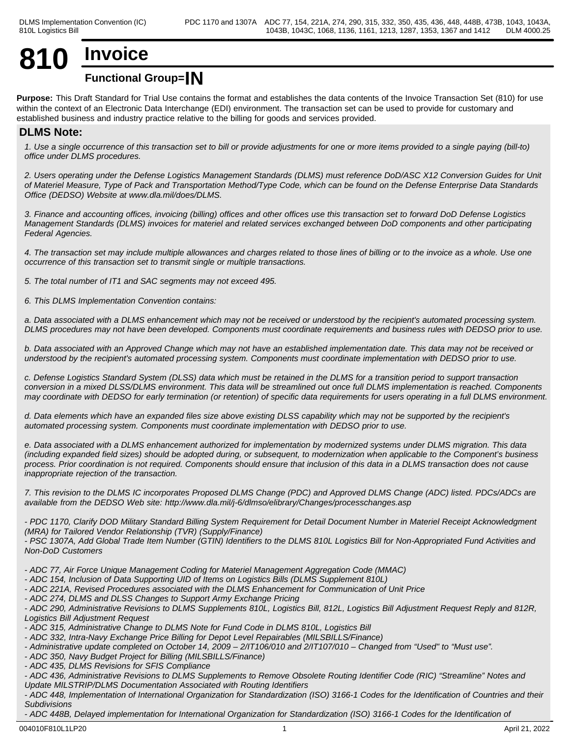# **810 Invoice**

## **Functional Group=IN**

**Purpose:** This Draft Standard for Trial Use contains the format and establishes the data contents of the Invoice Transaction Set (810) for use within the context of an Electronic Data Interchange (EDI) environment. The transaction set can be used to provide for customary and established business and industry practice relative to the billing for goods and services provided.

## **DLMS Note:**

*1. Use a single occurrence of this transaction set to bill or provide adjustments for one or more items provided to a single paying (bill-to) office under DLMS procedures.*

*2. Users operating under the Defense Logistics Management Standards (DLMS) must reference DoD/ASC X12 Conversion Guides for Unit of Materiel Measure, Type of Pack and Transportation Method/Type Code, which can be found on the Defense Enterprise Data Standards Office (DEDSO) Website at www.dla.mil/does/DLMS.*

*3. Finance and accounting offices, invoicing (billing) offices and other offices use this transaction set to forward DoD Defense Logistics Management Standards (DLMS) invoices for materiel and related services exchanged between DoD components and other participating Federal Agencies.*

*4. The transaction set may include multiple allowances and charges related to those lines of billing or to the invoice as a whole. Use one occurrence of this transaction set to transmit single or multiple transactions.*

*5. The total number of IT1 and SAC segments may not exceed 495.*

*6. This DLMS Implementation Convention contains:*

*a. Data associated with a DLMS enhancement which may not be received or understood by the recipient's automated processing system. DLMS procedures may not have been developed. Components must coordinate requirements and business rules with DEDSO prior to use.*

*b. Data associated with an Approved Change which may not have an established implementation date. This data may not be received or understood by the recipient's automated processing system. Components must coordinate implementation with DEDSO prior to use.*

*c. Defense Logistics Standard System (DLSS) data which must be retained in the DLMS for a transition period to support transaction conversion in a mixed DLSS/DLMS environment. This data will be streamlined out once full DLMS implementation is reached. Components may coordinate with DEDSO for early termination (or retention) of specific data requirements for users operating in a full DLMS environment.*

*d. Data elements which have an expanded files size above existing DLSS capability which may not be supported by the recipient's automated processing system. Components must coordinate implementation with DEDSO prior to use.*

*e. Data associated with a DLMS enhancement authorized for implementation by modernized systems under DLMS migration. This data (including expanded field sizes) should be adopted during, or subsequent, to modernization when applicable to the Component's business process. Prior coordination is not required. Components should ensure that inclusion of this data in a DLMS transaction does not cause inappropriate rejection of the transaction.*

*7. This revision to the DLMS IC incorporates Proposed DLMS Change (PDC) and Approved DLMS Change (ADC) listed. PDCs/ADCs are available from the DEDSO Web site: http://www.dla.mil/j-6/dlmso/elibrary/Changes/processchanges.asp*

*- PDC 1170, Clarify DOD Military Standard Billing System Requirement for Detail Document Number in Materiel Receipt Acknowledgment (MRA) for Tailored Vendor Relationship (TVR) (Supply/Finance)*

*- PSC 1307A, Add Global Trade Item Number (GTIN) Identifiers to the DLMS 810L Logistics Bill for Non-Appropriated Fund Activities and Non-DoD Customers*

*- ADC 77, Air Force Unique Management Coding for Materiel Management Aggregation Code (MMAC)*

- *ADC 154, Inclusion of Data Supporting UID of Items on Logistics Bills (DLMS Supplement 810L)*
- *ADC 221A, Revised Procedures associated with the DLMS Enhancement for Communication of Unit Price*
- *ADC 274, DLMS and DLSS Changes to Support Army Exchange Pricing*

*- ADC 290, Administrative Revisions to DLMS Supplements 810L, Logistics Bill, 812L, Logistics Bill Adjustment Request Reply and 812R, Logistics Bill Adjustment Request* 

*- ADC 315, Administrative Change to DLMS Note for Fund Code in DLMS 810L, Logistics Bill*

- *ADC 332, Intra-Navy Exchange Price Billing for Depot Level Repairables (MILSBILLS/Finance)*
- *Administrative update completed on October 14, 2009 2/IT106/010 and 2/IT107/010 Changed from "Used" to "Must use".*
- *ADC 350, Navy Budget Project for Billing (MILSBILLS/Finance)*
- *ADC 435, DLMS Revisions for SFIS Compliance*

*- ADC 436, Administrative Revisions to DLMS Supplements to Remove Obsolete Routing Identifier Code (RIC) "Streamline" Notes and Update MILSTRIP/DLMS Documentation Associated with Routing Identifiers*

*- ADC 448, Implementation of International Organization for Standardization (ISO) 3166-1 Codes for the Identification of Countries and their Subdivisions*

- ADC 448B, Delayed implementation for International Organization for Standardization (ISO) 3166-1 Codes for the Identification of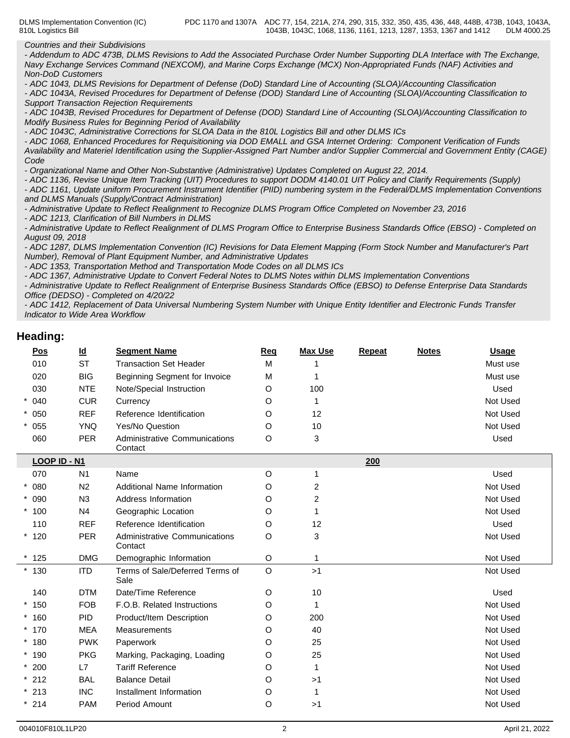*Countries and their Subdivisions*

*- Addendum to ADC 473B, DLMS Revisions to Add the Associated Purchase Order Number Supporting DLA Interface with The Exchange, Navy Exchange Services Command (NEXCOM), and Marine Corps Exchange (MCX) Non-Appropriated Funds (NAF) Activities and Non-DoD Customers*

*- ADC 1043, DLMS Revisions for Department of Defense (DoD) Standard Line of Accounting (SLOA)/Accounting Classification*

*- ADC 1043A, Revised Procedures for Department of Defense (DOD) Standard Line of Accounting (SLOA)/Accounting Classification to Support Transaction Rejection Requirements*

*- ADC 1043B, Revised Procedures for Department of Defense (DOD) Standard Line of Accounting (SLOA)/Accounting Classification to Modify Business Rules for Beginning Period of Availability*

*- ADC 1043C, Administrative Corrections for SLOA Data in the 810L Logistics Bill and other DLMS ICs*

*- ADC 1068, Enhanced Procedures for Requisitioning via DOD EMALL and GSA Internet Ordering: Component Verification of Funds Availability and Materiel Identification using the Supplier-Assigned Part Number and/or Supplier Commercial and Government Entity (CAGE) Code* **Code Code Code Code Code Code Code Code Code Code Code** 

*- Organizational Name and Other Non-Substantive (Administrative) Updates Completed on August 22, 2014.*

*- ADC 1136, Revise Unique Item Tracking (UIT) Procedures to support DODM 4140.01 UIT Policy and Clarify Requirements (Supply)*

*- ADC 1161, Update uniform Procurement Instrument Identifier (PIID) numbering system in the Federal/DLMS Implementation Conventions and DLMS Manuals (Supply/Contract Administration)*

*- Administrative Update to Reflect Realignment to Recognize DLMS Program Office Completed on November 23, 2016*

*- ADC 1213, Clarification of Bill Numbers in DLMS*

*- Administrative Update to Reflect Realignment of DLMS Program Office to Enterprise Business Standards Office (EBSO) - Completed on August 09, 2018*

*- ADC 1287, DLMS Implementation Convention (IC) Revisions for Data Element Mapping (Form Stock Number and Manufacturer's Part Number), Removal of Plant Equipment Number, and Administrative Updates*

*- ADC 1353, Transportation Method and Transportation Mode Codes on all DLMS ICs*

*- ADC 1367, Administrative Update to Convert Federal Notes to DLMS Notes within DLMS Implementation Conventions*

*- Administrative Update to Reflect Realignment of Enterprise Business Standards Office (EBSO) to Defense Enterprise Data Standards Office (DEDSO) - Completed on 4/20/22*

*- ADC 1412, Replacement of Data Universal Numbering System Number with Unique Entity Identifier and Electronic Funds Transfer Indicator to Wide Area Workflow*

### **Heading:**

| <u>Pos</u>   | $\underline{\mathsf{Id}}$ | <b>Segment Name</b>                      | Req     | <b>Max Use</b> | Repeat | <b>Notes</b> | <b>Usage</b> |
|--------------|---------------------------|------------------------------------------|---------|----------------|--------|--------------|--------------|
| 010          | <b>ST</b>                 | <b>Transaction Set Header</b>            | M       |                |        |              | Must use     |
| 020          | <b>BIG</b>                | Beginning Segment for Invoice            | M       |                |        |              | Must use     |
| 030          | <b>NTE</b>                | Note/Special Instruction                 | O       | 100            |        |              | Used         |
| $* 040$      | <b>CUR</b>                | Currency                                 | O       | 1              |        |              | Not Used     |
| $* 050$      | <b>REF</b>                | Reference Identification                 | O       | 12             |        |              | Not Used     |
| $* 055$      | <b>YNQ</b>                | Yes/No Question                          | O       | 10             |        |              | Not Used     |
| 060          | <b>PER</b>                | Administrative Communications<br>Contact | O       | 3              |        |              | Used         |
| LOOP ID - N1 |                           |                                          |         |                | 200    |              |              |
| 070          | N <sub>1</sub>            | Name                                     | O       | 1              |        |              | Used         |
| $* 080$      | N <sub>2</sub>            | Additional Name Information              | O       | $\overline{c}$ |        |              | Not Used     |
| $* 090$      | N <sub>3</sub>            | Address Information                      | O       | $\overline{c}$ |        |              | Not Used     |
| $*100$       | N <sub>4</sub>            | Geographic Location                      | O       | 1              |        |              | Not Used     |
| 110          | <b>REF</b>                | Reference Identification                 | O       | 12             |        |              | Used         |
| $*120$       | <b>PER</b>                | Administrative Communications<br>Contact | O       | 3              |        |              | Not Used     |
| $*125$       | <b>DMG</b>                | Demographic Information                  | O       | 1              |        |              | Not Used     |
| $*130$       | <b>ITD</b>                | Terms of Sale/Deferred Terms of<br>Sale  | $\circ$ | >1             |        |              | Not Used     |
| 140          | <b>DTM</b>                | Date/Time Reference                      | O       | 10             |        |              | Used         |
| $*150$       | <b>FOB</b>                | F.O.B. Related Instructions              | O       | 1              |        |              | Not Used     |
| $*160$       | <b>PID</b>                | Product/Item Description                 | O       | 200            |        |              | Not Used     |
| $*170$       | <b>MEA</b>                | Measurements                             | O       | 40             |        |              | Not Used     |
| $*180$       | <b>PWK</b>                | Paperwork                                | O       | 25             |        |              | Not Used     |
| $*190$       | <b>PKG</b>                | Marking, Packaging, Loading              | O       | 25             |        |              | Not Used     |
| $*200$       | L7                        | <b>Tariff Reference</b>                  | O       | 1              |        |              | Not Used     |
| $*212$       | <b>BAL</b>                | <b>Balance Detail</b>                    | O       | >1             |        |              | Not Used     |
| $*213$       | <b>INC</b>                | Installment Information                  | O       | -1             |        |              | Not Used     |
| $*214$       | <b>PAM</b>                | Period Amount                            | O       | >1             |        |              | Not Used     |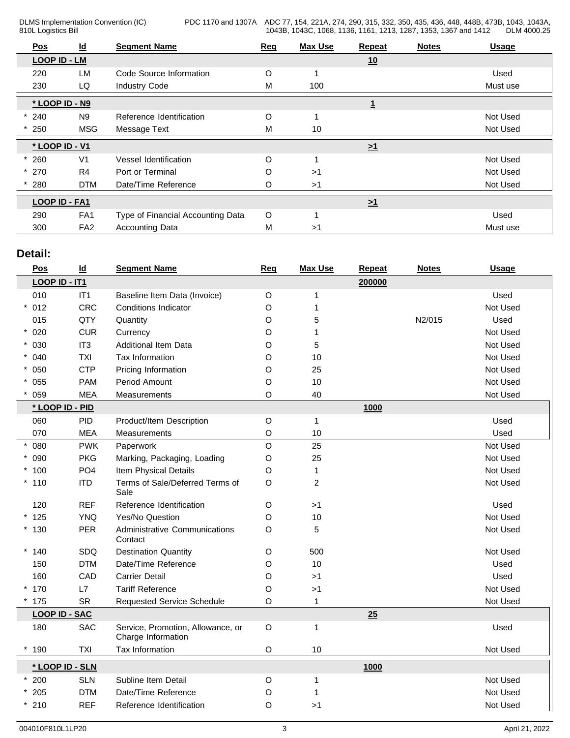PDC 1170 and 1307A ADC 77, 154, 221A, 274, 290, 315, 332, 350, 435, 436, 448, 448B, 473B, 1043, 1043A, 1043B, 1043C, 1068, 1136, 1161, 1213, 1287, 1353, 1367 and 1412 DLM 4000.25

| Pos                 | $\underline{\mathsf{Id}}$ | <b>Segment Name</b>               | Req                                                                   | <b>Max Use</b> | <b>Repeat</b> | <b>Notes</b> | <b>Usage</b> |
|---------------------|---------------------------|-----------------------------------|-----------------------------------------------------------------------|----------------|---------------|--------------|--------------|
| <b>LOOP ID - LM</b> |                           |                                   |                                                                       |                | 10            |              |              |
| 220                 | LM                        | Code Source Information           | O                                                                     |                |               |              | Used         |
| 230                 | LQ                        | <b>Industry Code</b>              | M                                                                     | 100            |               |              | Must use     |
| * LOOP ID - N9      |                           |                                   |                                                                       |                |               |              |              |
| $*240$              | N <sub>9</sub>            | Reference Identification          | O                                                                     |                |               |              | Not Used     |
| $*250$              | <b>MSG</b>                | Message Text                      | M                                                                     | 10             |               |              | Not Used     |
| * LOOP ID - V1      |                           |                                   | $\geq 1$<br>O<br>O<br>>1<br>O<br>>1<br>$\geq 1$<br>$\circ$<br>М<br>>1 |                |               |              |              |
| 260                 | V <sub>1</sub>            | Vessel Identification             |                                                                       |                |               |              | Not Used     |
| $*270$              | R <sub>4</sub>            | Port or Terminal                  |                                                                       |                |               |              | Not Used     |
| 280                 | <b>DTM</b>                | Date/Time Reference               |                                                                       |                |               |              | Not Used     |
| LOOP ID - FA1       |                           |                                   |                                                                       |                |               |              |              |
| 290                 | FA <sub>1</sub>           | Type of Financial Accounting Data |                                                                       |                |               |              | Used         |
| 300                 | FA <sub>2</sub>           | <b>Accounting Data</b>            |                                                                       |                |               |              | Must use     |

## **Detail:**

| Pos                  | $\underline{\mathsf{Id}}$ | <b>Segment Name</b>                                     | <b>Req</b>  | <b>Max Use</b> | Repeat | <b>Notes</b> | <b>Usage</b> |
|----------------------|---------------------------|---------------------------------------------------------|-------------|----------------|--------|--------------|--------------|
| LOOP ID - IT1        |                           |                                                         |             |                | 200000 |              |              |
| 010                  | IT1                       | Baseline Item Data (Invoice)                            | $\circ$     | 1              |        |              | Used         |
| $* 012$              | <b>CRC</b>                | Conditions Indicator                                    | O           | 1              |        |              | Not Used     |
| 015                  | QTY                       | Quantity                                                | O           | 5              |        | N2/015       | Used         |
| $* 020$              | <b>CUR</b>                | Currency                                                | O           | 1              |        |              | Not Used     |
| $* 030$              | IT <sub>3</sub>           | <b>Additional Item Data</b>                             | O           | 5              |        |              | Not Used     |
| $* 040$              | <b>TXI</b>                | Tax Information                                         | O           | $10$           |        |              | Not Used     |
| $* 050$              | <b>CTP</b>                | Pricing Information                                     | O           | 25             |        |              | Not Used     |
| $* 055$              | <b>PAM</b>                | Period Amount                                           | Ο           | 10             |        |              | Not Used     |
| 059                  | <b>MEA</b>                | Measurements                                            | O           | 40             |        |              | Not Used     |
| * LOOP ID - PID      |                           |                                                         |             |                | 1000   |              |              |
| 060                  | <b>PID</b>                | Product/Item Description                                | $\circ$     | $\mathbf{1}$   |        |              | Used         |
| 070                  | <b>MEA</b>                | Measurements                                            | O           | 10             |        |              | Used         |
| $* 080$              | <b>PWK</b>                | Paperwork                                               | $\mathsf O$ | 25             |        |              | Not Used     |
| $* 090$              | <b>PKG</b>                | Marking, Packaging, Loading                             | O           | 25             |        |              | Not Used     |
| $*100$               | PO <sub>4</sub>           | Item Physical Details                                   | O           | $\mathbf{1}$   |        |              | Not Used     |
| $*110$               | <b>ITD</b>                | Terms of Sale/Deferred Terms of<br>Sale                 | O           | $\overline{c}$ |        |              | Not Used     |
| 120                  | <b>REF</b>                | Reference Identification                                | O           | >1             |        |              | Used         |
| $*125$               | <b>YNQ</b>                | Yes/No Question                                         | O           | $10$           |        |              | Not Used     |
| $*130$               | <b>PER</b>                | Administrative Communications<br>Contact                | O           | 5              |        |              | Not Used     |
| $*140$               | SDQ                       | <b>Destination Quantity</b>                             | O           | 500            |        |              | Not Used     |
| 150                  | <b>DTM</b>                | Date/Time Reference                                     | O           | $10$           |        |              | Used         |
| 160                  | CAD                       | <b>Carrier Detail</b>                                   | O           | $>1$           |        |              | Used         |
| $*170$               | L7                        | <b>Tariff Reference</b>                                 | O           | $>1$           |        |              | Not Used     |
| $*175$               | <b>SR</b>                 | <b>Requested Service Schedule</b>                       | O           | $\mathbf{1}$   |        |              | Not Used     |
| <b>LOOP ID - SAC</b> |                           |                                                         |             |                | 25     |              |              |
| 180                  | SAC                       | Service, Promotion, Allowance, or<br>Charge Information | $\circ$     | $\mathbf{1}$   |        |              | Used         |
| $*190$               | <b>TXI</b>                | Tax Information                                         | O           | 10             |        |              | Not Used     |
| * LOOP ID - SLN      |                           |                                                         |             |                | 1000   |              |              |
| $*200$               | <b>SLN</b>                | Subline Item Detail                                     | O           | -1             |        |              | Not Used     |
| $*205$               | <b>DTM</b>                | Date/Time Reference                                     | O           | 1              |        |              | Not Used     |
| $*210$               | <b>REF</b>                | Reference Identification                                | O           | $>1$           |        |              | Not Used     |
|                      |                           |                                                         |             |                |        |              |              |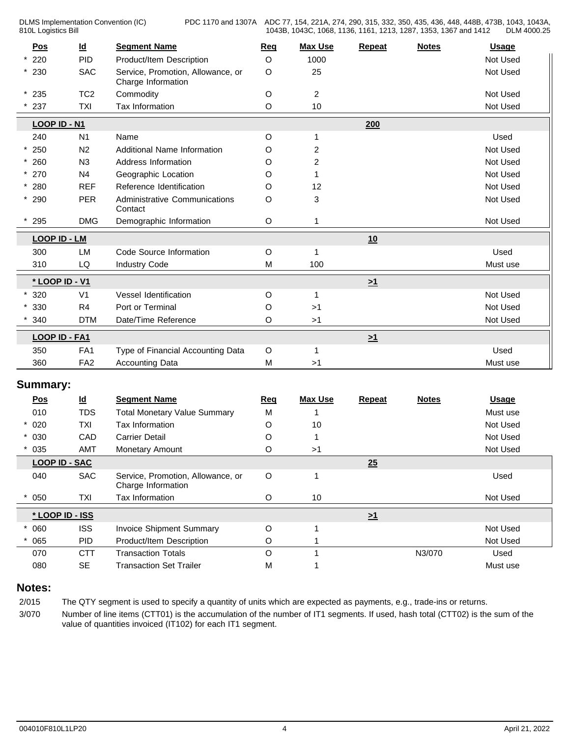PDC 1170 and 1307A ADC 77, 154, 221A, 274, 290, 315, 332, 350, 435, 436, 448, 448B, 473B, 1043, 1043A, 1043B, 1043C, 1068, 1136, 1161, 1213, 1287, 1353, 1367 and 1412 DLM 4000.25

| Pos                  | $\underline{\mathsf{Id}}$ | <b>Segment Name</b>                                     | Req         | <b>Max Use</b> | <b>Repeat</b> | <b>Notes</b> | <b>Usage</b> |
|----------------------|---------------------------|---------------------------------------------------------|-------------|----------------|---------------|--------------|--------------|
| 220                  | <b>PID</b>                | Product/Item Description                                | O           | 1000           |               |              | Not Used     |
| $*230$               | <b>SAC</b>                | Service, Promotion, Allowance, or<br>Charge Information | $\circ$     | 25             |               |              | Not Used     |
| $*235$               | TC <sub>2</sub>           | Commodity                                               | O           | $\overline{a}$ |               |              | Not Used     |
| 237                  | <b>TXI</b>                | Tax Information                                         | O           | $10$           |               |              | Not Used     |
| LOOP ID - N1         |                           |                                                         |             |                | 200           |              |              |
| 240                  | N1                        | Name                                                    | O           |                |               |              | Used         |
| $*250$               | N2                        | Additional Name Information                             | O           | 2              |               |              | Not Used     |
| $*260$               | N3                        | Address Information                                     | O           | 2              |               |              | Not Used     |
| $* 270$              | N4                        | Geographic Location                                     | O           | 1              |               |              | Not Used     |
| $* 280$              | <b>REF</b>                | Reference Identification                                | O           | 12             |               |              | Not Used     |
| $*290$               | <b>PER</b>                | Administrative Communications<br>Contact                | O           | 3              |               |              | Not Used     |
| 295                  | <b>DMG</b>                | Demographic Information                                 | O           |                |               |              | Not Used     |
| <b>LOOP ID - LM</b>  |                           |                                                         |             |                | 10            |              |              |
| 300                  | LM                        | Code Source Information                                 | O           | 1              |               |              | Used         |
| 310                  | LQ                        | <b>Industry Code</b>                                    | M           | 100            |               |              | Must use     |
| * LOOP ID - V1       |                           |                                                         |             |                | $\geq 1$      |              |              |
| 320                  | V <sub>1</sub>            | Vessel Identification                                   | O           | 1              |               |              | Not Used     |
| 330                  | R4                        | Port or Terminal                                        | O           | >1             |               |              | Not Used     |
| 340                  | <b>DTM</b>                | Date/Time Reference                                     | O           | >1             |               |              | Not Used     |
| LOOP ID - FA1        |                           |                                                         |             |                | $\geq 1$      |              |              |
| 350                  | FA <sub>1</sub>           | Type of Financial Accounting Data                       | $\circ$     | 1              |               |              | Used         |
| 360                  | FA <sub>2</sub>           | <b>Accounting Data</b>                                  | M           | >1             |               |              | Must use     |
| <b>Summary:</b>      |                           |                                                         |             |                |               |              |              |
| <u>Pos</u>           | $\underline{\mathsf{Id}}$ | <b>Segment Name</b>                                     | Req         | <b>Max Use</b> | <b>Repeat</b> | <b>Notes</b> | <b>Usage</b> |
| 010                  | <b>TDS</b>                | <b>Total Monetary Value Summary</b>                     | M           |                |               |              | Must use     |
| $* 020$              | TXI                       | Tax Information                                         | O           | 10             |               |              | Not Used     |
| $* 030$              | CAD                       | <b>Carrier Detail</b>                                   | O           |                |               |              | Not Used     |
| $* 035$              | <b>AMT</b>                | Monetary Amount                                         | O           | >1             |               |              | Not Used     |
| <b>LOOP ID - SAC</b> |                           |                                                         |             |                | 25            |              |              |
| 040                  | <b>SAC</b>                | Service, Promotion, Allowance, or<br>Charge Information | O           | 1              |               |              | Used         |
| 050                  | <b>TXI</b>                | Tax Information                                         | $\circ$     | 10             |               |              | Not Used     |
| * LOOP ID - ISS      |                           |                                                         |             |                | $\geq 1$      |              |              |
| $* 060$              | <b>ISS</b>                | <b>Invoice Shipment Summary</b>                         | $\mathsf O$ |                |               |              | Not Used     |
| 065                  | <b>PID</b>                | Product/Item Description                                | O           |                |               |              | Not Used     |
| 070                  | <b>CTT</b>                | <b>Transaction Totals</b>                               | $\mathsf O$ | $\mathbf 1$    |               | N3/070       | Used         |
| 080                  | $\sf SE$                  | <b>Transaction Set Trailer</b>                          | M           |                |               |              | Must use     |

## **Notes:**

2/015 The QTY segment is used to specify a quantity of units which are expected as payments, e.g., trade-ins or returns.

3/070 Number of line items (CTT01) is the accumulation of the number of IT1 segments. If used, hash total (CTT02) is the sum of the value of quantities invoiced (IT102) for each IT1 segment.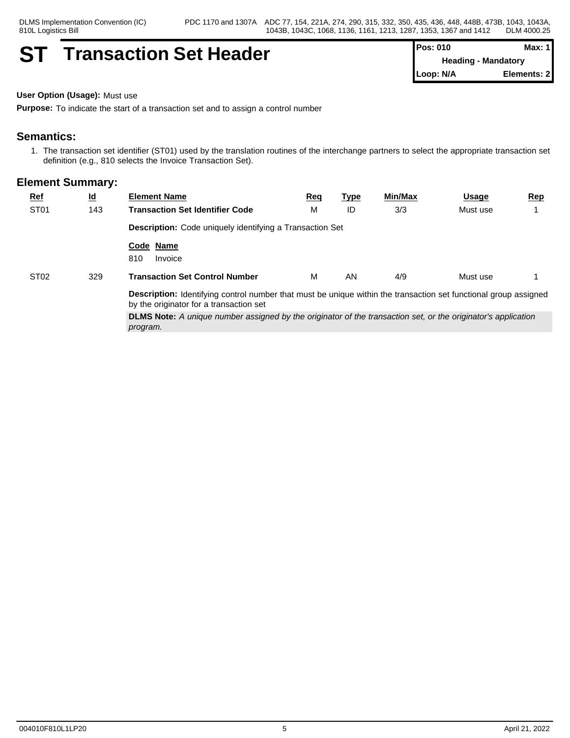## **ST Transaction Set Header Pos: 010 Max: 1 Max: 1**

**Heading - Mandatory Loop: N/A Elements: 2**

**User Option (Usage):** Must use

**Purpose:** To indicate the start of a transaction set and to assign a control number

## **Semantics:**

1. The transaction set identifier (ST01) used by the translation routines of the interchange partners to select the appropriate transaction set definition (e.g., 810 selects the Invoice Transaction Set).

| <b>Ref</b>       | <u>ld</u> | <b>Element Name</b>                                                                                                                                                | Req | <u>Type</u> | Min/Max | <u>Usage</u> | <b>Rep</b> |
|------------------|-----------|--------------------------------------------------------------------------------------------------------------------------------------------------------------------|-----|-------------|---------|--------------|------------|
| ST <sub>01</sub> | 143       | <b>Transaction Set Identifier Code</b>                                                                                                                             | М   | ID          | 3/3     | Must use     |            |
|                  |           | Description: Code uniquely identifying a Transaction Set                                                                                                           |     |             |         |              |            |
|                  |           | Code Name<br>810<br>Invoice                                                                                                                                        |     |             |         |              |            |
| ST <sub>02</sub> | 329       | <b>Transaction Set Control Number</b>                                                                                                                              | M   | AN          | 4/9     | Must use     |            |
|                  |           | <b>Description:</b> Identifying control number that must be unique within the transaction set functional group assigned<br>by the originator for a transaction set |     |             |         |              |            |
|                  |           | <b>DLMS Note:</b> A unique number assigned by the originator of the transaction set, or the originator's application<br>program.                                   |     |             |         |              |            |
|                  |           |                                                                                                                                                                    |     |             |         |              |            |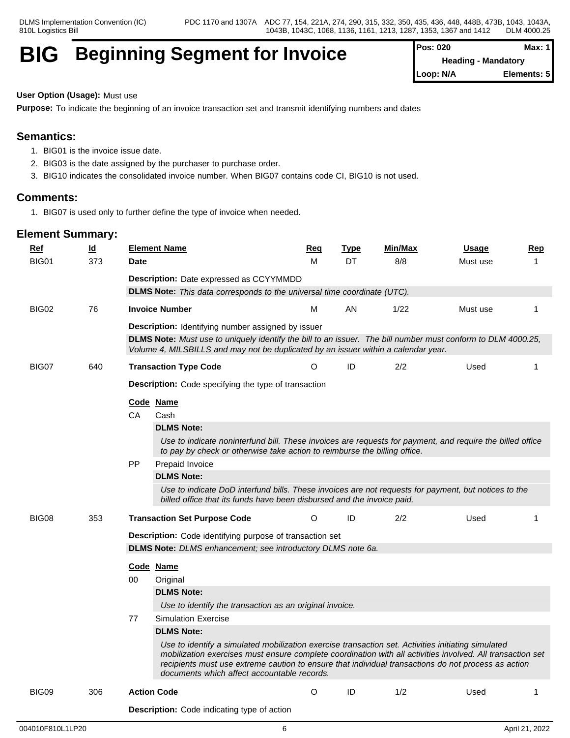## **BIG** Beginning Segment for Invoice

| Pos: 020  | Max: $1$                   |
|-----------|----------------------------|
|           | <b>Heading - Mandatory</b> |
| Loop: N/A | Elements: 5                |

#### **User Option (Usage):** Must use

**Purpose:** To indicate the beginning of an invoice transaction set and transmit identifying numbers and dates

## **Semantics:**

- 1. BIG01 is the invoice issue date.
- 2. BIG03 is the date assigned by the purchaser to purchase order.
- 3. BIG10 indicates the consolidated invoice number. When BIG07 contains code CI, BIG10 is not used.

### **Comments:**

1. BIG07 is used only to further define the type of invoice when needed.

| Ref   | $\underline{\mathsf{Id}}$ | <b>Element Name</b>                                | Req                                                                                                                                                                                                                                                                                                                                                                    | <b>Type</b> | <b>Min/Max</b> | <b>Usage</b> | <b>Rep</b> |
|-------|---------------------------|----------------------------------------------------|------------------------------------------------------------------------------------------------------------------------------------------------------------------------------------------------------------------------------------------------------------------------------------------------------------------------------------------------------------------------|-------------|----------------|--------------|------------|
| BIG01 | 373                       | <b>Date</b>                                        | M                                                                                                                                                                                                                                                                                                                                                                      | DT          | 8/8            | Must use     | 1          |
|       |                           | Description: Date expressed as CCYYMMDD            |                                                                                                                                                                                                                                                                                                                                                                        |             |                |              |            |
|       |                           |                                                    | <b>DLMS Note:</b> This data corresponds to the universal time coordinate (UTC).                                                                                                                                                                                                                                                                                        |             |                |              |            |
| BIG02 | 76                        | <b>Invoice Number</b>                              | M                                                                                                                                                                                                                                                                                                                                                                      | AN.         | 1/22           | Must use     | 1          |
|       |                           |                                                    | Description: Identifying number assigned by issuer                                                                                                                                                                                                                                                                                                                     |             |                |              |            |
|       |                           |                                                    | DLMS Note: Must use to uniquely identify the bill to an issuer. The bill number must conform to DLM 4000.25,<br>Volume 4, MILSBILLS and may not be duplicated by an issuer within a calendar year.                                                                                                                                                                     |             |                |              |            |
| BIG07 | 640                       | <b>Transaction Type Code</b>                       | ∩                                                                                                                                                                                                                                                                                                                                                                      | ID          | 2/2            | Used         | 1          |
|       |                           |                                                    | <b>Description:</b> Code specifying the type of transaction                                                                                                                                                                                                                                                                                                            |             |                |              |            |
|       |                           | Code Name                                          |                                                                                                                                                                                                                                                                                                                                                                        |             |                |              |            |
|       |                           | <b>CA</b><br>Cash                                  |                                                                                                                                                                                                                                                                                                                                                                        |             |                |              |            |
|       |                           | <b>DLMS Note:</b>                                  |                                                                                                                                                                                                                                                                                                                                                                        |             |                |              |            |
|       |                           |                                                    | Use to indicate noninterfund bill. These invoices are requests for payment, and require the billed office<br>to pay by check or otherwise take action to reimburse the billing office.                                                                                                                                                                                 |             |                |              |            |
|       |                           | PP<br>Prepaid Invoice                              |                                                                                                                                                                                                                                                                                                                                                                        |             |                |              |            |
|       |                           | <b>DLMS Note:</b>                                  |                                                                                                                                                                                                                                                                                                                                                                        |             |                |              |            |
|       |                           |                                                    | Use to indicate DoD interfund bills. These invoices are not requests for payment, but notices to the<br>billed office that its funds have been disbursed and the invoice paid.                                                                                                                                                                                         |             |                |              |            |
| BIG08 | 353                       | <b>Transaction Set Purpose Code</b>                | O                                                                                                                                                                                                                                                                                                                                                                      | ID          | 2/2            | Used         | 1          |
|       |                           |                                                    | Description: Code identifying purpose of transaction set                                                                                                                                                                                                                                                                                                               |             |                |              |            |
|       |                           |                                                    | DLMS Note: DLMS enhancement; see introductory DLMS note 6a.                                                                                                                                                                                                                                                                                                            |             |                |              |            |
|       |                           | Code Name                                          |                                                                                                                                                                                                                                                                                                                                                                        |             |                |              |            |
|       |                           | 00<br>Original                                     |                                                                                                                                                                                                                                                                                                                                                                        |             |                |              |            |
|       |                           | <b>DLMS Note:</b>                                  |                                                                                                                                                                                                                                                                                                                                                                        |             |                |              |            |
|       |                           |                                                    | Use to identify the transaction as an original invoice.                                                                                                                                                                                                                                                                                                                |             |                |              |            |
|       |                           | <b>Simulation Exercise</b><br>77                   |                                                                                                                                                                                                                                                                                                                                                                        |             |                |              |            |
|       |                           | <b>DLMS Note:</b>                                  |                                                                                                                                                                                                                                                                                                                                                                        |             |                |              |            |
|       |                           |                                                    | Use to identify a simulated mobilization exercise transaction set. Activities initiating simulated<br>mobilization exercises must ensure complete coordination with all activities involved. All transaction set<br>recipients must use extreme caution to ensure that individual transactions do not process as action<br>documents which affect accountable records. |             |                |              |            |
| BIG09 | 306                       | <b>Action Code</b>                                 | O                                                                                                                                                                                                                                                                                                                                                                      | ID          | 1/2            | Used         | -1         |
|       |                           | <b>Description:</b> Code indicating type of action |                                                                                                                                                                                                                                                                                                                                                                        |             |                |              |            |
|       |                           |                                                    |                                                                                                                                                                                                                                                                                                                                                                        |             |                |              |            |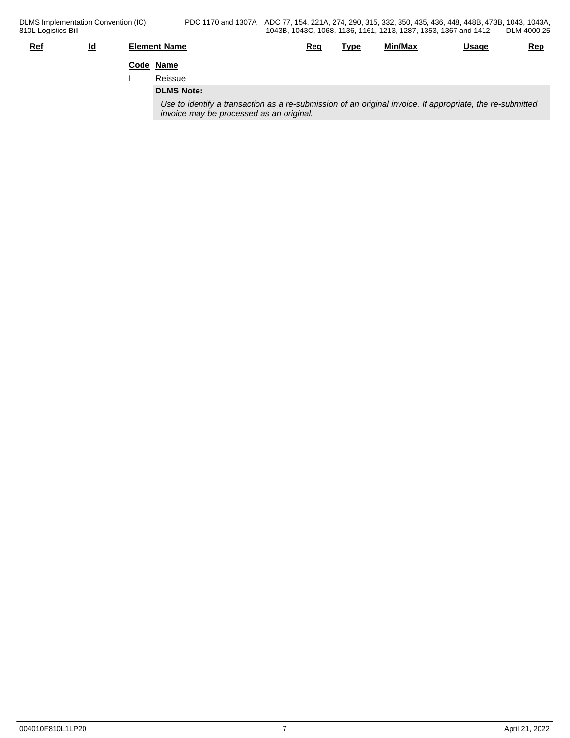| $Ref$ | $\underline{\mathsf{Id}}$ | <b>Element Name</b>                                                                                                                                   | <u>Req</u> | Type | Min/Max | <u>Usage</u> | <u>Rep</u> |
|-------|---------------------------|-------------------------------------------------------------------------------------------------------------------------------------------------------|------------|------|---------|--------------|------------|
|       |                           | Code Name                                                                                                                                             |            |      |         |              |            |
|       |                           | Reissue                                                                                                                                               |            |      |         |              |            |
|       |                           | <b>DLMS Note:</b>                                                                                                                                     |            |      |         |              |            |
|       |                           | Use to identify a transaction as a re-submission of an original invoice. If appropriate, the re-submitted<br>invoice may be processed as an original. |            |      |         |              |            |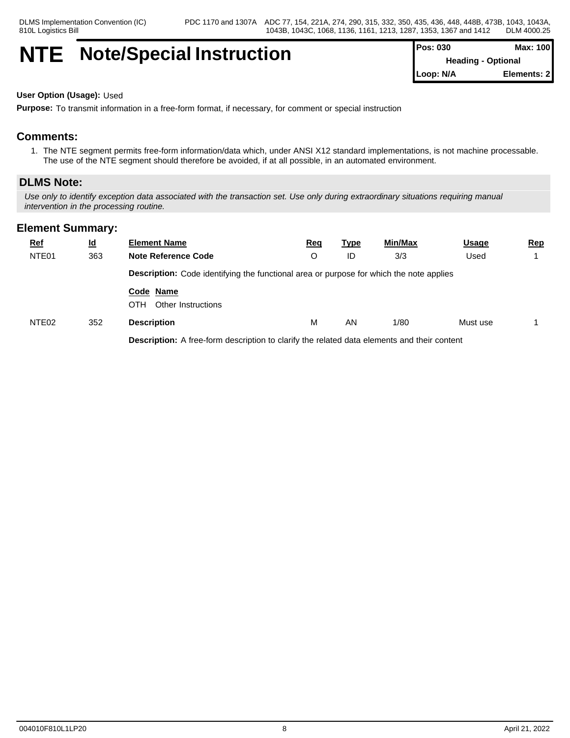# **NTE Note/Special Instruction**  $\begin{bmatrix} P\circ \cdot \cdot \cdot \cdot P\circ \cdot \cdot \cdot P\circ \cdot \cdot \cdot P\circ \cdot \cdot \cdot P\circ \cdot \cdot \cdot P\circ \cdot \cdot \cdot P\circ \cdot \cdot \cdot P\circ \cdot \cdot \cdot P\circ \cdot \cdot \cdot P\circ \cdot \cdot \cdot P\circ \cdot \cdot \cdot P\circ \cdot \cdot \cdot P\circ \cdot \cdot \cdot P\circ \cdot \cdot \cdot P\circ \cdot \cdot \cdot P\circ \cdot \cdot \cdot P\circ \cdot \cdot \cdot P\circ \cdot \cdot \cdot P\circ \cdot \cdot \cdot P\circ \cdot \cdot \cdot$

| <b>Pos: 030</b>           | Max: 100    |  |
|---------------------------|-------------|--|
| <b>Heading - Optional</b> |             |  |
| Loop: N/A                 | Elements: 2 |  |

#### **User Option (Usage):** Used

**Purpose:** To transmit information in a free-form format, if necessary, for comment or special instruction

## **Comments:**

1. The NTE segment permits free-form information/data which, under ANSI X12 standard implementations, is not machine processable. The use of the NTE segment should therefore be avoided, if at all possible, in an automated environment.

### **DLMS Note:**

*Use only to identify exception data associated with the transaction set. Use only during extraordinary situations requiring manual intervention in the processing routine.*

### **Element Summary:**

| <u>Ref</u>        | <u>ld</u> | <b>Element Name</b>                                                                            | <u>Req</u> | <u>Type</u> | Min/Max | <b>Usage</b> | <u>Rep</u> |
|-------------------|-----------|------------------------------------------------------------------------------------------------|------------|-------------|---------|--------------|------------|
| NTE <sub>01</sub> | 363       | <b>Note Reference Code</b>                                                                     | O          | ID          | 3/3     | Used         |            |
|                   |           | <b>Description:</b> Code identifying the functional area or purpose for which the note applies |            |             |         |              |            |
|                   |           | Code Name<br>OTH<br>Other Instructions                                                         |            |             |         |              |            |
| NTE <sub>02</sub> | 352       | <b>Description</b>                                                                             | M          | AN          | 1/80    | Must use     |            |
|                   |           | Description: A free-form description to clarify the related data elements and their content    |            |             |         |              |            |

004010F810L1LP20 8 April 21, 2022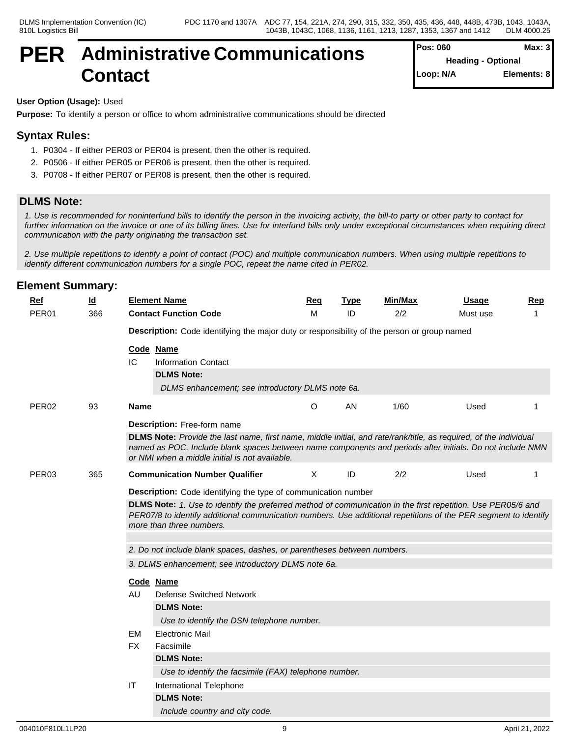## **PER Administrative Communications Contact**

| Pos: 060  | Max: 3                    |
|-----------|---------------------------|
|           | <b>Heading - Optional</b> |
| Loop: N/A | Elements: 8               |

#### **User Option (Usage):** Used

**Purpose:** To identify a person or office to whom administrative communications should be directed

### **Syntax Rules:**

- 1. P0304 If either PER03 or PER04 is present, then the other is required.
- 2. P0506 If either PER05 or PER06 is present, then the other is required.
- 3. P0708 If either PER07 or PER08 is present, then the other is required.

### **DLMS Note:**

*1. Use is recommended for noninterfund bills to identify the person in the invoicing activity, the bill-to party or other party to contact for further information on the invoice or one of its billing lines. Use for interfund bills only under exceptional circumstances when requiring direct communication with the party originating the transaction set.*

*2. Use multiple repetitions to identify a point of contact (POC) and multiple communication numbers. When using multiple repetitions to identify different communication numbers for a single POC, repeat the name cited in PER02.*

| <b>Ref</b>        | $\underline{\mathsf{Id}}$ |             | <b>Element Name</b>                                                                                                                                                                                                                                                              | <b>Req</b> | <b>Type</b> | Min/Max | <b>Usage</b> | <b>Rep</b> |  |  |  |
|-------------------|---------------------------|-------------|----------------------------------------------------------------------------------------------------------------------------------------------------------------------------------------------------------------------------------------------------------------------------------|------------|-------------|---------|--------------|------------|--|--|--|
| PER <sub>01</sub> | 366                       |             | <b>Contact Function Code</b>                                                                                                                                                                                                                                                     | M          | ID          | 2/2     | Must use     |            |  |  |  |
|                   |                           |             | Description: Code identifying the major duty or responsibility of the person or group named                                                                                                                                                                                      |            |             |         |              |            |  |  |  |
|                   |                           |             | Code Name                                                                                                                                                                                                                                                                        |            |             |         |              |            |  |  |  |
|                   |                           | IC          | <b>Information Contact</b>                                                                                                                                                                                                                                                       |            |             |         |              |            |  |  |  |
|                   |                           |             | <b>DLMS Note:</b>                                                                                                                                                                                                                                                                |            |             |         |              |            |  |  |  |
|                   |                           |             | DLMS enhancement; see introductory DLMS note 6a.                                                                                                                                                                                                                                 |            |             |         |              |            |  |  |  |
| PER <sub>02</sub> | 93                        | <b>Name</b> |                                                                                                                                                                                                                                                                                  | $\circ$    | AN          | 1/60    | Used         |            |  |  |  |
|                   |                           |             | Description: Free-form name                                                                                                                                                                                                                                                      |            |             |         |              |            |  |  |  |
|                   |                           |             | DLMS Note: Provide the last name, first name, middle initial, and rate/rank/title, as required, of the individual<br>named as POC. Include blank spaces between name components and periods after initials. Do not include NMN<br>or NMI when a middle initial is not available. |            |             |         |              |            |  |  |  |
| PER03             | 365                       |             | <b>Communication Number Qualifier</b>                                                                                                                                                                                                                                            | X          | ID          | 2/2     | Used         |            |  |  |  |
|                   |                           |             | <b>Description:</b> Code identifying the type of communication number                                                                                                                                                                                                            |            |             |         |              |            |  |  |  |
|                   |                           |             | DLMS Note: 1. Use to identify the preferred method of communication in the first repetition. Use PER05/6 and<br>PER07/8 to identify additional communication numbers. Use additional repetitions of the PER segment to identify<br>more than three numbers.                      |            |             |         |              |            |  |  |  |
|                   |                           |             | 2. Do not include blank spaces, dashes, or parentheses between numbers.                                                                                                                                                                                                          |            |             |         |              |            |  |  |  |
|                   |                           |             | 3. DLMS enhancement; see introductory DLMS note 6a.                                                                                                                                                                                                                              |            |             |         |              |            |  |  |  |
|                   |                           |             | Code Name                                                                                                                                                                                                                                                                        |            |             |         |              |            |  |  |  |
|                   |                           | AU.         | <b>Defense Switched Network</b>                                                                                                                                                                                                                                                  |            |             |         |              |            |  |  |  |
|                   |                           |             | <b>DLMS Note:</b>                                                                                                                                                                                                                                                                |            |             |         |              |            |  |  |  |
|                   |                           |             | Use to identify the DSN telephone number.                                                                                                                                                                                                                                        |            |             |         |              |            |  |  |  |
|                   |                           | <b>EM</b>   | <b>Electronic Mail</b>                                                                                                                                                                                                                                                           |            |             |         |              |            |  |  |  |
|                   |                           | FX.         | Facsimile                                                                                                                                                                                                                                                                        |            |             |         |              |            |  |  |  |
|                   |                           |             | <b>DLMS Note:</b>                                                                                                                                                                                                                                                                |            |             |         |              |            |  |  |  |
|                   |                           |             | Use to identify the facsimile (FAX) telephone number.                                                                                                                                                                                                                            |            |             |         |              |            |  |  |  |
|                   |                           | IT          | International Telephone                                                                                                                                                                                                                                                          |            |             |         |              |            |  |  |  |
|                   |                           |             | <b>DLMS Note:</b>                                                                                                                                                                                                                                                                |            |             |         |              |            |  |  |  |
|                   |                           |             | Include country and city code.                                                                                                                                                                                                                                                   |            |             |         |              |            |  |  |  |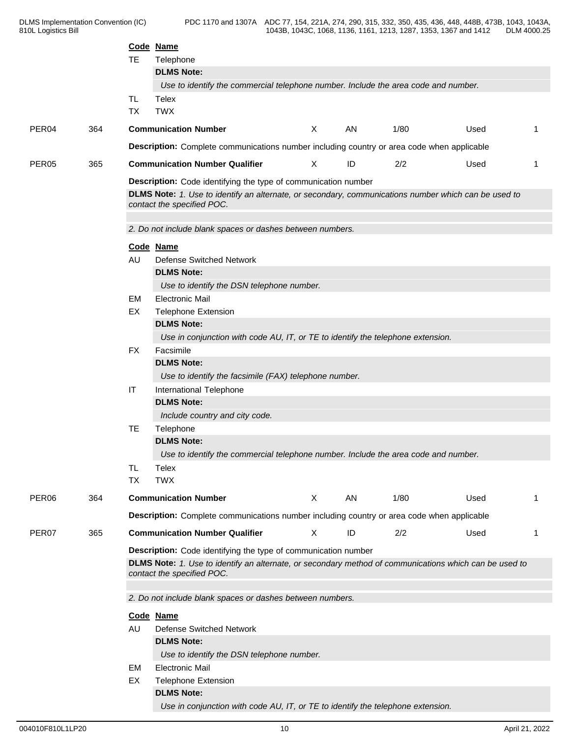|                   |     | <b>TE</b>                                                                                                                                                                                              | Code Name<br>Telephone                                                                                                             |   |    |      |      |                |  |
|-------------------|-----|--------------------------------------------------------------------------------------------------------------------------------------------------------------------------------------------------------|------------------------------------------------------------------------------------------------------------------------------------|---|----|------|------|----------------|--|
|                   |     |                                                                                                                                                                                                        | <b>DLMS Note:</b>                                                                                                                  |   |    |      |      |                |  |
|                   |     |                                                                                                                                                                                                        | Use to identify the commercial telephone number. Include the area code and number.                                                 |   |    |      |      |                |  |
|                   |     | TL<br><b>TX</b>                                                                                                                                                                                        | Telex<br><b>TWX</b>                                                                                                                |   |    |      |      |                |  |
| PER <sub>04</sub> | 364 |                                                                                                                                                                                                        | <b>Communication Number</b>                                                                                                        | X | AN | 1/80 | Used | -1             |  |
|                   |     |                                                                                                                                                                                                        | Description: Complete communications number including country or area code when applicable                                         |   |    |      |      |                |  |
| PER <sub>05</sub> | 365 |                                                                                                                                                                                                        | <b>Communication Number Qualifier</b>                                                                                              | X | ID | 2/2  | Used | -1             |  |
|                   |     |                                                                                                                                                                                                        | Description: Code identifying the type of communication number                                                                     |   |    |      |      |                |  |
|                   |     |                                                                                                                                                                                                        | DLMS Note: 1. Use to identify an alternate, or secondary, communications number which can be used to<br>contact the specified POC. |   |    |      |      |                |  |
|                   |     |                                                                                                                                                                                                        | 2. Do not include blank spaces or dashes between numbers.                                                                          |   |    |      |      |                |  |
|                   |     |                                                                                                                                                                                                        | Code Name                                                                                                                          |   |    |      |      |                |  |
|                   |     | AU                                                                                                                                                                                                     | <b>Defense Switched Network</b>                                                                                                    |   |    |      |      |                |  |
|                   |     |                                                                                                                                                                                                        | <b>DLMS Note:</b>                                                                                                                  |   |    |      |      |                |  |
|                   |     |                                                                                                                                                                                                        | Use to identify the DSN telephone number.                                                                                          |   |    |      |      |                |  |
|                   |     | EM                                                                                                                                                                                                     | <b>Electronic Mail</b>                                                                                                             |   |    |      |      |                |  |
|                   |     | EX                                                                                                                                                                                                     | <b>Telephone Extension</b><br><b>DLMS Note:</b>                                                                                    |   |    |      |      |                |  |
|                   |     |                                                                                                                                                                                                        | Use in conjunction with code AU, IT, or TE to identify the telephone extension.                                                    |   |    |      |      |                |  |
|                   |     | <b>FX</b>                                                                                                                                                                                              | Facsimile                                                                                                                          |   |    |      |      |                |  |
|                   |     |                                                                                                                                                                                                        | <b>DLMS Note:</b>                                                                                                                  |   |    |      |      |                |  |
|                   |     |                                                                                                                                                                                                        | Use to identify the facsimile (FAX) telephone number.                                                                              |   |    |      |      |                |  |
|                   |     | IT                                                                                                                                                                                                     | International Telephone                                                                                                            |   |    |      |      |                |  |
|                   |     |                                                                                                                                                                                                        | <b>DLMS Note:</b>                                                                                                                  |   |    |      |      |                |  |
|                   |     |                                                                                                                                                                                                        | Include country and city code.                                                                                                     |   |    |      |      |                |  |
|                   |     | TE                                                                                                                                                                                                     | Telephone                                                                                                                          |   |    |      |      |                |  |
|                   |     |                                                                                                                                                                                                        | <b>DLMS Note:</b>                                                                                                                  |   |    |      |      |                |  |
|                   |     |                                                                                                                                                                                                        | Use to identify the commercial telephone number. Include the area code and number.                                                 |   |    |      |      |                |  |
|                   |     | TL<br><b>TX</b>                                                                                                                                                                                        | Telex<br><b>TWX</b>                                                                                                                |   |    |      |      |                |  |
| PER <sub>06</sub> |     |                                                                                                                                                                                                        | <b>Communication Number</b>                                                                                                        | X | AN | 1/80 | Used | $\overline{1}$ |  |
|                   | 364 |                                                                                                                                                                                                        |                                                                                                                                    |   |    |      |      |                |  |
|                   |     |                                                                                                                                                                                                        | Description: Complete communications number including country or area code when applicable                                         |   |    |      |      |                |  |
| PER07             | 365 |                                                                                                                                                                                                        | <b>Communication Number Qualifier</b>                                                                                              | X | ID | 2/2  | Used | -1             |  |
|                   |     | Description: Code identifying the type of communication number<br>DLMS Note: 1. Use to identify an alternate, or secondary method of communications which can be used to<br>contact the specified POC. |                                                                                                                                    |   |    |      |      |                |  |
|                   |     |                                                                                                                                                                                                        | 2. Do not include blank spaces or dashes between numbers.                                                                          |   |    |      |      |                |  |
|                   |     |                                                                                                                                                                                                        | Code Name                                                                                                                          |   |    |      |      |                |  |
|                   |     | AU                                                                                                                                                                                                     | <b>Defense Switched Network</b>                                                                                                    |   |    |      |      |                |  |
|                   |     |                                                                                                                                                                                                        | <b>DLMS Note:</b>                                                                                                                  |   |    |      |      |                |  |
|                   |     |                                                                                                                                                                                                        | Use to identify the DSN telephone number.                                                                                          |   |    |      |      |                |  |
|                   |     | EM                                                                                                                                                                                                     | <b>Electronic Mail</b>                                                                                                             |   |    |      |      |                |  |
|                   |     | EX                                                                                                                                                                                                     | <b>Telephone Extension</b><br><b>DLMS Note:</b>                                                                                    |   |    |      |      |                |  |
|                   |     |                                                                                                                                                                                                        | Use in conjunction with code AU, IT, or TE to identify the telephone extension.                                                    |   |    |      |      |                |  |
|                   |     |                                                                                                                                                                                                        |                                                                                                                                    |   |    |      |      |                |  |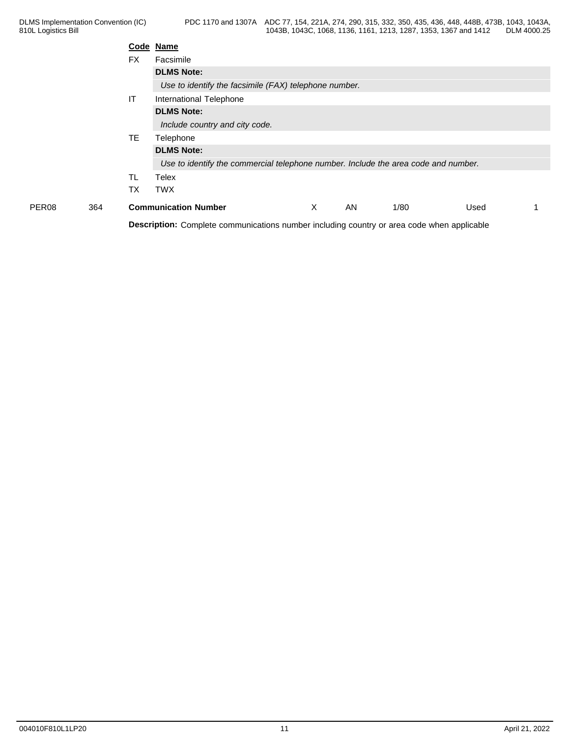|              |           | Code Name                                                                                         |   |    |      |      |  |
|--------------|-----------|---------------------------------------------------------------------------------------------------|---|----|------|------|--|
|              | <b>FX</b> | Facsimile                                                                                         |   |    |      |      |  |
|              |           | <b>DLMS Note:</b>                                                                                 |   |    |      |      |  |
|              |           | Use to identify the facsimile (FAX) telephone number.                                             |   |    |      |      |  |
|              | IT        | International Telephone                                                                           |   |    |      |      |  |
|              |           | <b>DLMS Note:</b>                                                                                 |   |    |      |      |  |
|              |           | Include country and city code.                                                                    |   |    |      |      |  |
|              | TE.       | Telephone                                                                                         |   |    |      |      |  |
|              |           | <b>DLMS Note:</b>                                                                                 |   |    |      |      |  |
|              |           | Use to identify the commercial telephone number. Include the area code and number.                |   |    |      |      |  |
|              | <b>TL</b> | Telex                                                                                             |   |    |      |      |  |
|              | ТX        | <b>TWX</b>                                                                                        |   |    |      |      |  |
| PER08<br>364 |           | <b>Communication Number</b>                                                                       | X | AN | 1/80 | Used |  |
|              |           | <b>Description:</b> Complete communications number including country or area code when applicable |   |    |      |      |  |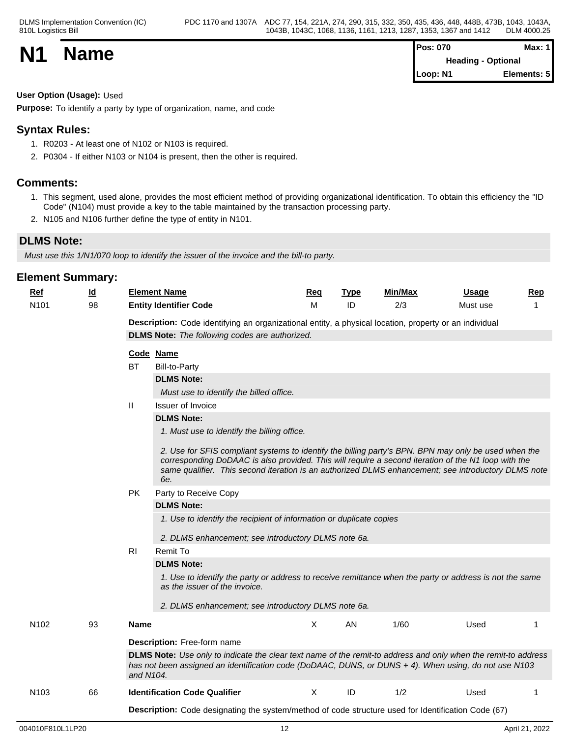| <b>N1</b> |             | <b>Pos: 070</b>           | <b>Max: 1</b> |  |
|-----------|-------------|---------------------------|---------------|--|
|           | <b>Name</b> | <b>Heading - Optional</b> |               |  |
|           |             | Loop: N1                  | Elements: 5   |  |

**User Option (Usage):** Used

**Purpose:** To identify a party by type of organization, name, and code

## **Syntax Rules:**

- 1. R0203 At least one of N102 or N103 is required.
- 2. P0304 If either N103 or N104 is present, then the other is required.

## **Comments:**

- 1. This segment, used alone, provides the most efficient method of providing organizational identification. To obtain this efficiency the "ID Code" (N104) must provide a key to the table maintained by the transaction processing party.
- 2. N105 and N106 further define the type of entity in N101.

## **DLMS Note:**

*Must use this 1/N1/070 loop to identify the issuer of the invoice and the bill-to party.*

| <b>Element Summary:</b> |           |                |                                                                                                                                                                                                                                                                                                                           |            |             |         |              |            |
|-------------------------|-----------|----------------|---------------------------------------------------------------------------------------------------------------------------------------------------------------------------------------------------------------------------------------------------------------------------------------------------------------------------|------------|-------------|---------|--------------|------------|
| <u>Ref</u>              | <u>ld</u> |                | <b>Element Name</b>                                                                                                                                                                                                                                                                                                       | <u>Req</u> | <u>Type</u> | Min/Max | <u>Usage</u> | <b>Rep</b> |
| N <sub>101</sub>        | 98        |                | <b>Entity Identifier Code</b>                                                                                                                                                                                                                                                                                             | м          | ID          | 2/3     | Must use     | 1          |
|                         |           |                | Description: Code identifying an organizational entity, a physical location, property or an individual                                                                                                                                                                                                                    |            |             |         |              |            |
|                         |           |                | <b>DLMS Note:</b> The following codes are authorized.                                                                                                                                                                                                                                                                     |            |             |         |              |            |
|                         |           |                | Code Name                                                                                                                                                                                                                                                                                                                 |            |             |         |              |            |
|                         |           | ВT             | <b>Bill-to-Party</b>                                                                                                                                                                                                                                                                                                      |            |             |         |              |            |
|                         |           |                | <b>DLMS Note:</b>                                                                                                                                                                                                                                                                                                         |            |             |         |              |            |
|                         |           |                | Must use to identify the billed office.                                                                                                                                                                                                                                                                                   |            |             |         |              |            |
|                         |           | Ш              | Issuer of Invoice                                                                                                                                                                                                                                                                                                         |            |             |         |              |            |
|                         |           |                | <b>DLMS Note:</b>                                                                                                                                                                                                                                                                                                         |            |             |         |              |            |
|                         |           |                | 1. Must use to identify the billing office.                                                                                                                                                                                                                                                                               |            |             |         |              |            |
|                         |           |                | 2. Use for SFIS compliant systems to identify the billing party's BPN. BPN may only be used when the<br>corresponding DoDAAC is also provided. This will require a second iteration of the N1 loop with the<br>same qualifier. This second iteration is an authorized DLMS enhancement; see introductory DLMS note<br>6e. |            |             |         |              |            |
|                         |           | <b>PK</b>      | Party to Receive Copy                                                                                                                                                                                                                                                                                                     |            |             |         |              |            |
|                         |           |                | <b>DLMS Note:</b>                                                                                                                                                                                                                                                                                                         |            |             |         |              |            |
|                         |           |                | 1. Use to identify the recipient of information or duplicate copies                                                                                                                                                                                                                                                       |            |             |         |              |            |
|                         |           |                | 2. DLMS enhancement; see introductory DLMS note 6a.                                                                                                                                                                                                                                                                       |            |             |         |              |            |
|                         |           | R <sub>l</sub> | Remit To                                                                                                                                                                                                                                                                                                                  |            |             |         |              |            |
|                         |           |                | <b>DLMS Note:</b>                                                                                                                                                                                                                                                                                                         |            |             |         |              |            |
|                         |           |                | 1. Use to identify the party or address to receive remittance when the party or address is not the same<br>as the issuer of the invoice.                                                                                                                                                                                  |            |             |         |              |            |
|                         |           |                | 2. DLMS enhancement; see introductory DLMS note 6a.                                                                                                                                                                                                                                                                       |            |             |         |              |            |
| N <sub>102</sub>        | 93        | <b>Name</b>    |                                                                                                                                                                                                                                                                                                                           | Χ          | AN          | 1/60    | Used         | 1          |
|                         |           |                | Description: Free-form name                                                                                                                                                                                                                                                                                               |            |             |         |              |            |
|                         |           | and N104.      | DLMS Note: Use only to indicate the clear text name of the remit-to address and only when the remit-to address<br>has not been assigned an identification code (DoDAAC, DUNS, or DUNS + 4). When using, do not use N103                                                                                                   |            |             |         |              |            |
| N <sub>103</sub>        | 66        |                | <b>Identification Code Qualifier</b>                                                                                                                                                                                                                                                                                      | X          | ID          | 1/2     | Used         | 1          |
|                         |           |                | <b>Description:</b> Code designating the system/method of code structure used for Identification Code (67)                                                                                                                                                                                                                |            |             |         |              |            |
|                         |           |                |                                                                                                                                                                                                                                                                                                                           |            |             |         |              |            |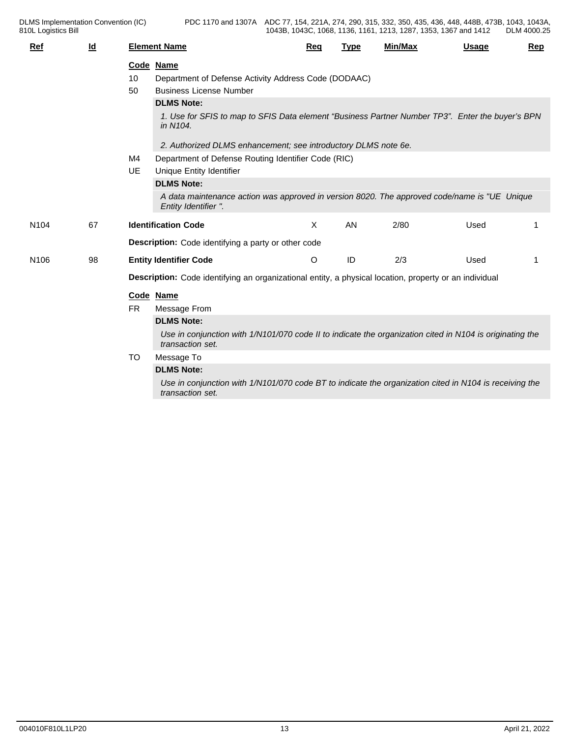| Ref              | $\overline{\mathsf{Id}}$ |           | <b>Element Name</b>                                                                                                          | Req     | <b>Type</b> | <b>Min/Max</b> | <b>Usage</b> | Rep |
|------------------|--------------------------|-----------|------------------------------------------------------------------------------------------------------------------------------|---------|-------------|----------------|--------------|-----|
|                  |                          |           | Code Name                                                                                                                    |         |             |                |              |     |
|                  |                          | 10        | Department of Defense Activity Address Code (DODAAC)                                                                         |         |             |                |              |     |
|                  |                          | 50        | <b>Business License Number</b>                                                                                               |         |             |                |              |     |
|                  |                          |           | <b>DLMS Note:</b>                                                                                                            |         |             |                |              |     |
|                  |                          |           | 1. Use for SFIS to map to SFIS Data element "Business Partner Number TP3". Enter the buyer's BPN<br>in N104.                 |         |             |                |              |     |
|                  |                          |           | 2. Authorized DLMS enhancement; see introductory DLMS note 6e.                                                               |         |             |                |              |     |
|                  |                          | M4        | Department of Defense Routing Identifier Code (RIC)                                                                          |         |             |                |              |     |
|                  |                          | <b>UE</b> | Unique Entity Identifier                                                                                                     |         |             |                |              |     |
|                  |                          |           | <b>DLMS Note:</b>                                                                                                            |         |             |                |              |     |
|                  |                          |           | A data maintenance action was approved in version 8020. The approved code/name is "UE Unique<br>Entity Identifier ".         |         |             |                |              |     |
| N <sub>104</sub> | 67                       |           | <b>Identification Code</b>                                                                                                   | X       | <b>AN</b>   | 2/80           | Used         |     |
|                  |                          |           | <b>Description:</b> Code identifying a party or other code                                                                   |         |             |                |              |     |
| N <sub>106</sub> | 98                       |           | <b>Entity Identifier Code</b>                                                                                                | $\circ$ | ID          | 2/3            | Used         |     |
|                  |                          |           | Description: Code identifying an organizational entity, a physical location, property or an individual                       |         |             |                |              |     |
|                  |                          |           | Code Name                                                                                                                    |         |             |                |              |     |
|                  |                          | <b>FR</b> | Message From                                                                                                                 |         |             |                |              |     |
|                  |                          |           | <b>DLMS Note:</b>                                                                                                            |         |             |                |              |     |
|                  |                          |           | Use in conjunction with 1/N101/070 code II to indicate the organization cited in N104 is originating the<br>transaction set. |         |             |                |              |     |
|                  |                          | TO        | Message To                                                                                                                   |         |             |                |              |     |
|                  |                          |           | <b>DLMS Note:</b>                                                                                                            |         |             |                |              |     |
|                  |                          |           | Use in conjunction with 1/N101/070 code BT to indicate the organization cited in N104 is receiving the<br>transaction set.   |         |             |                |              |     |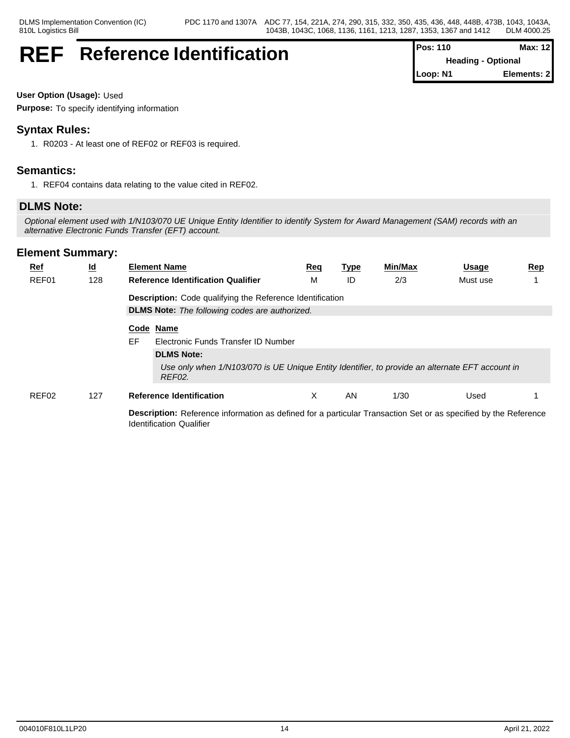## **REF** Reference Identification  $\vert^{P^o}$

| Pos: 110 | <b>Max: 12</b>            |
|----------|---------------------------|
|          | <b>Heading - Optional</b> |
| Loop: N1 | Elements: 2               |

**User Option (Usage):** Used

**Purpose:** To specify identifying information

## **Syntax Rules:**

1. R0203 - At least one of REF02 or REF03 is required.

## **Semantics:**

1. REF04 contains data relating to the value cited in REF02.

## **DLMS Note:**

*Optional element used with 1/N103/070 UE Unique Entity Identifier to identify System for Award Management (SAM) records with an alternative Electronic Funds Transfer (EFT) account.*

| $Ref$ | <u>ld</u> | <b>Element Name</b>                                                                                                                                | <u>Req</u> | <u>Type</u> | Min/Max | <u>Usage</u> | <u>Rep</u> |  |  |  |
|-------|-----------|----------------------------------------------------------------------------------------------------------------------------------------------------|------------|-------------|---------|--------------|------------|--|--|--|
| REF01 | 128       | <b>Reference Identification Qualifier</b>                                                                                                          | М          | ID          | 2/3     | Must use     |            |  |  |  |
|       |           | <b>Description:</b> Code qualifying the Reference Identification                                                                                   |            |             |         |              |            |  |  |  |
|       |           | <b>DLMS Note:</b> The following codes are authorized.                                                                                              |            |             |         |              |            |  |  |  |
|       |           | Code Name                                                                                                                                          |            |             |         |              |            |  |  |  |
|       |           | EF.<br>Electronic Funds Transfer ID Number                                                                                                         |            |             |         |              |            |  |  |  |
|       |           | <b>DLMS Note:</b>                                                                                                                                  |            |             |         |              |            |  |  |  |
|       |           | Use only when 1/N103/070 is UE Unique Entity Identifier, to provide an alternate EFT account in<br>REF02.                                          |            |             |         |              |            |  |  |  |
| REF02 | 127       | <b>Reference Identification</b>                                                                                                                    | X          | AN          | 1/30    | Used         |            |  |  |  |
|       |           | Description: Reference information as defined for a particular Transaction Set or as specified by the Reference<br><b>Identification Qualifier</b> |            |             |         |              |            |  |  |  |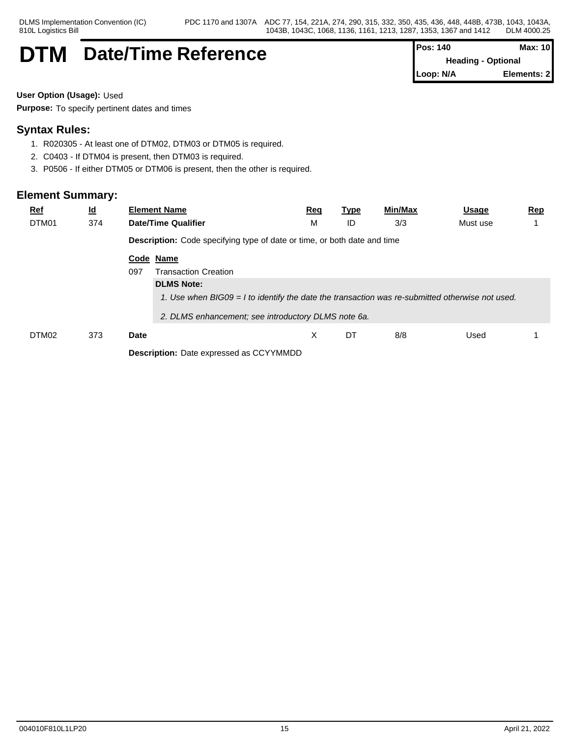## **DTM** Date/Time Reference

| Pos: 140  | Max: 10                   |
|-----------|---------------------------|
|           | <b>Heading - Optional</b> |
| Loop: N/A | Elements: 2               |

**User Option (Usage):** Used

**Purpose:** To specify pertinent dates and times

## **Syntax Rules:**

- 1. R020305 At least one of DTM02, DTM03 or DTM05 is required.
- 2. C0403 If DTM04 is present, then DTM03 is required.
- 3. P0506 If either DTM05 or DTM06 is present, then the other is required.

| <b>Ref</b><br>DTM01 | $\underline{\mathsf{Id}}$<br>374 | <b>Element Name</b><br><b>Date/Time Qualifier</b>                                               | <u>Req</u><br>M | <u>Type</u><br>ID | Min/Max<br>3/3 | <u>Usage</u><br>Must use | <u>Rep</u> |
|---------------------|----------------------------------|-------------------------------------------------------------------------------------------------|-----------------|-------------------|----------------|--------------------------|------------|
|                     |                                  | <b>Description:</b> Code specifying type of date or time, or both date and time                 |                 |                   |                |                          |            |
|                     |                                  | Code Name<br>097<br><b>Transaction Creation</b>                                                 |                 |                   |                |                          |            |
|                     |                                  | <b>DLMS Note:</b>                                                                               |                 |                   |                |                          |            |
|                     |                                  | 1. Use when BIG09 = I to identify the date the transaction was re-submitted otherwise not used. |                 |                   |                |                          |            |
|                     |                                  | 2. DLMS enhancement; see introductory DLMS note 6a.                                             |                 |                   |                |                          |            |
| DTM02               | 373                              | <b>Date</b>                                                                                     | X               | DT                | 8/8            | Used                     |            |
|                     |                                  | <b>Description:</b> Date expressed as CCYYMMDD                                                  |                 |                   |                |                          |            |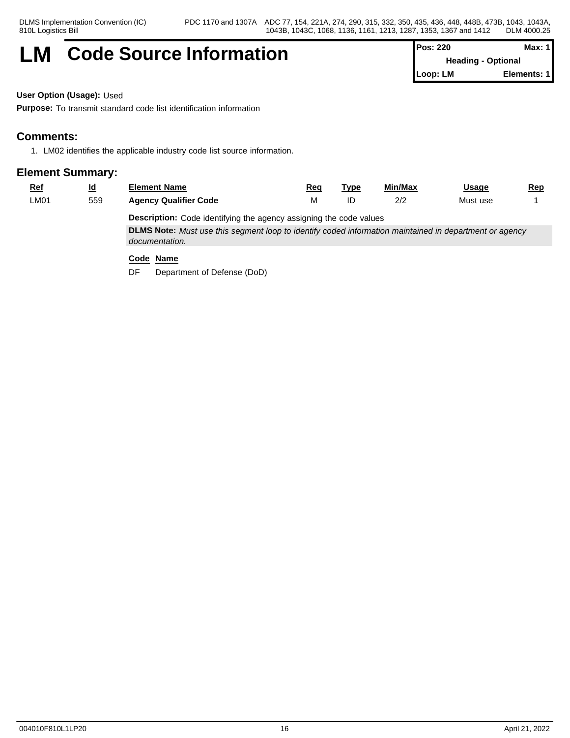## **LM** Code Source Information **Pos: 220** Max: 1

**Heading - Optional Loop: LM Elements: 1**

**User Option (Usage):** Used

**Purpose:** To transmit standard code list identification information

## **Comments:**

1. LM02 identifies the applicable industry code list source information.

## **Element Summary:**

| <u>Ref</u> | <u>ld</u> | <b>Element Name</b>          | Req | ™vp | Min/Max              | Usage    | <b>Rep</b> |
|------------|-----------|------------------------------|-----|-----|----------------------|----------|------------|
| LM01       | 559       | <b>Agency Qualifier Code</b> | .   | ID  | 0/0<br>$\frac{2}{5}$ | Must use |            |
|            |           | $\cdots$                     |     |     |                      |          |            |

**Description:** Code identifying the agency assigning the code values

**DLMS Note:** *Must use this segment loop to identify coded information maintained in department or agency documentation.*

### **Code Name**

DF Department of Defense (DoD)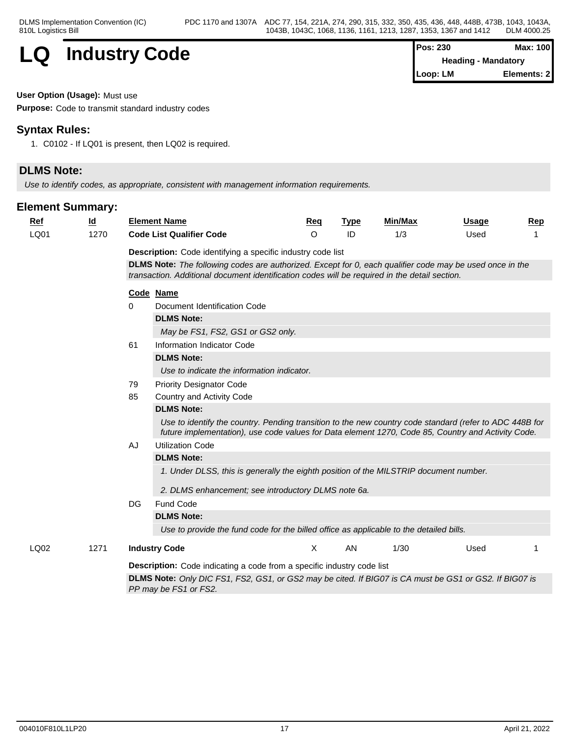

| $Pos: 230$ | Max: 100                   |  |
|------------|----------------------------|--|
|            | <b>Heading - Mandatory</b> |  |
| Loop: LM   | Elements: 2                |  |

**User Option (Usage):** Must use

**Purpose:** Code to transmit standard industry codes

## **Syntax Rules:**

1. C0102 - If LQ01 is present, then LQ02 is required.

## **DLMS Note:**

*Use to identify codes, as appropriate, consistent with management information requirements.*

| <b>Ref</b> | $\underline{\mathsf{Id}}$ | <b>Element Name</b>                                                                                                                                                                                           | Req     | <b>Type</b> | <b>Min/Max</b> | Usage | Rep |  |  |  |
|------------|---------------------------|---------------------------------------------------------------------------------------------------------------------------------------------------------------------------------------------------------------|---------|-------------|----------------|-------|-----|--|--|--|
| LQ01       | 1270                      | <b>Code List Qualifier Code</b>                                                                                                                                                                               | $\circ$ | ID          | 1/3            | Used  |     |  |  |  |
|            |                           | <b>Description:</b> Code identifying a specific industry code list                                                                                                                                            |         |             |                |       |     |  |  |  |
|            |                           | DLMS Note: The following codes are authorized. Except for 0, each qualifier code may be used once in the                                                                                                      |         |             |                |       |     |  |  |  |
|            |                           | transaction. Additional document identification codes will be required in the detail section.                                                                                                                 |         |             |                |       |     |  |  |  |
|            |                           | Code Name                                                                                                                                                                                                     |         |             |                |       |     |  |  |  |
|            |                           | Document Identification Code<br>$\Omega$                                                                                                                                                                      |         |             |                |       |     |  |  |  |
|            |                           | <b>DLMS Note:</b>                                                                                                                                                                                             |         |             |                |       |     |  |  |  |
|            |                           | May be FS1, FS2, GS1 or GS2 only.                                                                                                                                                                             |         |             |                |       |     |  |  |  |
|            |                           | 61<br>Information Indicator Code                                                                                                                                                                              |         |             |                |       |     |  |  |  |
|            |                           | <b>DLMS Note:</b>                                                                                                                                                                                             |         |             |                |       |     |  |  |  |
|            |                           | Use to indicate the information indicator.                                                                                                                                                                    |         |             |                |       |     |  |  |  |
|            |                           | 79<br><b>Priority Designator Code</b>                                                                                                                                                                         |         |             |                |       |     |  |  |  |
|            |                           | 85<br>Country and Activity Code                                                                                                                                                                               |         |             |                |       |     |  |  |  |
|            |                           | <b>DLMS Note:</b>                                                                                                                                                                                             |         |             |                |       |     |  |  |  |
|            |                           | Use to identify the country. Pending transition to the new country code standard (refer to ADC 448B for<br>future implementation), use code values for Data element 1270, Code 85, Country and Activity Code. |         |             |                |       |     |  |  |  |
|            |                           | AJ<br><b>Utilization Code</b>                                                                                                                                                                                 |         |             |                |       |     |  |  |  |
|            |                           | <b>DLMS Note:</b>                                                                                                                                                                                             |         |             |                |       |     |  |  |  |
|            |                           | 1. Under DLSS, this is generally the eighth position of the MILSTRIP document number.                                                                                                                         |         |             |                |       |     |  |  |  |
|            |                           | 2. DLMS enhancement; see introductory DLMS note 6a.                                                                                                                                                           |         |             |                |       |     |  |  |  |
|            |                           | Fund Code<br>DG                                                                                                                                                                                               |         |             |                |       |     |  |  |  |
|            |                           | <b>DLMS Note:</b>                                                                                                                                                                                             |         |             |                |       |     |  |  |  |
|            |                           | Use to provide the fund code for the billed office as applicable to the detailed bills.                                                                                                                       |         |             |                |       |     |  |  |  |
| LQ02       | 1271                      | <b>Industry Code</b>                                                                                                                                                                                          | X       | AN          | 1/30           | Used  |     |  |  |  |
|            |                           | <b>Description:</b> Code indicating a code from a specific industry code list                                                                                                                                 |         |             |                |       |     |  |  |  |
|            |                           | DLMS Note: Only DIC FS1, FS2, GS1, or GS2 may be cited. If BIG07 is CA must be GS1 or GS2. If BIG07 is                                                                                                        |         |             |                |       |     |  |  |  |
|            |                           | PP may be FS1 or FS2.                                                                                                                                                                                         |         |             |                |       |     |  |  |  |
|            |                           |                                                                                                                                                                                                               |         |             |                |       |     |  |  |  |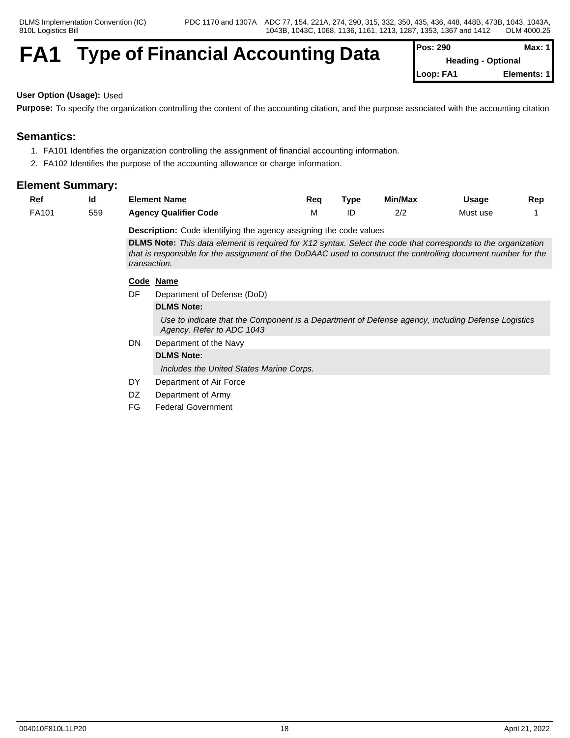## **FA1** Type of Financial Accounting Data

| Pos: 290  | Max: $1$                  |
|-----------|---------------------------|
|           | <b>Heading - Optional</b> |
| Loop: FA1 | Elements: 1               |

#### **User Option (Usage):** Used

**Purpose:** To specify the organization controlling the content of the accounting citation, and the purpose associated with the accounting citation

## **Semantics:**

- 1. FA101 Identifies the organization controlling the assignment of financial accounting information.
- 2. FA102 Identifies the purpose of the accounting allowance or charge information.

### **Element Summary:**

| <u>Ret</u> | <u>ld</u> | --<br><b>Element Name</b>    | Req | ™vp | Min/Max | <u>Usage</u> | Rep<br>$-$ |
|------------|-----------|------------------------------|-----|-----|---------|--------------|------------|
| FA101      | 559       | <b>Agency Qualifier Code</b> | .   | ᄔ   | $\sim$  | Must use     |            |

**Description:** Code identifying the agency assigning the code values

**DLMS Note:** *This data element is required for X12 syntax. Select the code that corresponds to the organization that is responsible for the assignment of the DoDAAC used to construct the controlling document number for the transaction.*

#### **Code Name**

DF Department of Defense (DoD)

#### **DLMS Note:**

*Use to indicate that the Component is a Department of Defense agency, including Defense Logistics Agency. Refer to ADC 1043*

DN Department of the Navy

### **DLMS Note:**

*Includes the United States Marine Corps.*

- DY Department of Air Force
- DZ Department of Army
- FG Federal Government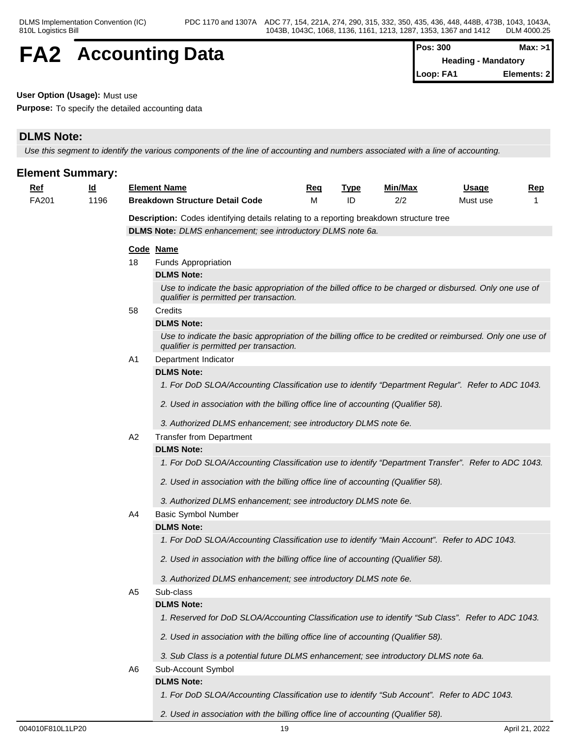## **FA2** Accounting Data  $\left[\begin{array}{cc} \text{Pos: } 300 & \text{Max: } >1 \\ \text{Heading - Mandatory} & \text{Mean} \end{array}\right]$

**Heading - Mandatory Loop: FA1 Elements: 2**

#### **User Option (Usage):** Must use

**Purpose:** To specify the detailed accounting data

## **DLMS Note:**

*Use this segment to identify the various components of the line of accounting and numbers associated with a line of accounting.*

| <b>Element Summary:</b> |           |                                                                                                |                                                                                                                                                        |            |             |                |              |            |  |  |  |
|-------------------------|-----------|------------------------------------------------------------------------------------------------|--------------------------------------------------------------------------------------------------------------------------------------------------------|------------|-------------|----------------|--------------|------------|--|--|--|
| <u>Ref</u>              | <u>ld</u> |                                                                                                | <b>Element Name</b>                                                                                                                                    | <u>Req</u> | <b>Type</b> | <u>Min/Max</u> | <u>Usage</u> | <u>Rep</u> |  |  |  |
| FA201                   | 1196      |                                                                                                | <b>Breakdown Structure Detail Code</b>                                                                                                                 | м          | ID          | 2/2            | Must use     |            |  |  |  |
|                         |           | <b>Description:</b> Codes identifying details relating to a reporting breakdown structure tree |                                                                                                                                                        |            |             |                |              |            |  |  |  |
|                         |           |                                                                                                | DLMS Note: DLMS enhancement; see introductory DLMS note 6a.                                                                                            |            |             |                |              |            |  |  |  |
|                         |           |                                                                                                | Code Name                                                                                                                                              |            |             |                |              |            |  |  |  |
|                         |           | 18                                                                                             | Funds Appropriation                                                                                                                                    |            |             |                |              |            |  |  |  |
|                         |           |                                                                                                | <b>DLMS Note:</b>                                                                                                                                      |            |             |                |              |            |  |  |  |
|                         |           |                                                                                                | Use to indicate the basic appropriation of the billed office to be charged or disbursed. Only one use of<br>qualifier is permitted per transaction.    |            |             |                |              |            |  |  |  |
|                         |           | 58                                                                                             | Credits                                                                                                                                                |            |             |                |              |            |  |  |  |
|                         |           |                                                                                                | <b>DLMS Note:</b>                                                                                                                                      |            |             |                |              |            |  |  |  |
|                         |           |                                                                                                | Use to indicate the basic appropriation of the billing office to be credited or reimbursed. Only one use of<br>qualifier is permitted per transaction. |            |             |                |              |            |  |  |  |
|                         |           | A <sub>1</sub>                                                                                 | Department Indicator                                                                                                                                   |            |             |                |              |            |  |  |  |
|                         |           |                                                                                                | <b>DLMS Note:</b>                                                                                                                                      |            |             |                |              |            |  |  |  |
|                         |           |                                                                                                | 1. For DoD SLOA/Accounting Classification use to identify "Department Regular". Refer to ADC 1043.                                                     |            |             |                |              |            |  |  |  |
|                         |           |                                                                                                | 2. Used in association with the billing office line of accounting (Qualifier 58).                                                                      |            |             |                |              |            |  |  |  |
|                         |           |                                                                                                | 3. Authorized DLMS enhancement; see introductory DLMS note 6e.                                                                                         |            |             |                |              |            |  |  |  |
|                         |           | A2                                                                                             | <b>Transfer from Department</b>                                                                                                                        |            |             |                |              |            |  |  |  |
|                         |           |                                                                                                | <b>DLMS Note:</b>                                                                                                                                      |            |             |                |              |            |  |  |  |
|                         |           |                                                                                                | 1. For DoD SLOA/Accounting Classification use to identify "Department Transfer". Refer to ADC 1043.                                                    |            |             |                |              |            |  |  |  |
|                         |           |                                                                                                | 2. Used in association with the billing office line of accounting (Qualifier 58).                                                                      |            |             |                |              |            |  |  |  |
|                         |           |                                                                                                | 3. Authorized DLMS enhancement; see introductory DLMS note 6e.                                                                                         |            |             |                |              |            |  |  |  |
|                         |           | A4                                                                                             | <b>Basic Symbol Number</b>                                                                                                                             |            |             |                |              |            |  |  |  |
|                         |           |                                                                                                | <b>DLMS Note:</b>                                                                                                                                      |            |             |                |              |            |  |  |  |
|                         |           |                                                                                                | 1. For DoD SLOA/Accounting Classification use to identify "Main Account". Refer to ADC 1043.                                                           |            |             |                |              |            |  |  |  |
|                         |           |                                                                                                | 2. Used in association with the billing office line of accounting (Qualifier 58).                                                                      |            |             |                |              |            |  |  |  |
|                         |           |                                                                                                | 3. Authorized DLMS enhancement; see introductory DLMS note 6e.                                                                                         |            |             |                |              |            |  |  |  |
|                         |           | A <sub>5</sub>                                                                                 | Sub-class                                                                                                                                              |            |             |                |              |            |  |  |  |
|                         |           |                                                                                                | <b>DLMS Note:</b>                                                                                                                                      |            |             |                |              |            |  |  |  |
|                         |           |                                                                                                | 1. Reserved for DoD SLOA/Accounting Classification use to identify "Sub Class". Refer to ADC 1043.                                                     |            |             |                |              |            |  |  |  |
|                         |           |                                                                                                | 2. Used in association with the billing office line of accounting (Qualifier 58).                                                                      |            |             |                |              |            |  |  |  |
|                         |           |                                                                                                | 3. Sub Class is a potential future DLMS enhancement; see introductory DLMS note 6a.                                                                    |            |             |                |              |            |  |  |  |
|                         |           | A6                                                                                             | Sub-Account Symbol                                                                                                                                     |            |             |                |              |            |  |  |  |
|                         |           |                                                                                                | <b>DLMS Note:</b>                                                                                                                                      |            |             |                |              |            |  |  |  |
|                         |           |                                                                                                | 1. For DoD SLOA/Accounting Classification use to identify "Sub Account". Refer to ADC 1043.                                                            |            |             |                |              |            |  |  |  |
|                         |           |                                                                                                |                                                                                                                                                        |            |             |                |              |            |  |  |  |

*2. Used in association with the billing office line of accounting (Qualifier 58).*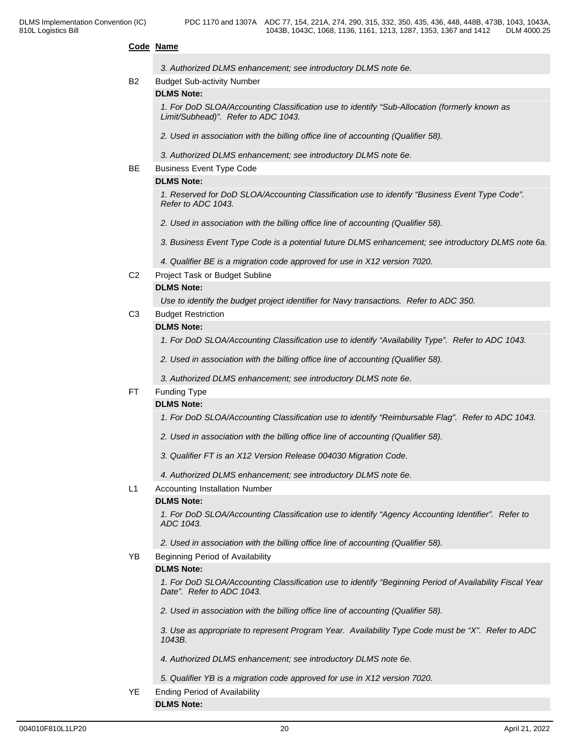#### **Code Name**

|                | 3. Authorized DLMS enhancement; see introductory DLMS note 6e.                                                                       |  |
|----------------|--------------------------------------------------------------------------------------------------------------------------------------|--|
| <b>B2</b>      | <b>Budget Sub-activity Number</b>                                                                                                    |  |
|                | <b>DLMS Note:</b>                                                                                                                    |  |
|                | 1. For DoD SLOA/Accounting Classification use to identify "Sub-Allocation (formerly known as<br>Limit/Subhead)". Refer to ADC 1043.  |  |
|                | 2. Used in association with the billing office line of accounting (Qualifier 58).                                                    |  |
|                | 3. Authorized DLMS enhancement; see introductory DLMS note 6e.                                                                       |  |
| BE             | <b>Business Event Type Code</b>                                                                                                      |  |
|                | <b>DLMS Note:</b>                                                                                                                    |  |
|                | 1. Reserved for DoD SLOA/Accounting Classification use to identify "Business Event Type Code".<br>Refer to ADC 1043.                 |  |
|                | 2. Used in association with the billing office line of accounting (Qualifier 58).                                                    |  |
|                | 3. Business Event Type Code is a potential future DLMS enhancement; see introductory DLMS note 6a.                                   |  |
|                | 4. Qualifier BE is a migration code approved for use in X12 version 7020.                                                            |  |
| C <sub>2</sub> | Project Task or Budget Subline                                                                                                       |  |
|                | <b>DLMS Note:</b>                                                                                                                    |  |
|                | Use to identify the budget project identifier for Navy transactions. Refer to ADC 350.                                               |  |
| C <sub>3</sub> | <b>Budget Restriction</b>                                                                                                            |  |
|                | <b>DLMS Note:</b>                                                                                                                    |  |
|                | 1. For DoD SLOA/Accounting Classification use to identify "Availability Type". Refer to ADC 1043.                                    |  |
|                | 2. Used in association with the billing office line of accounting (Qualifier 58).                                                    |  |
|                | 3. Authorized DLMS enhancement; see introductory DLMS note 6e.                                                                       |  |
| FT.            | <b>Funding Type</b>                                                                                                                  |  |
|                | <b>DLMS Note:</b>                                                                                                                    |  |
|                | 1. For DoD SLOA/Accounting Classification use to identify "Reimbursable Flag". Refer to ADC 1043.                                    |  |
|                | 2. Used in association with the billing office line of accounting (Qualifier 58).                                                    |  |
|                | 3. Qualifier FT is an X12 Version Release 004030 Migration Code.                                                                     |  |
|                | 4. Authorized DLMS enhancement; see introductory DLMS note 6e.                                                                       |  |
| L1             | Accounting Installation Number                                                                                                       |  |
|                | <b>DLMS Note:</b>                                                                                                                    |  |
|                | 1. For DoD SLOA/Accounting Classification use to identify "Agency Accounting Identifier". Refer to<br>ADC 1043.                      |  |
|                | 2. Used in association with the billing office line of accounting (Qualifier 58).                                                    |  |
| YB             | Beginning Period of Availability                                                                                                     |  |
|                | <b>DLMS Note:</b>                                                                                                                    |  |
|                | 1. For DoD SLOA/Accounting Classification use to identify "Beginning Period of Availability Fiscal Year<br>Date". Refer to ADC 1043. |  |
|                | 2. Used in association with the billing office line of accounting (Qualifier 58).                                                    |  |
|                | 3. Use as appropriate to represent Program Year. Availability Type Code must be "X". Refer to ADC<br>1043B.                          |  |
|                | 4. Authorized DLMS enhancement; see introductory DLMS note 6e.                                                                       |  |
|                | 5. Qualifier YB is a migration code approved for use in X12 version 7020.                                                            |  |
| YE             | <b>Ending Period of Availability</b>                                                                                                 |  |

**DLMS Note:**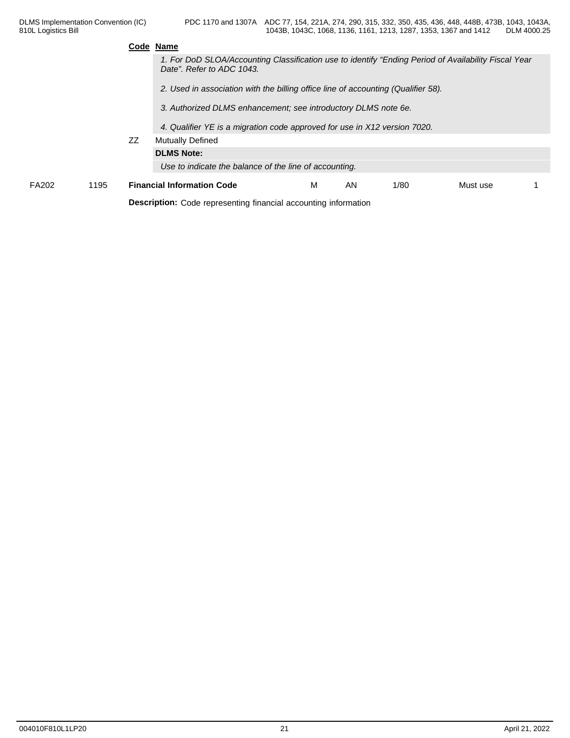|              |      |    | Code Name                                                                                                                         |   |    |      |          |  |
|--------------|------|----|-----------------------------------------------------------------------------------------------------------------------------------|---|----|------|----------|--|
|              |      |    | 1. For DoD SLOA/Accounting Classification use to identify "Ending Period of Availability Fiscal Year<br>Date". Refer to ADC 1043. |   |    |      |          |  |
|              |      |    | 2. Used in association with the billing office line of accounting (Qualifier 58).                                                 |   |    |      |          |  |
|              |      |    | 3. Authorized DLMS enhancement; see introductory DLMS note 6e.                                                                    |   |    |      |          |  |
|              |      |    | 4. Qualifier YE is a migration code approved for use in X12 version 7020.                                                         |   |    |      |          |  |
|              |      | ZZ | <b>Mutually Defined</b>                                                                                                           |   |    |      |          |  |
|              |      |    | <b>DLMS Note:</b>                                                                                                                 |   |    |      |          |  |
|              |      |    | Use to indicate the balance of the line of accounting.                                                                            |   |    |      |          |  |
| <b>FA202</b> | 1195 |    | <b>Financial Information Code</b>                                                                                                 | м | AN | 1/80 | Must use |  |
|              |      |    | <b>Description:</b> Code representing financial accounting information                                                            |   |    |      |          |  |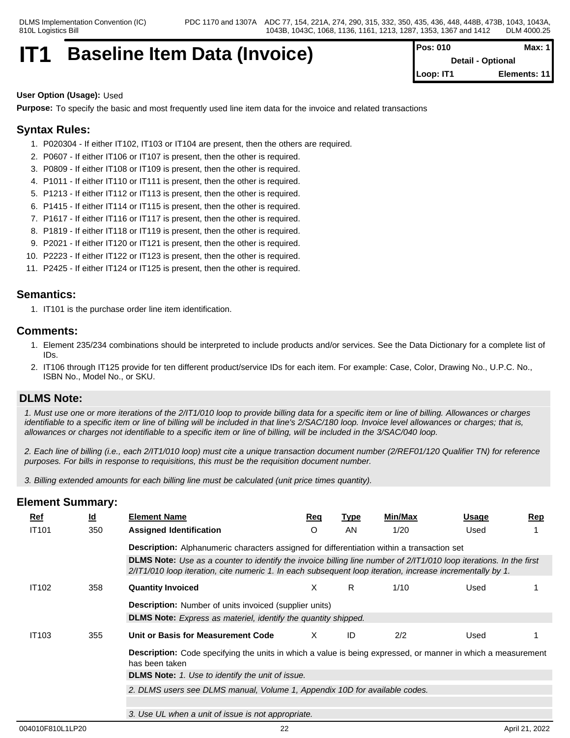## **IT1** Baseline Item Data (Invoice)

| Pos: 010  | Max: $1$                 |
|-----------|--------------------------|
|           | <b>Detail - Optional</b> |
| Loop: IT1 | Elements: 11             |

#### **User Option (Usage):** Used

**Purpose:** To specify the basic and most frequently used line item data for the invoice and related transactions

## **Syntax Rules:**

- 1. P020304 If either IT102, IT103 or IT104 are present, then the others are required.
- 2. P0607 If either IT106 or IT107 is present, then the other is required.
- 3. P0809 If either IT108 or IT109 is present, then the other is required.
- 4. P1011 If either IT110 or IT111 is present, then the other is required.
- 5. P1213 If either IT112 or IT113 is present, then the other is required.
- 6. P1415 If either IT114 or IT115 is present, then the other is required.
- 7. P1617 If either IT116 or IT117 is present, then the other is required.
- 8. P1819 If either IT118 or IT119 is present, then the other is required.
- 9. P2021 If either IT120 or IT121 is present, then the other is required.
- 10. P2223 If either IT122 or IT123 is present, then the other is required.
- 11. P2425 If either IT124 or IT125 is present, then the other is required.

### **Semantics:**

1. IT101 is the purchase order line item identification.

### **Comments:**

- 1. Element 235/234 combinations should be interpreted to include products and/or services. See the Data Dictionary for a complete list of IDs.
- 2. IT106 through IT125 provide for ten different product/service IDs for each item. For example: Case, Color, Drawing No., U.P.C. No., ISBN No., Model No., or SKU.

### **DLMS Note:**

*1. Must use one or more iterations of the 2/IT1/010 loop to provide billing data for a specific item or line of billing. Allowances or charges identifiable to a specific item or line of billing will be included in that line's 2/SAC/180 loop. Invoice level allowances or charges; that is, allowances or charges not identifiable to a specific item or line of billing, will be included in the 3/SAC/040 loop.*

*2. Each line of billing (i.e., each 2/IT1/010 loop) must cite a unique transaction document number (2/REF01/120 Qualifier TN) for reference purposes. For bills in response to requisitions, this must be the requisition document number.*

*3. Billing extended amounts for each billing line must be calculated (unit price times quantity).*

| <u>Ref</u>   | $\underline{\mathsf{Id}}$ | <b>Element Name</b>                                                                                                                                                                                                             | Req     | <u>Type</u> | Min/Max | Usage | Rep |
|--------------|---------------------------|---------------------------------------------------------------------------------------------------------------------------------------------------------------------------------------------------------------------------------|---------|-------------|---------|-------|-----|
| <b>IT101</b> | 350                       | <b>Assigned Identification</b>                                                                                                                                                                                                  | $\circ$ | AN.         | 1/20    | Used  |     |
|              |                           | <b>Description:</b> Alphanumeric characters assigned for differentiation within a transaction set                                                                                                                               |         |             |         |       |     |
|              |                           | DLMS Note: Use as a counter to identify the invoice billing line number of 2/IT1/010 loop iterations. In the first<br>2/IT1/010 loop iteration, cite numeric 1. In each subsequent loop iteration, increase incrementally by 1. |         |             |         |       |     |
| <b>IT102</b> | 358                       | <b>Quantity Invoiced</b>                                                                                                                                                                                                        | X       | R.          | 1/10    | Used  |     |
|              |                           | <b>Description:</b> Number of units invoiced (supplier units)                                                                                                                                                                   |         |             |         |       |     |
|              |                           | <b>DLMS Note:</b> Express as materiel, identify the quantity shipped.                                                                                                                                                           |         |             |         |       |     |
| <b>IT103</b> | 355                       | Unit or Basis for Measurement Code                                                                                                                                                                                              | X.      | ID          | 2/2     | Used  |     |
|              |                           | <b>Description:</b> Code specifying the units in which a value is being expressed, or manner in which a measurement<br>has been taken                                                                                           |         |             |         |       |     |
|              |                           | DLMS Note: 1. Use to identify the unit of issue.                                                                                                                                                                                |         |             |         |       |     |
|              |                           | 2. DLMS users see DLMS manual, Volume 1, Appendix 10D for available codes.                                                                                                                                                      |         |             |         |       |     |
|              |                           |                                                                                                                                                                                                                                 |         |             |         |       |     |
|              |                           | 3. Use UL when a unit of issue is not appropriate.                                                                                                                                                                              |         |             |         |       |     |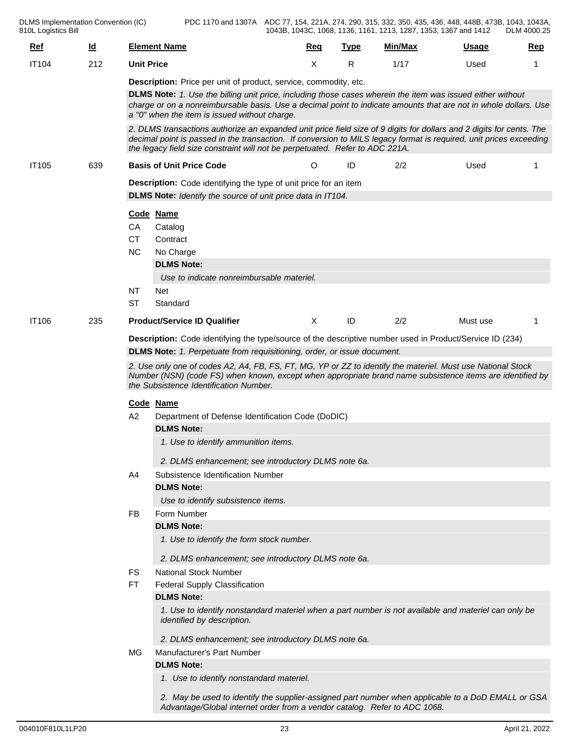PDC 1170 and 1307A ADC 77, 154, 221A, 274, 290, 315, 332, 350, 435, 436, 448, 448B, 473B, 1043, 1043A, 1043B, 1043C, 1068, 1136, 1161, 1213, 1287, 1353, 1367 and 1412 DLM 4000.25

| <u>Ref</u>   | $\underline{\mathsf{Id}}$ | <b>Element Name</b>                                                                                                                                                                                                                                                                                                        | Req | <u>Type</u> | Min/Max | <b>Usage</b> | <b>Rep</b> |  |  |  |
|--------------|---------------------------|----------------------------------------------------------------------------------------------------------------------------------------------------------------------------------------------------------------------------------------------------------------------------------------------------------------------------|-----|-------------|---------|--------------|------------|--|--|--|
| <b>IT104</b> | 212                       | <b>Unit Price</b>                                                                                                                                                                                                                                                                                                          | X   | R           | 1/17    | Used         | 1          |  |  |  |
|              |                           | Description: Price per unit of product, service, commodity, etc.                                                                                                                                                                                                                                                           |     |             |         |              |            |  |  |  |
|              |                           | DLMS Note: 1. Use the billing unit price, including those cases wherein the item was issued either without<br>charge or on a nonreimbursable basis. Use a decimal point to indicate amounts that are not in whole dollars. Use<br>a "0" when the item is issued without charge.                                            |     |             |         |              |            |  |  |  |
|              |                           | 2. DLMS transactions authorize an expanded unit price field size of 9 digits for dollars and 2 digits for cents. The<br>decimal point is passed in the transaction. If conversion to MILS legacy format is required, unit prices exceeding<br>the legacy field size constraint will not be perpetuated. Refer to ADC 221A. |     |             |         |              |            |  |  |  |
| <b>IT105</b> | 639                       | <b>Basis of Unit Price Code</b>                                                                                                                                                                                                                                                                                            | O   | ID          | 2/2     | Used         |            |  |  |  |
|              |                           | <b>Description:</b> Code identifying the type of unit price for an item<br>DLMS Note: Identify the source of unit price data in IT104.                                                                                                                                                                                     |     |             |         |              |            |  |  |  |
|              |                           | Code Name<br>CA<br>Catalog<br><b>CT</b><br>Contract<br><b>NC</b><br>No Charge<br><b>DLMS Note:</b><br>Use to indicate nonreimbursable materiel.<br><b>NT</b><br>Net                                                                                                                                                        |     |             |         |              |            |  |  |  |
|              |                           | <b>ST</b><br>Standard                                                                                                                                                                                                                                                                                                      |     |             |         |              |            |  |  |  |
| <b>IT106</b> | 235                       | <b>Product/Service ID Qualifier</b>                                                                                                                                                                                                                                                                                        | X   | ID          | 2/2     | Must use     | -1         |  |  |  |
|              |                           | Description: Code identifying the type/source of the descriptive number used in Product/Service ID (234)<br>DLMS Note: 1. Perpetuate from requisitioning, order, or issue document.                                                                                                                                        |     |             |         |              |            |  |  |  |
|              |                           | 2. Use only one of codes A2, A4, FB, FS, FT, MG, YP or ZZ to identify the materiel. Must use National Stock<br>Number (NSN) (code FS) when known, except when appropriate brand name subsistence items are identified by<br>the Subsistence Identification Number.                                                         |     |             |         |              |            |  |  |  |
|              |                           | Code Name<br>A <sub>2</sub><br>Department of Defense Identification Code (DoDIC)<br><b>DLMS Note:</b><br>1. Use to identify ammunition items.<br>2. DLMS enhancement; see introductory DLMS note 6a.<br>Subsistence Identification Number<br>A4<br><b>DLMS Note:</b>                                                       |     |             |         |              |            |  |  |  |
|              |                           | Use to identify subsistence items.                                                                                                                                                                                                                                                                                         |     |             |         |              |            |  |  |  |
|              |                           | Form Number<br>FB<br><b>DLMS Note:</b><br>1. Use to identify the form stock number.                                                                                                                                                                                                                                        |     |             |         |              |            |  |  |  |
|              |                           | 2. DLMS enhancement; see introductory DLMS note 6a.<br><b>National Stock Number</b><br>FS                                                                                                                                                                                                                                  |     |             |         |              |            |  |  |  |
|              |                           | <b>FT</b><br>Federal Supply Classification                                                                                                                                                                                                                                                                                 |     |             |         |              |            |  |  |  |
|              |                           | <b>DLMS Note:</b>                                                                                                                                                                                                                                                                                                          |     |             |         |              |            |  |  |  |
|              |                           | 1. Use to identify nonstandard materiel when a part number is not available and materiel can only be<br>identified by description.                                                                                                                                                                                         |     |             |         |              |            |  |  |  |
|              |                           | 2. DLMS enhancement; see introductory DLMS note 6a.                                                                                                                                                                                                                                                                        |     |             |         |              |            |  |  |  |
|              |                           | Manufacturer's Part Number<br>MG                                                                                                                                                                                                                                                                                           |     |             |         |              |            |  |  |  |
|              |                           | <b>DLMS Note:</b><br>1. Use to identify nonstandard materiel.                                                                                                                                                                                                                                                              |     |             |         |              |            |  |  |  |
|              |                           | 2. May be used to identify the supplier-assigned part number when applicable to a DoD EMALL or GSA<br>Advantage/Global internet order from a vendor catalog. Refer to ADC 1068.                                                                                                                                            |     |             |         |              |            |  |  |  |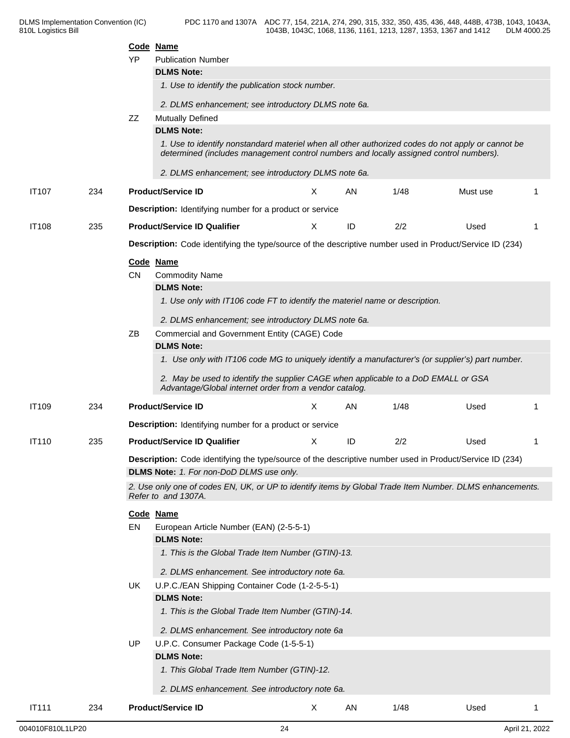|              |     | YP        | Code Name<br><b>Publication Number</b><br><b>DLMS Note:</b><br>1. Use to identify the publication stock number.                                                                                                                                                                                    |    |            |      |          |    |
|--------------|-----|-----------|----------------------------------------------------------------------------------------------------------------------------------------------------------------------------------------------------------------------------------------------------------------------------------------------------|----|------------|------|----------|----|
|              |     | ZZ        | 2. DLMS enhancement; see introductory DLMS note 6a.<br><b>Mutually Defined</b><br><b>DLMS Note:</b><br>1. Use to identify nonstandard materiel when all other authorized codes do not apply or cannot be<br>determined (includes management control numbers and locally assigned control numbers). |    |            |      |          |    |
|              |     |           | 2. DLMS enhancement; see introductory DLMS note 6a.                                                                                                                                                                                                                                                |    |            |      |          |    |
| <b>IT107</b> | 234 |           | <b>Product/Service ID</b>                                                                                                                                                                                                                                                                          | X. | AN         | 1/48 | Must use |    |
|              |     |           | <b>Description:</b> Identifying number for a product or service                                                                                                                                                                                                                                    |    |            |      |          |    |
| <b>IT108</b> | 235 |           | <b>Product/Service ID Qualifier</b>                                                                                                                                                                                                                                                                | X. | ID         | 2/2  | Used     | -1 |
|              |     |           | Description: Code identifying the type/source of the descriptive number used in Product/Service ID (234)                                                                                                                                                                                           |    |            |      |          |    |
|              |     | <b>CN</b> | Code Name<br><b>Commodity Name</b><br><b>DLMS Note:</b><br>1. Use only with IT106 code FT to identify the materiel name or description.<br>2. DLMS enhancement; see introductory DLMS note 6a.                                                                                                     |    |            |      |          |    |
|              |     | ΖB        | Commercial and Government Entity (CAGE) Code                                                                                                                                                                                                                                                       |    |            |      |          |    |
|              |     |           | <b>DLMS Note:</b><br>1. Use only with IT106 code MG to uniquely identify a manufacturer's (or supplier's) part number.<br>2. May be used to identify the supplier CAGE when applicable to a DoD EMALL or GSA<br>Advantage/Global internet order from a vendor catalog.                             |    |            |      |          |    |
| IT109        | 234 |           | <b>Product/Service ID</b>                                                                                                                                                                                                                                                                          | X  | AN         | 1/48 | Used     | -1 |
|              |     |           | <b>Description:</b> Identifying number for a product or service                                                                                                                                                                                                                                    |    |            |      |          |    |
| <b>IT110</b> | 235 |           | <b>Product/Service ID Qualifier</b>                                                                                                                                                                                                                                                                | X  | ID         | 2/2  | Used     |    |
|              |     |           | Description: Code identifying the type/source of the descriptive number used in Product/Service ID (234)<br>DLMS Note: 1. For non-DoD DLMS use only.                                                                                                                                               |    |            |      |          |    |
|              |     |           | 2. Use only one of codes EN, UK, or UP to identify items by Global Trade Item Number. DLMS enhancements.<br>Refer to and 1307A.                                                                                                                                                                    |    |            |      |          |    |
|              |     | EN        | Code Name<br>European Article Number (EAN) (2-5-5-1)<br><b>DLMS Note:</b><br>1. This is the Global Trade Item Number (GTIN)-13.<br>2. DLMS enhancement. See introductory note 6a.                                                                                                                  |    |            |      |          |    |
|              |     | UK.       | U.P.C./EAN Shipping Container Code (1-2-5-5-1)<br><b>DLMS Note:</b><br>1. This is the Global Trade Item Number (GTIN)-14.                                                                                                                                                                          |    |            |      |          |    |
|              |     | <b>UP</b> | 2. DLMS enhancement. See introductory note 6a<br>U.P.C. Consumer Package Code (1-5-5-1)<br><b>DLMS Note:</b><br>1. This Global Trade Item Number (GTIN)-12.                                                                                                                                        |    |            |      |          |    |
|              |     |           | 2. DLMS enhancement. See introductory note 6a.                                                                                                                                                                                                                                                     |    |            |      |          |    |
| <b>IT111</b> | 234 |           | <b>Product/Service ID</b>                                                                                                                                                                                                                                                                          | X  | ${\sf AN}$ | 1/48 | Used     |    |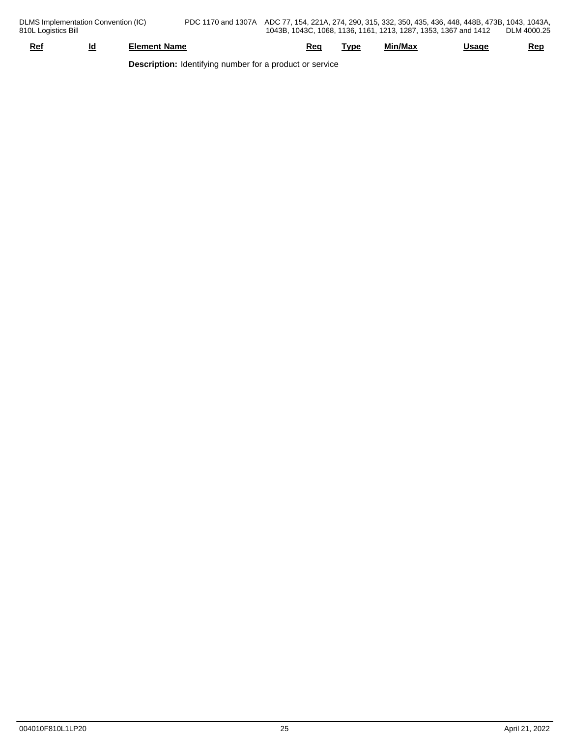| Re | ıd<br>___<br>_ | * Nam⊾<br>:ment                     | кес | ™vp | . .<br>Min/Max | .<br>aa | Rep |
|----|----------------|-------------------------------------|-----|-----|----------------|---------|-----|
|    |                | .<br>the property of the con-<br>__ |     |     |                |         |     |

**Description:** Identifying number for a product or service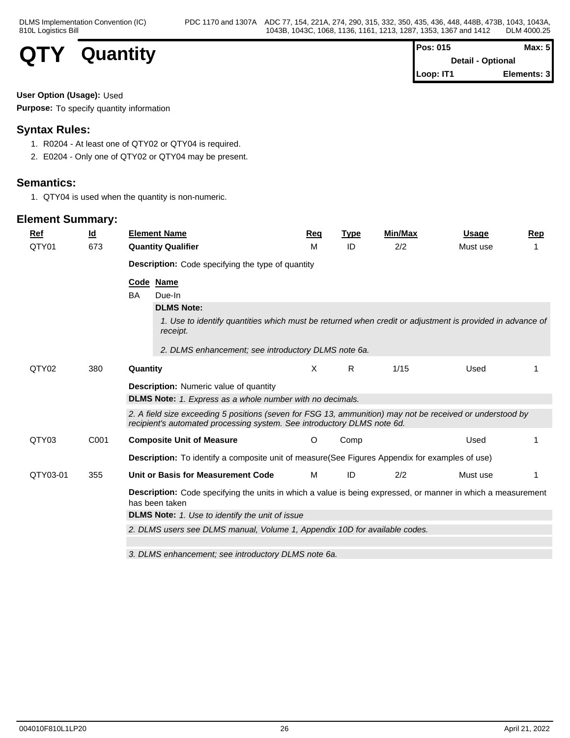

| <b>Pos: 015</b>          | Max: 5 <sup>l</sup> |  |
|--------------------------|---------------------|--|
| <b>Detail - Optional</b> |                     |  |
| $\blacksquare$ Loop: IT1 | Elements: 3         |  |

#### **User Option (Usage):** Used

**Purpose:** To specify quantity information

## **Syntax Rules:**

- 1. R0204 At least one of QTY02 or QTY04 is required.
- 2. E0204 Only one of QTY02 or QTY04 may be present.

## **Semantics:**

1. QTY04 is used when the quantity is non-numeric.

| $Ref$    | $\underline{\mathsf{Id}}$ | <b>Element Name</b>                                                                                                                                                                  | <u>Req</u> | <b>Type</b> | Min/Max | <b>Usage</b> | Rep |
|----------|---------------------------|--------------------------------------------------------------------------------------------------------------------------------------------------------------------------------------|------------|-------------|---------|--------------|-----|
| QTY01    | 673                       | <b>Quantity Qualifier</b>                                                                                                                                                            | м          | ID          | 2/2     | Must use     |     |
|          |                           | Description: Code specifying the type of quantity                                                                                                                                    |            |             |         |              |     |
|          |                           | Code Name                                                                                                                                                                            |            |             |         |              |     |
|          |                           | <b>BA</b><br>Due-In                                                                                                                                                                  |            |             |         |              |     |
|          |                           | <b>DLMS Note:</b>                                                                                                                                                                    |            |             |         |              |     |
|          |                           | 1. Use to identify quantities which must be returned when credit or adjustment is provided in advance of<br>receipt.                                                                 |            |             |         |              |     |
|          |                           | 2. DLMS enhancement; see introductory DLMS note 6a.                                                                                                                                  |            |             |         |              |     |
| QTY02    | 380                       | Quantity                                                                                                                                                                             | X          | R           | 1/15    | Used         |     |
|          |                           | <b>Description:</b> Numeric value of quantity                                                                                                                                        |            |             |         |              |     |
|          |                           | <b>DLMS Note:</b> 1. Express as a whole number with no decimals.                                                                                                                     |            |             |         |              |     |
|          |                           | 2. A field size exceeding 5 positions (seven for FSG 13, ammunition) may not be received or understood by<br>recipient's automated processing system. See introductory DLMS note 6d. |            |             |         |              |     |
| QTY03    | C001                      | <b>Composite Unit of Measure</b>                                                                                                                                                     | O          | Comp        |         | Used         |     |
|          |                           | Description: To identify a composite unit of measure(See Figures Appendix for examples of use)                                                                                       |            |             |         |              |     |
| QTY03-01 | 355                       | Unit or Basis for Measurement Code                                                                                                                                                   | M          | ID          | 2/2     | Must use     |     |
|          |                           | <b>Description:</b> Code specifying the units in which a value is being expressed, or manner in which a measurement<br>has been taken                                                |            |             |         |              |     |
|          |                           | <b>DLMS Note:</b> 1. Use to identify the unit of issue                                                                                                                               |            |             |         |              |     |
|          |                           | 2. DLMS users see DLMS manual, Volume 1, Appendix 10D for available codes.                                                                                                           |            |             |         |              |     |
|          |                           |                                                                                                                                                                                      |            |             |         |              |     |
|          |                           | 3. DLMS enhancement: see introductory DLMS note 6a.                                                                                                                                  |            |             |         |              |     |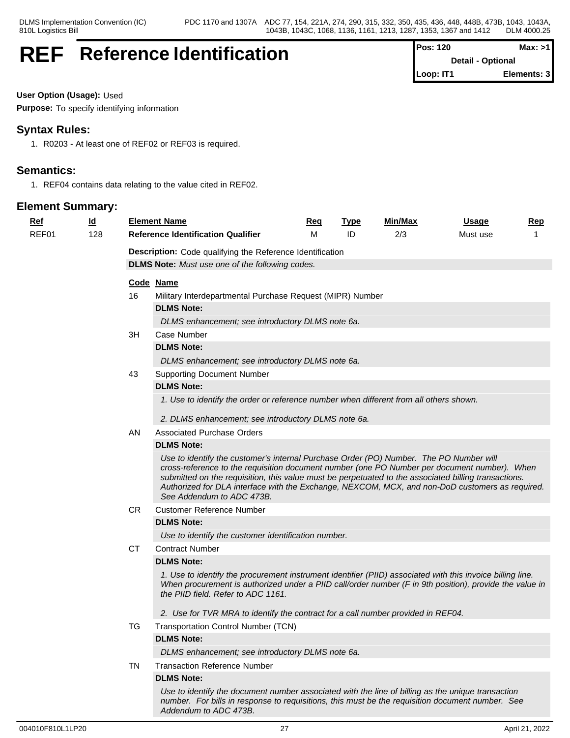## **REF** Reference Identification  $\vert \vert^{\circ}$

| Pos: 120  | Max: >1                  |
|-----------|--------------------------|
|           | <b>Detail - Optional</b> |
| Loop: IT1 | Elements: 3              |

**User Option (Usage):** Used

**Purpose:** To specify identifying information

## **Syntax Rules:**

1. R0203 - At least one of REF02 or REF03 is required.

## **Semantics:**

1. REF04 contains data relating to the value cited in REF02.

| <u>Ref</u> | <u>ld</u> |           | <b>Element Name</b>                                                                                                                                                                                                                                                                                                                                                                                                            | <u>Req</u> | <b>Type</b> | Min/Max | <u>Usage</u> | <b>Rep</b> |
|------------|-----------|-----------|--------------------------------------------------------------------------------------------------------------------------------------------------------------------------------------------------------------------------------------------------------------------------------------------------------------------------------------------------------------------------------------------------------------------------------|------------|-------------|---------|--------------|------------|
| REF01      | 128       |           | <b>Reference Identification Qualifier</b>                                                                                                                                                                                                                                                                                                                                                                                      | м          | ID          | 2/3     | Must use     |            |
|            |           |           | Description: Code qualifying the Reference Identification                                                                                                                                                                                                                                                                                                                                                                      |            |             |         |              |            |
|            |           |           | <b>DLMS Note:</b> Must use one of the following codes.                                                                                                                                                                                                                                                                                                                                                                         |            |             |         |              |            |
|            |           |           | Code Name                                                                                                                                                                                                                                                                                                                                                                                                                      |            |             |         |              |            |
|            |           | 16        | Military Interdepartmental Purchase Request (MIPR) Number                                                                                                                                                                                                                                                                                                                                                                      |            |             |         |              |            |
|            |           |           | <b>DLMS Note:</b>                                                                                                                                                                                                                                                                                                                                                                                                              |            |             |         |              |            |
|            |           |           | DLMS enhancement; see introductory DLMS note 6a.                                                                                                                                                                                                                                                                                                                                                                               |            |             |         |              |            |
|            |           | 3H        | Case Number                                                                                                                                                                                                                                                                                                                                                                                                                    |            |             |         |              |            |
|            |           |           | <b>DLMS Note:</b>                                                                                                                                                                                                                                                                                                                                                                                                              |            |             |         |              |            |
|            |           |           | DLMS enhancement; see introductory DLMS note 6a.                                                                                                                                                                                                                                                                                                                                                                               |            |             |         |              |            |
|            |           | 43        | <b>Supporting Document Number</b>                                                                                                                                                                                                                                                                                                                                                                                              |            |             |         |              |            |
|            |           |           | <b>DLMS Note:</b>                                                                                                                                                                                                                                                                                                                                                                                                              |            |             |         |              |            |
|            |           |           | 1. Use to identify the order or reference number when different from all others shown.                                                                                                                                                                                                                                                                                                                                         |            |             |         |              |            |
|            |           |           | 2. DLMS enhancement; see introductory DLMS note 6a.                                                                                                                                                                                                                                                                                                                                                                            |            |             |         |              |            |
|            |           | AN.       | <b>Associated Purchase Orders</b>                                                                                                                                                                                                                                                                                                                                                                                              |            |             |         |              |            |
|            |           |           | <b>DLMS Note:</b>                                                                                                                                                                                                                                                                                                                                                                                                              |            |             |         |              |            |
|            |           |           | Use to identify the customer's internal Purchase Order (PO) Number. The PO Number will<br>cross-reference to the requisition document number (one PO Number per document number). When<br>submitted on the requisition, this value must be perpetuated to the associated billing transactions.<br>Authorized for DLA interface with the Exchange, NEXCOM, MCX, and non-DoD customers as required.<br>See Addendum to ADC 473B. |            |             |         |              |            |
|            |           | <b>CR</b> | <b>Customer Reference Number</b>                                                                                                                                                                                                                                                                                                                                                                                               |            |             |         |              |            |
|            |           |           | <b>DLMS Note:</b>                                                                                                                                                                                                                                                                                                                                                                                                              |            |             |         |              |            |
|            |           |           | Use to identify the customer identification number.                                                                                                                                                                                                                                                                                                                                                                            |            |             |         |              |            |
|            |           | <b>CT</b> | <b>Contract Number</b>                                                                                                                                                                                                                                                                                                                                                                                                         |            |             |         |              |            |
|            |           |           | <b>DLMS Note:</b>                                                                                                                                                                                                                                                                                                                                                                                                              |            |             |         |              |            |
|            |           |           | 1. Use to identify the procurement instrument identifier (PIID) associated with this invoice billing line.<br>When procurement is authorized under a PIID call/order number (F in 9th position), provide the value in<br>the PIID field. Refer to ADC 1161.                                                                                                                                                                    |            |             |         |              |            |
|            |           |           | 2. Use for TVR MRA to identify the contract for a call number provided in REF04.                                                                                                                                                                                                                                                                                                                                               |            |             |         |              |            |
|            |           | TG        | Transportation Control Number (TCN)                                                                                                                                                                                                                                                                                                                                                                                            |            |             |         |              |            |
|            |           |           | <b>DLMS Note:</b>                                                                                                                                                                                                                                                                                                                                                                                                              |            |             |         |              |            |
|            |           |           | DLMS enhancement; see introductory DLMS note 6a.                                                                                                                                                                                                                                                                                                                                                                               |            |             |         |              |            |
|            |           | TN        | <b>Transaction Reference Number</b>                                                                                                                                                                                                                                                                                                                                                                                            |            |             |         |              |            |
|            |           |           | <b>DLMS Note:</b>                                                                                                                                                                                                                                                                                                                                                                                                              |            |             |         |              |            |
|            |           |           | Use to identify the document number associated with the line of billing as the unique transaction<br>number. For bills in response to requisitions, this must be the requisition document number. See<br>Addendum to ADC 473B.                                                                                                                                                                                                 |            |             |         |              |            |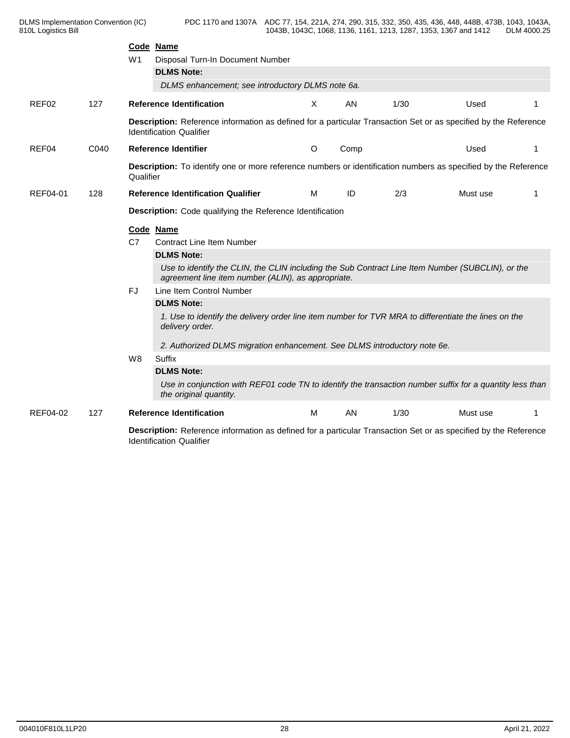|          |      | W <sub>1</sub> | Code Name<br>Disposal Turn-In Document Number<br><b>DLMS Note:</b><br>DLMS enhancement; see introductory DLMS note 6a.                                 |   |      |      |          |    |
|----------|------|----------------|--------------------------------------------------------------------------------------------------------------------------------------------------------|---|------|------|----------|----|
| REF02    | 127  |                | <b>Reference Identification</b>                                                                                                                        | X | AN   | 1/30 | Used     |    |
|          |      |                | Description: Reference information as defined for a particular Transaction Set or as specified by the Reference<br><b>Identification Qualifier</b>     |   |      |      |          |    |
| REF04    | C040 |                | <b>Reference Identifier</b>                                                                                                                            | O | Comp |      | Used     |    |
|          |      | Qualifier      | <b>Description:</b> To identify one or more reference numbers or identification numbers as specified by the Reference                                  |   |      |      |          |    |
| REF04-01 | 128  |                | <b>Reference Identification Qualifier</b>                                                                                                              | M | ID   | 2/3  | Must use | -1 |
|          |      |                | Description: Code qualifying the Reference Identification                                                                                              |   |      |      |          |    |
|          |      |                | Code Name                                                                                                                                              |   |      |      |          |    |
|          |      | C7             | <b>Contract Line Item Number</b>                                                                                                                       |   |      |      |          |    |
|          |      |                | <b>DLMS Note:</b>                                                                                                                                      |   |      |      |          |    |
|          |      |                | Use to identify the CLIN, the CLIN including the Sub Contract Line Item Number (SUBCLIN), or the<br>agreement line item number (ALIN), as appropriate. |   |      |      |          |    |
|          |      | FJ             | Line Item Control Number                                                                                                                               |   |      |      |          |    |
|          |      |                | <b>DLMS Note:</b>                                                                                                                                      |   |      |      |          |    |
|          |      |                | 1. Use to identify the delivery order line item number for TVR MRA to differentiate the lines on the<br>delivery order.                                |   |      |      |          |    |
|          |      |                | 2. Authorized DLMS migration enhancement. See DLMS introductory note 6e.                                                                               |   |      |      |          |    |
|          |      | W8             | Suffix                                                                                                                                                 |   |      |      |          |    |
|          |      |                | <b>DLMS Note:</b>                                                                                                                                      |   |      |      |          |    |
|          |      |                | Use in conjunction with REF01 code TN to identify the transaction number suffix for a quantity less than<br>the original quantity.                     |   |      |      |          |    |
| REF04-02 | 127  |                | <b>Reference Identification</b>                                                                                                                        | M | AN   | 1/30 | Must use |    |
|          |      |                | Description: Reference information as defined for a particular Transaction Set or as specified by the Reference<br><b>Identification Qualifier</b>     |   |      |      |          |    |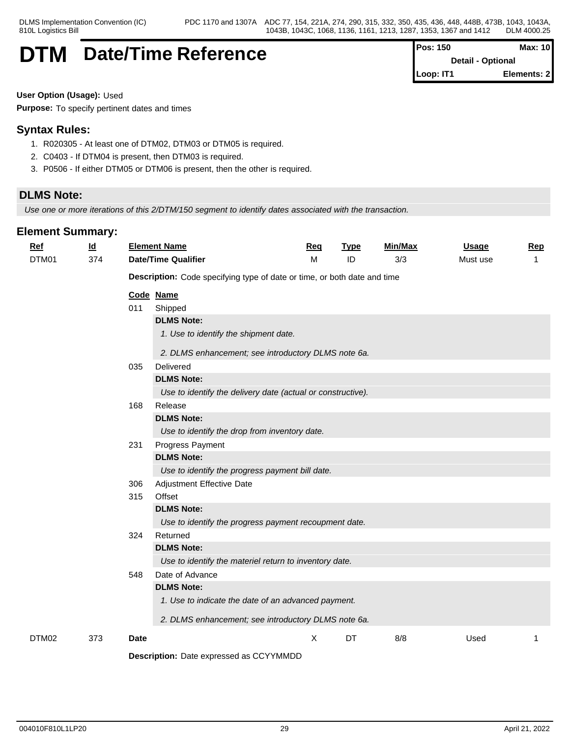## **DTM** Date/Time Reference  $\begin{bmatrix} P^{\text{o}} & & P^{\text{o}} \end{bmatrix}$

| Pos: 150  | Max: 10                  |
|-----------|--------------------------|
|           | <b>Detail - Optional</b> |
| Loop: IT1 | Elements: 2              |

**User Option (Usage):** Used

**Purpose:** To specify pertinent dates and times

## **Syntax Rules:**

- 1. R020305 At least one of DTM02, DTM03 or DTM05 is required.
- 2. C0403 If DTM04 is present, then DTM03 is required.
- 3. P0506 If either DTM05 or DTM06 is present, then the other is required.

## **DLMS Note:**

*Use one or more iterations of this 2/DTM/150 segment to identify dates associated with the transaction.*

| <b>Ref</b><br>DTM01 | $\underline{\mathsf{Id}}$<br>374 |             | <b>Element Name</b><br><b>Date/Time Qualifier</b>                        | Req<br>M | <b>Type</b><br>ID | Min/Max<br>3/3 | <b>Usage</b><br>Must use | Rep<br>-1 |
|---------------------|----------------------------------|-------------|--------------------------------------------------------------------------|----------|-------------------|----------------|--------------------------|-----------|
|                     |                                  |             | Description: Code specifying type of date or time, or both date and time |          |                   |                |                          |           |
|                     |                                  |             | Code Name                                                                |          |                   |                |                          |           |
|                     |                                  | 011         | Shipped                                                                  |          |                   |                |                          |           |
|                     |                                  |             | <b>DLMS Note:</b>                                                        |          |                   |                |                          |           |
|                     |                                  |             | 1. Use to identify the shipment date.                                    |          |                   |                |                          |           |
|                     |                                  |             | 2. DLMS enhancement; see introductory DLMS note 6a.                      |          |                   |                |                          |           |
|                     |                                  | 035         | Delivered                                                                |          |                   |                |                          |           |
|                     |                                  |             | <b>DLMS Note:</b>                                                        |          |                   |                |                          |           |
|                     |                                  |             | Use to identify the delivery date (actual or constructive).              |          |                   |                |                          |           |
|                     |                                  | 168         | Release                                                                  |          |                   |                |                          |           |
|                     |                                  |             | <b>DLMS Note:</b>                                                        |          |                   |                |                          |           |
|                     |                                  |             | Use to identify the drop from inventory date.                            |          |                   |                |                          |           |
|                     |                                  | 231         | Progress Payment                                                         |          |                   |                |                          |           |
|                     |                                  |             | <b>DLMS Note:</b>                                                        |          |                   |                |                          |           |
|                     |                                  |             | Use to identify the progress payment bill date.                          |          |                   |                |                          |           |
|                     |                                  | 306         | Adjustment Effective Date                                                |          |                   |                |                          |           |
|                     |                                  | 315         | Offset                                                                   |          |                   |                |                          |           |
|                     |                                  |             | <b>DLMS Note:</b>                                                        |          |                   |                |                          |           |
|                     |                                  |             | Use to identify the progress payment recoupment date.                    |          |                   |                |                          |           |
|                     |                                  | 324         | Returned                                                                 |          |                   |                |                          |           |
|                     |                                  |             | <b>DLMS Note:</b>                                                        |          |                   |                |                          |           |
|                     |                                  |             | Use to identify the materiel return to inventory date.                   |          |                   |                |                          |           |
|                     |                                  | 548         | Date of Advance                                                          |          |                   |                |                          |           |
|                     |                                  |             | <b>DLMS Note:</b>                                                        |          |                   |                |                          |           |
|                     |                                  |             | 1. Use to indicate the date of an advanced payment.                      |          |                   |                |                          |           |
|                     |                                  |             | 2. DLMS enhancement; see introductory DLMS note 6a.                      |          |                   |                |                          |           |
| DTM02               | 373                              | <b>Date</b> |                                                                          | X        | DT                | 8/8            | Used                     | 1         |
|                     |                                  |             | Description: Date expressed as CCYYMMDD                                  |          |                   |                |                          |           |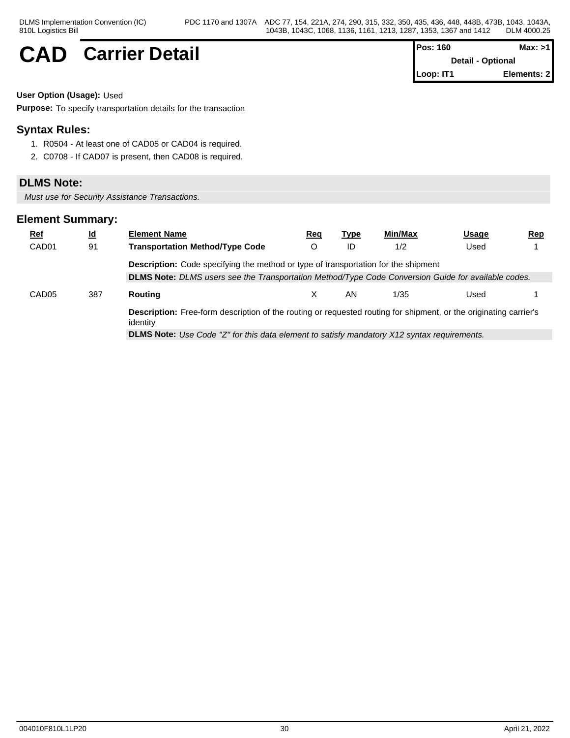## $CAD$  **Carrier Detail**

| IPos: 160                | Max: >1      |
|--------------------------|--------------|
| <b>Detail - Optional</b> |              |
| Loop: IT1                | Elements: 21 |

**User Option (Usage):** Used

**Purpose:** To specify transportation details for the transaction

## **Syntax Rules:**

- 1. R0504 At least one of CAD05 or CAD04 is required.
- 2. C0708 If CAD07 is present, then CAD08 is required.

### **DLMS Note:**

*Must use for Security Assistance Transactions.*

| <b>Ref</b>        | <u>ld</u> | <b>Element Name</b>                                                                                                                  | Req | Type | Min/Max | Usage | <u>Rep</u> |
|-------------------|-----------|--------------------------------------------------------------------------------------------------------------------------------------|-----|------|---------|-------|------------|
| CAD <sub>01</sub> | 91        | <b>Transportation Method/Type Code</b>                                                                                               |     | ID   | 1/2     | Used  |            |
|                   |           | <b>Description:</b> Code specifying the method or type of transportation for the shipment                                            |     |      |         |       |            |
|                   |           | DLMS Note: DLMS users see the Transportation Method/Type Code Conversion Guide for available codes.                                  |     |      |         |       |            |
| CAD <sub>05</sub> | 387       | Routing                                                                                                                              |     | AN.  | 1/35    | Used  |            |
|                   |           | <b>Description:</b> Free-form description of the routing or requested routing for shipment, or the originating carrier's<br>identity |     |      |         |       |            |
|                   |           | <b>DLMS Note:</b> Use Code "Z" for this data element to satisfy mandatory X12 syntax requirements.                                   |     |      |         |       |            |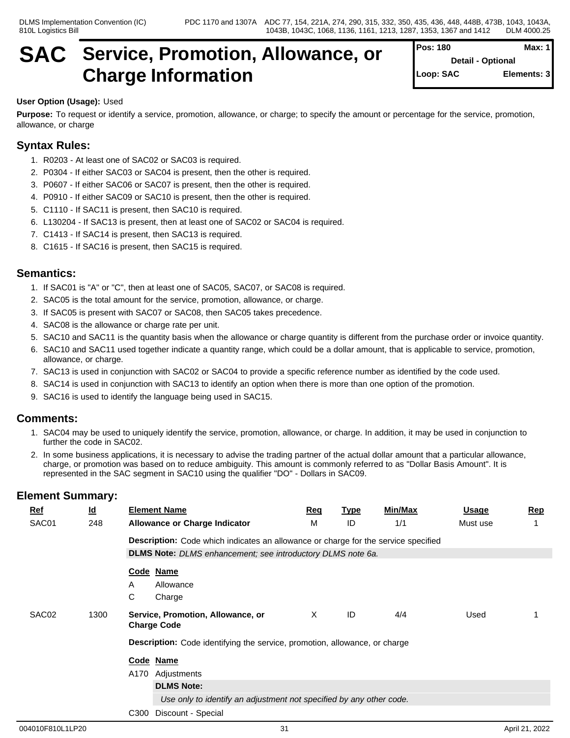## **SAC Service, Promotion, Allowance, or Charge Information**

| Pos: 180  | Max: $1$                 |
|-----------|--------------------------|
|           | <b>Detail - Optional</b> |
| Loop: SAC | Elements: 3              |
|           |                          |

#### **User Option (Usage):** Used

**Purpose:** To request or identify a service, promotion, allowance, or charge; to specify the amount or percentage for the service, promotion, allowance, or charge

## **Syntax Rules:**

- 1. R0203 At least one of SAC02 or SAC03 is required.
- 2. P0304 If either SAC03 or SAC04 is present, then the other is required.
- 3. P0607 If either SAC06 or SAC07 is present, then the other is required.
- 4. P0910 If either SAC09 or SAC10 is present, then the other is required.
- 5. C1110 If SAC11 is present, then SAC10 is required.
- 6. L130204 If SAC13 is present, then at least one of SAC02 or SAC04 is required.
- 7. C1413 If SAC14 is present, then SAC13 is required.
- 8. C1615 If SAC16 is present, then SAC15 is required.

### **Semantics:**

- 1. If SAC01 is "A" or "C", then at least one of SAC05, SAC07, or SAC08 is required.
- 2. SAC05 is the total amount for the service, promotion, allowance, or charge.
- 3. If SAC05 is present with SAC07 or SAC08, then SAC05 takes precedence.
- 4. SAC08 is the allowance or charge rate per unit.
- 5. SAC10 and SAC11 is the quantity basis when the allowance or charge quantity is different from the purchase order or invoice quantity.
- 6. SAC10 and SAC11 used together indicate a quantity range, which could be a dollar amount, that is applicable to service, promotion, allowance, or charge.
- 7. SAC13 is used in conjunction with SAC02 or SAC04 to provide a specific reference number as identified by the code used.
- 8. SAC14 is used in conjunction with SAC13 to identify an option when there is more than one option of the promotion.
- 9. SAC16 is used to identify the language being used in SAC15.

### **Comments:**

- 1. SAC04 may be used to uniquely identify the service, promotion, allowance, or charge. In addition, it may be used in conjunction to further the code in SAC02.
- 2. In some business applications, it is necessary to advise the trading partner of the actual dollar amount that a particular allowance, charge, or promotion was based on to reduce ambiguity. This amount is commonly referred to as "Dollar Basis Amount". It is represented in the SAC segment in SAC10 using the qualifier "DO" - Dollars in SAC09.

| $Ref$ | $\underline{\mathsf{Id}}$ | <b>Element Name</b>                                                                | Req | <u>Type</u> | <b>Min/Max</b> | Usage    | <b>Rep</b> |
|-------|---------------------------|------------------------------------------------------------------------------------|-----|-------------|----------------|----------|------------|
| SAC01 | 248                       | <b>Allowance or Charge Indicator</b>                                               | м   | ID          | 1/1            | Must use |            |
|       |                           | Description: Code which indicates an allowance or charge for the service specified |     |             |                |          |            |
|       |                           | DLMS Note: DLMS enhancement; see introductory DLMS note 6a.                        |     |             |                |          |            |
|       |                           | Code Name                                                                          |     |             |                |          |            |
|       |                           | Allowance<br>A                                                                     |     |             |                |          |            |
|       |                           | C<br>Charge                                                                        |     |             |                |          |            |
| SAC02 | 1300                      | Service, Promotion, Allowance, or<br><b>Charge Code</b>                            | Χ   | ID          | 4/4            | Used     |            |
|       |                           | <b>Description:</b> Code identifying the service, promotion, allowance, or charge  |     |             |                |          |            |
|       |                           | Code Name                                                                          |     |             |                |          |            |
|       |                           | A170 Adjustments                                                                   |     |             |                |          |            |
|       |                           | <b>DLMS Note:</b>                                                                  |     |             |                |          |            |
|       |                           | Use only to identify an adjustment not specified by any other code.                |     |             |                |          |            |
|       |                           | Discount - Special<br>C300                                                         |     |             |                |          |            |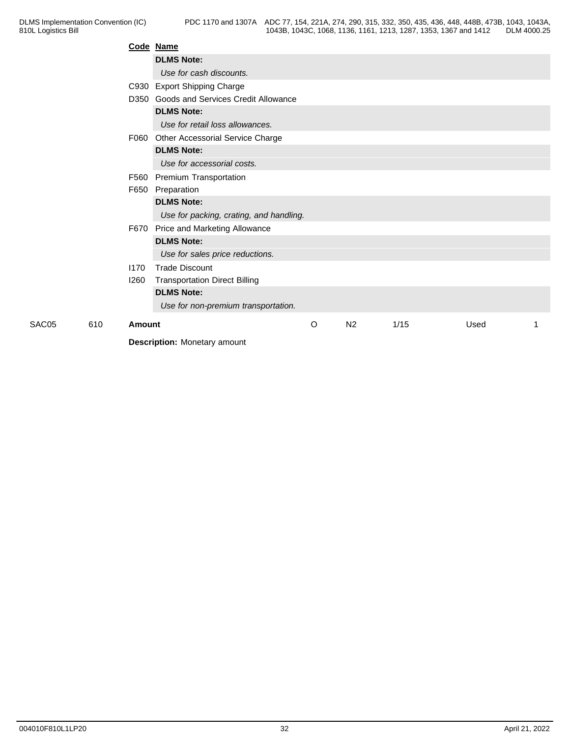|       |     |        | Code Name                                |   |                |      |      |  |
|-------|-----|--------|------------------------------------------|---|----------------|------|------|--|
|       |     |        | <b>DLMS Note:</b>                        |   |                |      |      |  |
|       |     |        | Use for cash discounts.                  |   |                |      |      |  |
|       |     |        | C930 Export Shipping Charge              |   |                |      |      |  |
|       |     |        | D350 Goods and Services Credit Allowance |   |                |      |      |  |
|       |     |        | <b>DLMS Note:</b>                        |   |                |      |      |  |
|       |     |        | Use for retail loss allowances.          |   |                |      |      |  |
|       |     |        | F060 Other Accessorial Service Charge    |   |                |      |      |  |
|       |     |        | <b>DLMS Note:</b>                        |   |                |      |      |  |
|       |     |        | Use for accessorial costs.               |   |                |      |      |  |
|       |     |        | F560 Premium Transportation              |   |                |      |      |  |
|       |     | F650   | Preparation                              |   |                |      |      |  |
|       |     |        | <b>DLMS Note:</b>                        |   |                |      |      |  |
|       |     |        | Use for packing, crating, and handling.  |   |                |      |      |  |
|       |     |        | F670 Price and Marketing Allowance       |   |                |      |      |  |
|       |     |        | <b>DLMS Note:</b>                        |   |                |      |      |  |
|       |     |        | Use for sales price reductions.          |   |                |      |      |  |
|       |     | 1170   | <b>Trade Discount</b>                    |   |                |      |      |  |
|       |     | 1260   | <b>Transportation Direct Billing</b>     |   |                |      |      |  |
|       |     |        | <b>DLMS Note:</b>                        |   |                |      |      |  |
|       |     |        | Use for non-premium transportation.      |   |                |      |      |  |
| SAC05 | 610 | Amount |                                          | O | N <sub>2</sub> | 1/15 | Used |  |
|       |     |        | <b>Description:</b> Monetary amount      |   |                |      |      |  |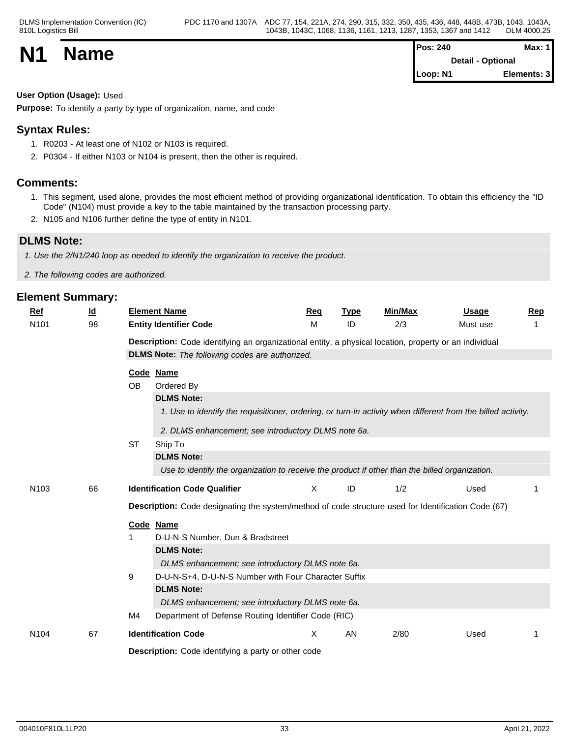|           |             | Pos: 240          | Max:        |  |
|-----------|-------------|-------------------|-------------|--|
| <b>N1</b> | <b>Name</b> | Detail - Optional |             |  |
|           |             | Loop: N1          | Elements: 3 |  |

#### **User Option (Usage):** Used

**Purpose:** To identify a party by type of organization, name, and code

## **Syntax Rules:**

- 1. R0203 At least one of N102 or N103 is required.
- 2. P0304 If either N103 or N104 is present, then the other is required.

### **Comments:**

- 1. This segment, used alone, provides the most efficient method of providing organizational identification. To obtain this efficiency the "ID Code" (N104) must provide a key to the table maintained by the transaction processing party.
- 2. N105 and N106 further define the type of entity in N101.

### **DLMS Note:**

*1. Use the 2/N1/240 loop as needed to identify the organization to receive the product.*

*2. The following codes are authorized.*

| Ref              | <u>ld</u> | <b>Element Name</b>           |                                                                                                              | Req | <b>Type</b> | <b>Min/Max</b> | Usage    | Rep |
|------------------|-----------|-------------------------------|--------------------------------------------------------------------------------------------------------------|-----|-------------|----------------|----------|-----|
| N <sub>101</sub> | 98        | <b>Entity Identifier Code</b> |                                                                                                              | M   | ID          | 2/3            | Must use |     |
|                  |           |                               | Description: Code identifying an organizational entity, a physical location, property or an individual       |     |             |                |          |     |
|                  |           |                               | <b>DLMS Note:</b> The following codes are authorized.                                                        |     |             |                |          |     |
|                  |           | Code Name                     |                                                                                                              |     |             |                |          |     |
|                  |           | <b>OB</b><br>Ordered By       |                                                                                                              |     |             |                |          |     |
|                  |           |                               | <b>DLMS Note:</b>                                                                                            |     |             |                |          |     |
|                  |           |                               | 1. Use to identify the requisitioner, ordering, or turn-in activity when different from the billed activity. |     |             |                |          |     |
|                  |           |                               | 2. DLMS enhancement; see introductory DLMS note 6a.                                                          |     |             |                |          |     |
|                  |           | <b>ST</b><br>Ship To          |                                                                                                              |     |             |                |          |     |
|                  |           |                               | <b>DLMS Note:</b>                                                                                            |     |             |                |          |     |
|                  |           |                               | Use to identify the organization to receive the product if other than the billed organization.               |     |             |                |          |     |
|                  |           |                               |                                                                                                              |     |             |                |          |     |
| N <sub>103</sub> | 66        |                               | <b>Identification Code Qualifier</b>                                                                         | X   | ID          | 1/2            | Used     |     |
|                  |           |                               | Description: Code designating the system/method of code structure used for Identification Code (67)          |     |             |                |          |     |
|                  |           | Code Name                     |                                                                                                              |     |             |                |          |     |
|                  |           |                               | D-U-N-S Number, Dun & Bradstreet                                                                             |     |             |                |          |     |
|                  |           |                               | <b>DLMS Note:</b>                                                                                            |     |             |                |          |     |
|                  |           |                               | DLMS enhancement; see introductory DLMS note 6a.                                                             |     |             |                |          |     |
|                  |           | 9                             | D-U-N-S+4, D-U-N-S Number with Four Character Suffix                                                         |     |             |                |          |     |
|                  |           |                               | <b>DLMS Note:</b>                                                                                            |     |             |                |          |     |
|                  |           |                               | DLMS enhancement; see introductory DLMS note 6a.                                                             |     |             |                |          |     |
|                  |           | M4                            | Department of Defense Routing Identifier Code (RIC)                                                          |     |             |                |          |     |
| N <sub>104</sub> | 67        | <b>Identification Code</b>    |                                                                                                              | Χ   | AN          | 2/80           | Used     | 1   |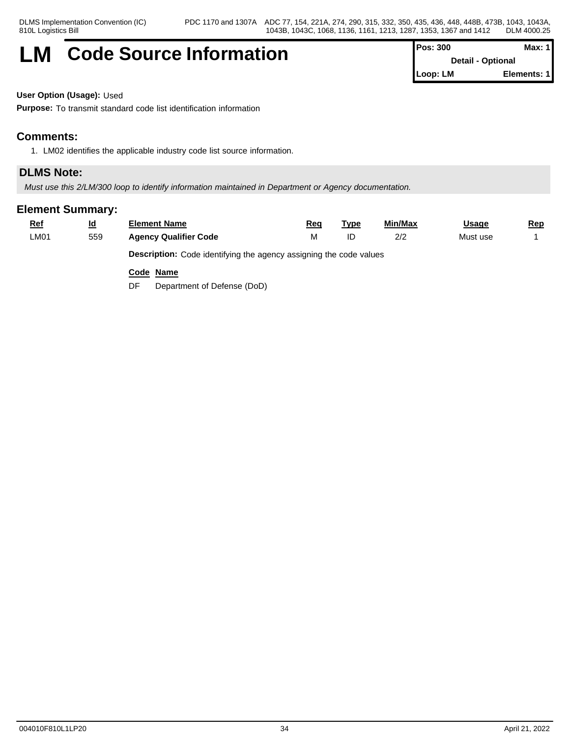## **LM** Code Source Information **Pos:** 300 **Max:** 1

**Detail - Optional Loop: LM Elements: 1**

**User Option (Usage):** Used

**Purpose:** To transmit standard code list identification information

## **Comments:**

1. LM02 identifies the applicable industry code list source information.

## **DLMS Note:**

*Must use this 2/LM/300 loop to identify information maintained in Department or Agency documentation.*

## **Element Summary:**

| <u>Ref</u> | <u>ld</u>                                                                 | Element Name                 | Red | Tvpe | Min/Max | <u>Usage</u> | <u>Rep</u> |  |  |
|------------|---------------------------------------------------------------------------|------------------------------|-----|------|---------|--------------|------------|--|--|
| ∟M01       | 559                                                                       | <b>Agency Qualifier Code</b> |     |      | 2/2     | Must use     |            |  |  |
|            | <b>Description:</b> Code identifying the agency assigning the code values |                              |     |      |         |              |            |  |  |

**Code Name**

DF Department of Defense (DoD)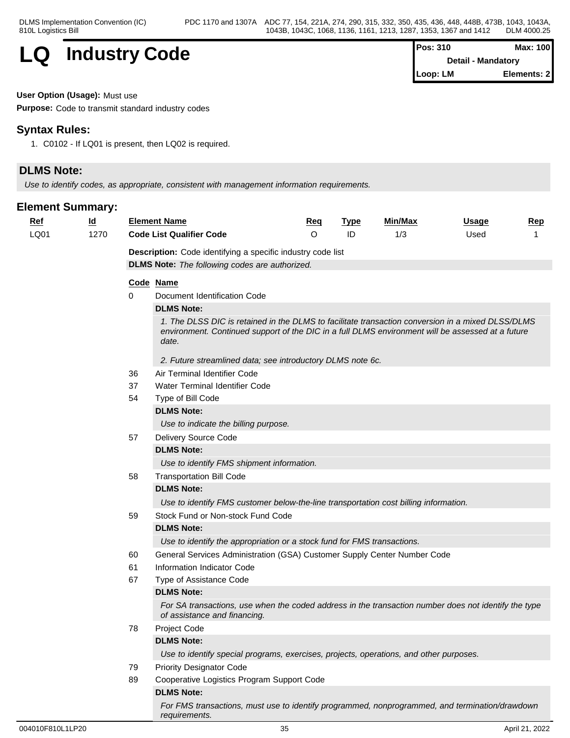

| <b>Pos: 310</b> | Max: 100                  |
|-----------------|---------------------------|
|                 | <b>Detail - Mandatory</b> |
| Loop: LM        | Elements: 2               |

**User Option (Usage):** Must use

**Purpose:** Code to transmit standard industry codes

## **Syntax Rules:**

1. C0102 - If LQ01 is present, then LQ02 is required.

## **DLMS Note:**

*Use to identify codes, as appropriate, consistent with management information requirements.*

| $Ref$ | $\underline{\mathsf{Id}}$ |                                                                                                                                                                                                                 | <b>Element Name</b>                                                                                                                  | Req     | <b>Type</b> | Min/Max | <u>Usage</u> | <b>Rep</b> |  |  |  |
|-------|---------------------------|-----------------------------------------------------------------------------------------------------------------------------------------------------------------------------------------------------------------|--------------------------------------------------------------------------------------------------------------------------------------|---------|-------------|---------|--------------|------------|--|--|--|
| LQ01  | 1270                      |                                                                                                                                                                                                                 | <b>Code List Qualifier Code</b>                                                                                                      | $\circ$ | ID          | 1/3     | Used         | 1          |  |  |  |
|       |                           |                                                                                                                                                                                                                 | Description: Code identifying a specific industry code list                                                                          |         |             |         |              |            |  |  |  |
|       |                           | <b>DLMS Note:</b> The following codes are authorized.                                                                                                                                                           |                                                                                                                                      |         |             |         |              |            |  |  |  |
|       |                           |                                                                                                                                                                                                                 | Code Name                                                                                                                            |         |             |         |              |            |  |  |  |
|       |                           | 0                                                                                                                                                                                                               | Document Identification Code                                                                                                         |         |             |         |              |            |  |  |  |
|       |                           |                                                                                                                                                                                                                 | <b>DLMS Note:</b>                                                                                                                    |         |             |         |              |            |  |  |  |
|       |                           | 1. The DLSS DIC is retained in the DLMS to facilitate transaction conversion in a mixed DLSS/DLMS<br>environment. Continued support of the DIC in a full DLMS environment will be assessed at a future<br>date. |                                                                                                                                      |         |             |         |              |            |  |  |  |
|       |                           |                                                                                                                                                                                                                 | 2. Future streamlined data; see introductory DLMS note 6c.                                                                           |         |             |         |              |            |  |  |  |
|       |                           | 36                                                                                                                                                                                                              | Air Terminal Identifier Code                                                                                                         |         |             |         |              |            |  |  |  |
|       |                           | 37                                                                                                                                                                                                              | Water Terminal Identifier Code                                                                                                       |         |             |         |              |            |  |  |  |
|       |                           | 54                                                                                                                                                                                                              | Type of Bill Code                                                                                                                    |         |             |         |              |            |  |  |  |
|       |                           |                                                                                                                                                                                                                 | <b>DLMS Note:</b>                                                                                                                    |         |             |         |              |            |  |  |  |
|       |                           |                                                                                                                                                                                                                 | Use to indicate the billing purpose.                                                                                                 |         |             |         |              |            |  |  |  |
|       |                           | 57                                                                                                                                                                                                              | Delivery Source Code                                                                                                                 |         |             |         |              |            |  |  |  |
|       |                           |                                                                                                                                                                                                                 | <b>DLMS Note:</b>                                                                                                                    |         |             |         |              |            |  |  |  |
|       |                           |                                                                                                                                                                                                                 | Use to identify FMS shipment information.                                                                                            |         |             |         |              |            |  |  |  |
|       |                           | 58                                                                                                                                                                                                              | <b>Transportation Bill Code</b>                                                                                                      |         |             |         |              |            |  |  |  |
|       |                           |                                                                                                                                                                                                                 | <b>DLMS Note:</b>                                                                                                                    |         |             |         |              |            |  |  |  |
|       |                           |                                                                                                                                                                                                                 | Use to identify FMS customer below-the-line transportation cost billing information.                                                 |         |             |         |              |            |  |  |  |
|       |                           | 59                                                                                                                                                                                                              | Stock Fund or Non-stock Fund Code                                                                                                    |         |             |         |              |            |  |  |  |
|       |                           |                                                                                                                                                                                                                 | <b>DLMS Note:</b>                                                                                                                    |         |             |         |              |            |  |  |  |
|       |                           |                                                                                                                                                                                                                 | Use to identify the appropriation or a stock fund for FMS transactions.                                                              |         |             |         |              |            |  |  |  |
|       |                           | 60                                                                                                                                                                                                              | General Services Administration (GSA) Customer Supply Center Number Code                                                             |         |             |         |              |            |  |  |  |
|       |                           | 61                                                                                                                                                                                                              | Information Indicator Code                                                                                                           |         |             |         |              |            |  |  |  |
|       |                           | 67                                                                                                                                                                                                              | Type of Assistance Code                                                                                                              |         |             |         |              |            |  |  |  |
|       |                           |                                                                                                                                                                                                                 | <b>DLMS Note:</b>                                                                                                                    |         |             |         |              |            |  |  |  |
|       |                           |                                                                                                                                                                                                                 | For SA transactions, use when the coded address in the transaction number does not identify the type<br>of assistance and financing. |         |             |         |              |            |  |  |  |
|       |                           | 78                                                                                                                                                                                                              | Project Code                                                                                                                         |         |             |         |              |            |  |  |  |
|       |                           |                                                                                                                                                                                                                 | <b>DLMS Note:</b>                                                                                                                    |         |             |         |              |            |  |  |  |
|       |                           |                                                                                                                                                                                                                 | Use to identify special programs, exercises, projects, operations, and other purposes.                                               |         |             |         |              |            |  |  |  |
|       |                           | 79                                                                                                                                                                                                              | <b>Priority Designator Code</b>                                                                                                      |         |             |         |              |            |  |  |  |
|       |                           | 89                                                                                                                                                                                                              | Cooperative Logistics Program Support Code                                                                                           |         |             |         |              |            |  |  |  |
|       |                           |                                                                                                                                                                                                                 | <b>DLMS Note:</b>                                                                                                                    |         |             |         |              |            |  |  |  |
|       |                           |                                                                                                                                                                                                                 | For FMS transactions, must use to identify programmed, nonprogrammed, and termination/drawdown<br>requirements.                      |         |             |         |              |            |  |  |  |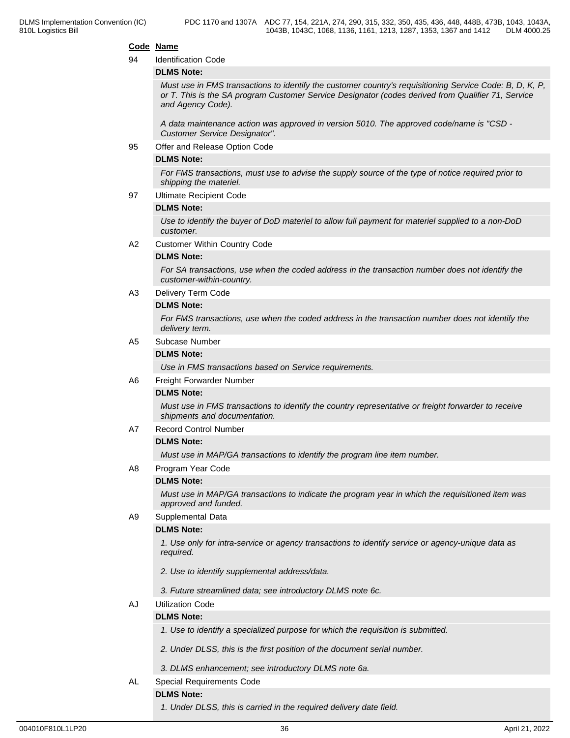#### **Code Name**

#### 94 Identification Code

#### **DLMS Note:**

*Must use in FMS transactions to identify the customer country's requisitioning Service Code: B, D, K, P, or T. This is the SA program Customer Service Designator (codes derived from Qualifier 71, Service and Agency Code).*

*A data maintenance action was approved in version 5010. The approved code/name is "CSD - Customer Service Designator".*

95 Offer and Release Option Code

#### **DLMS Note:**

*For FMS transactions, must use to advise the supply source of the type of notice required prior to shipping the materiel.*

97 Ultimate Recipient Code

#### **DLMS Note:**

*Use to identify the buyer of DoD materiel to allow full payment for materiel supplied to a non-DoD customer.*

A2 Customer Within Country Code

#### **DLMS Note:**

*For SA transactions, use when the coded address in the transaction number does not identify the customer-within-country.*

A3 Delivery Term Code

#### **DLMS Note:**

*For FMS transactions, use when the coded address in the transaction number does not identify the delivery term.*

#### A5 Subcase Number

#### **DLMS Note:**

*Use in FMS transactions based on Service requirements.*

#### A6 Freight Forwarder Number

#### **DLMS Note:**

*Must use in FMS transactions to identify the country representative or freight forwarder to receive shipments and documentation.*

A7 Record Control Number

#### **DLMS Note:**

*Must use in MAP/GA transactions to identify the program line item number.*

A8 Program Year Code

#### **DLMS Note:**

*Must use in MAP/GA transactions to indicate the program year in which the requisitioned item was approved and funded.*

A9 Supplemental Data

#### **DLMS Note:**

*1. Use only for intra-service or agency transactions to identify service or agency-unique data as required.*

- *2. Use to identify supplemental address/data.*
- *3. Future streamlined data; see introductory DLMS note 6c.*

#### AJ Utilization Code

#### **DLMS Note:**

- *1. Use to identify a specialized purpose for which the requisition is submitted.*
- *2. Under DLSS, this is the first position of the document serial number.*
- *3. DLMS enhancement; see introductory DLMS note 6a.*
- AL Special Requirements Code

### **DLMS Note:**

*1. Under DLSS, this is carried in the required delivery date field.*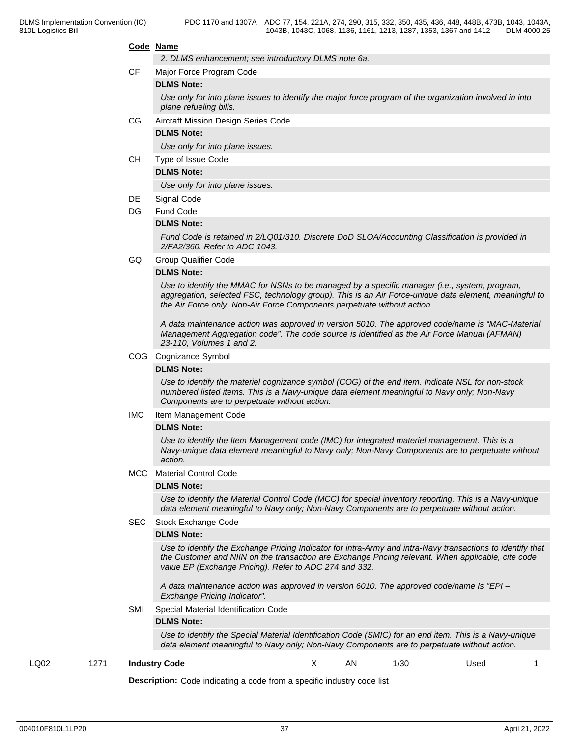#### **Code Name**

*2. DLMS enhancement; see introductory DLMS note 6a.*

CF Major Force Program Code

#### **DLMS Note:**

*Use only for into plane issues to identify the major force program of the organization involved in into plane refueling bills.*

#### CG Aircraft Mission Design Series Code

#### **DLMS Note:**

*Use only for into plane issues.*

CH Type of Issue Code

#### **DLMS Note:**

*Use only for into plane issues.*

#### DE Signal Code

#### DG Fund Code

#### **DLMS Note:**

*Fund Code is retained in 2/LQ01/310. Discrete DoD SLOA/Accounting Classification is provided in 2/FA2/360. Refer to ADC 1043.*

GQ Group Qualifier Code

#### **DLMS Note:**

*Use to identify the MMAC for NSNs to be managed by a specific manager (i.e., system, program, aggregation, selected FSC, technology group). This is an Air Force-unique data element, meaningful to the Air Force only. Non-Air Force Components perpetuate without action.*

*A data maintenance action was approved in version 5010. The approved code/name is "MAC-Material Management Aggregation code". The code source is identified as the Air Force Manual (AFMAN) 23-110, Volumes 1 and 2.*

#### COG Cognizance Symbol

#### **DLMS Note:**

*Use to identify the materiel cognizance symbol (COG) of the end item. Indicate NSL for non-stock numbered listed items. This is a Navy-unique data element meaningful to Navy only; Non-Navy Components are to perpetuate without action.*

IMC Item Management Code

#### **DLMS Note:**

*Use to identify the Item Management code (IMC) for integrated materiel management. This is a Navy-unique data element meaningful to Navy only; Non-Navy Components are to perpetuate without action.*

#### MCC Material Control Code

#### **DLMS Note:**

*Use to identify the Material Control Code (MCC) for special inventory reporting. This is a Navy-unique data element meaningful to Navy only; Non-Navy Components are to perpetuate without action.*

#### SEC Stock Exchange Code

#### **DLMS Note:**

*Use to identify the Exchange Pricing Indicator for intra-Army and intra-Navy transactions to identify that the Customer and NIIN on the transaction are Exchange Pricing relevant. When applicable, cite code value EP (Exchange Pricing). Refer to ADC 274 and 332.*

*A data maintenance action was approved in version 6010. The approved code/name is "EPI – Exchange Pricing Indicator".*

SMI Special Material Identification Code

#### **DLMS Note:**

*Use to identify the Special Material Identification Code (SMIC) for an end item. This is a Navy-unique data element meaningful to Navy only; Non-Navy Components are to perpetuate without action.*

#### LQ02 1271 **Industry Code** X AN 1/30 Used 1

**Description:** Code indicating a code from a specific industry code list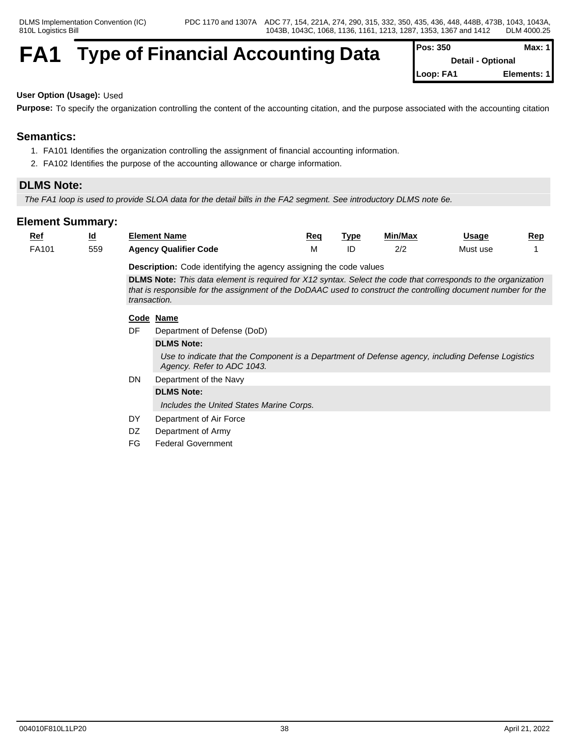## **FA1** Type of Financial Accounting Data

| Pos: 350  | Max: 11                  |
|-----------|--------------------------|
|           | <b>Detail - Optional</b> |
| Loop: FA1 | Elements: 1              |

## **User Option (Usage):** Used

**Purpose:** To specify the organization controlling the content of the accounting citation, and the purpose associated with the accounting citation

## **Semantics:**

- 1. FA101 Identifies the organization controlling the assignment of financial accounting information.
- 2. FA102 Identifies the purpose of the accounting allowance or charge information.

## **DLMS Note:**

*The FA1 loop is used to provide SLOA data for the detail bills in the FA2 segment. See introductory DLMS note 6e.*

| <u>Ref</u> | $\underline{\mathsf{Id}}$ |                                                                                                                                                                                                                                                        | <b>Element Name</b>                                                                                                             | Req | <b>Type</b> | Min/Max | <u>Usage</u> | Rep |  |  |  |
|------------|---------------------------|--------------------------------------------------------------------------------------------------------------------------------------------------------------------------------------------------------------------------------------------------------|---------------------------------------------------------------------------------------------------------------------------------|-----|-------------|---------|--------------|-----|--|--|--|
| FA101      | 559                       |                                                                                                                                                                                                                                                        | <b>Agency Qualifier Code</b>                                                                                                    | M   | ID          | 2/2     | Must use     |     |  |  |  |
|            |                           | <b>Description:</b> Code identifying the agency assigning the code values                                                                                                                                                                              |                                                                                                                                 |     |             |         |              |     |  |  |  |
|            |                           | <b>DLMS Note:</b> This data element is required for X12 syntax. Select the code that corresponds to the organization<br>that is responsible for the assignment of the DoDAAC used to construct the controlling document number for the<br>transaction. |                                                                                                                                 |     |             |         |              |     |  |  |  |
|            |                           |                                                                                                                                                                                                                                                        | Code Name                                                                                                                       |     |             |         |              |     |  |  |  |
|            |                           | DF                                                                                                                                                                                                                                                     | Department of Defense (DoD)                                                                                                     |     |             |         |              |     |  |  |  |
|            |                           |                                                                                                                                                                                                                                                        | <b>DLMS Note:</b>                                                                                                               |     |             |         |              |     |  |  |  |
|            |                           |                                                                                                                                                                                                                                                        | Use to indicate that the Component is a Department of Defense agency, including Defense Logistics<br>Agency. Refer to ADC 1043. |     |             |         |              |     |  |  |  |
|            |                           | DN                                                                                                                                                                                                                                                     | Department of the Navy                                                                                                          |     |             |         |              |     |  |  |  |
|            |                           |                                                                                                                                                                                                                                                        | <b>DLMS Note:</b>                                                                                                               |     |             |         |              |     |  |  |  |
|            |                           |                                                                                                                                                                                                                                                        | Includes the United States Marine Corps.                                                                                        |     |             |         |              |     |  |  |  |
|            |                           | DY                                                                                                                                                                                                                                                     | Department of Air Force                                                                                                         |     |             |         |              |     |  |  |  |
|            |                           | DZ.                                                                                                                                                                                                                                                    | Department of Army                                                                                                              |     |             |         |              |     |  |  |  |
|            |                           | FG                                                                                                                                                                                                                                                     | <b>Federal Government</b>                                                                                                       |     |             |         |              |     |  |  |  |
|            |                           |                                                                                                                                                                                                                                                        |                                                                                                                                 |     |             |         |              |     |  |  |  |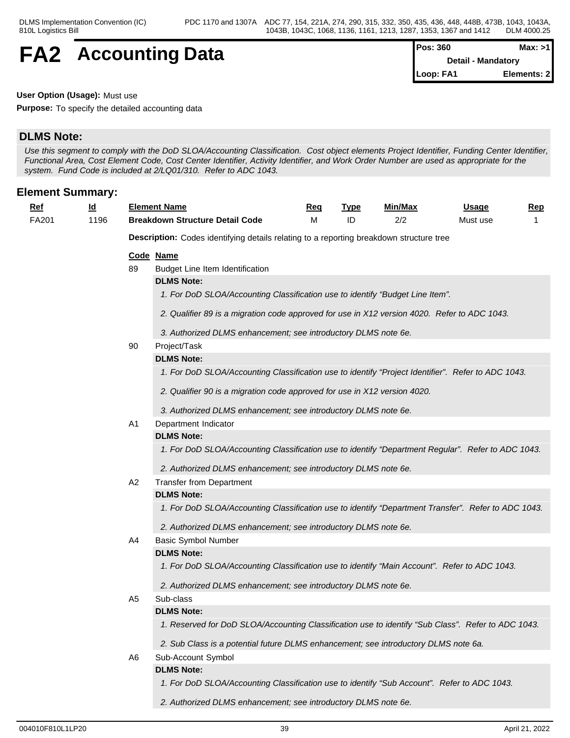## **FA2** Accounting Data

| Pos: 360  | Max: >1            |
|-----------|--------------------|
|           | Detail - Mandatory |
| Loop: FA1 | Elements: 2        |

**User Option (Usage):** Must use

**Purpose:** To specify the detailed accounting data

## **DLMS Note:**

*Use this segment to comply with the DoD SLOA/Accounting Classification. Cost object elements Project Identifier, Funding Center Identifier, Functional Area, Cost Element Code, Cost Center Identifier, Activity Identifier, and Work Order Number are used as appropriate for the system. Fund Code is included at 2/LQ01/310. Refer to ADC 1043.*

### **Element Summary:**

| Ret<br>__ | ıa<br>- | <b>Element Name</b>                       | Req | <b>TVD</b> | Min/Max | <b>Jsage</b> | Rep |
|-----------|---------|-------------------------------------------|-----|------------|---------|--------------|-----|
| FA201     | 196     | <b>Detail Code</b><br>Breakdown Structure |     |            | .       | Must use     |     |

**Description:** Codes identifying details relating to a reporting breakdown structure tree

#### **Code Name**

89 Budget Line Item Identification

#### **DLMS Note:**

- *1. For DoD SLOA/Accounting Classification use to identify "Budget Line Item".*
- *2. Qualifier 89 is a migration code approved for use in X12 version 4020. Refer to ADC 1043.*
- *3. Authorized DLMS enhancement; see introductory DLMS note 6e.*

#### 90 Project/Task

#### **DLMS Note:**

*1. For DoD SLOA/Accounting Classification use to identify "Project Identifier". Refer to ADC 1043.*

- *2. Qualifier 90 is a migration code approved for use in X12 version 4020.*
- *3. Authorized DLMS enhancement; see introductory DLMS note 6e.*

#### A1 Department Indicator

#### **DLMS Note:**

*1. For DoD SLOA/Accounting Classification use to identify "Department Regular". Refer to ADC 1043.*

*2. Authorized DLMS enhancement; see introductory DLMS note 6e.*

#### A2 Transfer from Department

#### **DLMS Note:**

*1. For DoD SLOA/Accounting Classification use to identify "Department Transfer". Refer to ADC 1043.*

*2. Authorized DLMS enhancement; see introductory DLMS note 6e.*

#### A4 Basic Symbol Number

#### **DLMS Note:**

*1. For DoD SLOA/Accounting Classification use to identify "Main Account". Refer to ADC 1043.*

*2. Authorized DLMS enhancement; see introductory DLMS note 6e.*

## A5 Sub-class

### **DLMS Note:**

*1. Reserved for DoD SLOA/Accounting Classification use to identify "Sub Class". Refer to ADC 1043.*

*2. Sub Class is a potential future DLMS enhancement; see introductory DLMS note 6a.*

## A6 Sub-Account Symbol

**DLMS Note:**

*1. For DoD SLOA/Accounting Classification use to identify "Sub Account". Refer to ADC 1043.*

*2. Authorized DLMS enhancement; see introductory DLMS note 6e.*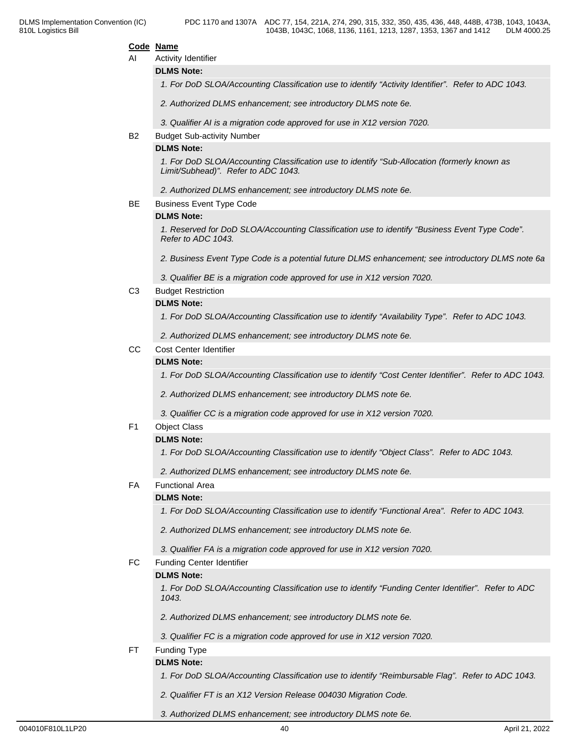#### **Code Name**

AI Activity Identifier

**DLMS Note:**

*1. For DoD SLOA/Accounting Classification use to identify "Activity Identifier". Refer to ADC 1043.*

*2. Authorized DLMS enhancement; see introductory DLMS note 6e.*

*3. Qualifier AI is a migration code approved for use in X12 version 7020.*

#### B2 Budget Sub-activity Number

### **DLMS Note:**

*1. For DoD SLOA/Accounting Classification use to identify "Sub-Allocation (formerly known as Limit/Subhead)". Refer to ADC 1043.*

*2. Authorized DLMS enhancement; see introductory DLMS note 6e.*

BE Business Event Type Code

#### **DLMS Note:**

*1. Reserved for DoD SLOA/Accounting Classification use to identify "Business Event Type Code". Refer to ADC 1043.*

*2. Business Event Type Code is a potential future DLMS enhancement; see introductory DLMS note 6a*

*3. Qualifier BE is a migration code approved for use in X12 version 7020.*

C3 Budget Restriction

#### **DLMS Note:**

*1. For DoD SLOA/Accounting Classification use to identify "Availability Type". Refer to ADC 1043.*

*2. Authorized DLMS enhancement; see introductory DLMS note 6e.*

CC Cost Center Identifier

#### **DLMS Note:**

*1. For DoD SLOA/Accounting Classification use to identify "Cost Center Identifier". Refer to ADC 1043.*

*2. Authorized DLMS enhancement; see introductory DLMS note 6e.*

*3. Qualifier CC is a migration code approved for use in X12 version 7020.*

#### F1 Object Class

#### **DLMS Note:**

*1. For DoD SLOA/Accounting Classification use to identify "Object Class". Refer to ADC 1043.*

*2. Authorized DLMS enhancement; see introductory DLMS note 6e.*

#### FA Functional Area

#### **DLMS Note:**

*1. For DoD SLOA/Accounting Classification use to identify "Functional Area". Refer to ADC 1043.*

*2. Authorized DLMS enhancement; see introductory DLMS note 6e.*

*3. Qualifier FA is a migration code approved for use in X12 version 7020.*

#### FC Funding Center Identifier

#### **DLMS Note:**

*1. For DoD SLOA/Accounting Classification use to identify "Funding Center Identifier". Refer to ADC 1043.*

*2. Authorized DLMS enhancement; see introductory DLMS note 6e.*

*3. Qualifier FC is a migration code approved for use in X12 version 7020.*

FT Funding Type

#### **DLMS Note:**

*1. For DoD SLOA/Accounting Classification use to identify "Reimbursable Flag". Refer to ADC 1043.*

- *2. Qualifier FT is an X12 Version Release 004030 Migration Code.*
- *3. Authorized DLMS enhancement; see introductory DLMS note 6e.*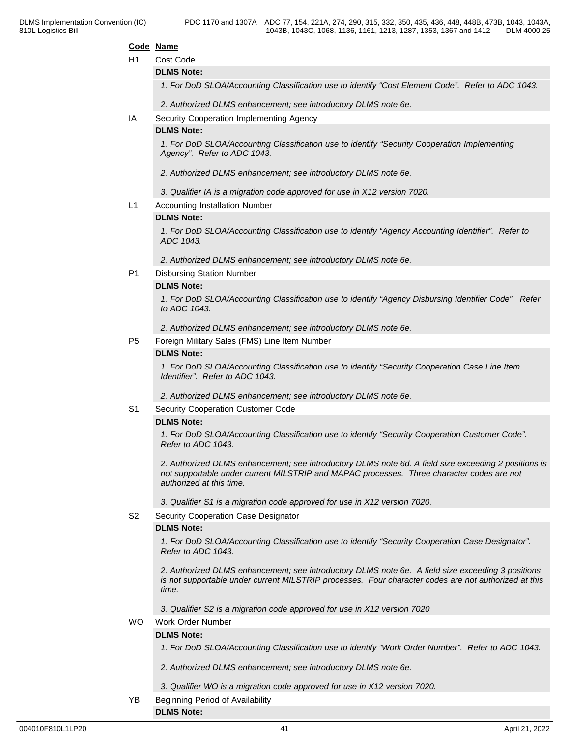#### **Code Name**

### H1 Cost Code

#### **DLMS Note:**

*1. For DoD SLOA/Accounting Classification use to identify "Cost Element Code". Refer to ADC 1043.*

*2. Authorized DLMS enhancement; see introductory DLMS note 6e.*

#### IA Security Cooperation Implementing Agency

#### **DLMS Note:**

*1. For DoD SLOA/Accounting Classification use to identify "Security Cooperation Implementing Agency". Refer to ADC 1043.*

- *2. Authorized DLMS enhancement; see introductory DLMS note 6e.*
- *3. Qualifier IA is a migration code approved for use in X12 version 7020.*
- L1 Accounting Installation Number

#### **DLMS Note:**

*1. For DoD SLOA/Accounting Classification use to identify "Agency Accounting Identifier". Refer to ADC 1043.*

*2. Authorized DLMS enhancement; see introductory DLMS note 6e.*

#### P1 Disbursing Station Number

#### **DLMS Note:**

*1. For DoD SLOA/Accounting Classification use to identify "Agency Disbursing Identifier Code". Refer to ADC 1043.*

*2. Authorized DLMS enhancement; see introductory DLMS note 6e.*

P5 Foreign Military Sales (FMS) Line Item Number

#### **DLMS Note:**

*1. For DoD SLOA/Accounting Classification use to identify "Security Cooperation Case Line Item Identifier". Refer to ADC 1043.*

*2. Authorized DLMS enhancement; see introductory DLMS note 6e.*

#### S1 Security Cooperation Customer Code

#### **DLMS Note:**

*1. For DoD SLOA/Accounting Classification use to identify "Security Cooperation Customer Code". Refer to ADC 1043.*

*2. Authorized DLMS enhancement; see introductory DLMS note 6d. A field size exceeding 2 positions is not supportable under current MILSTRIP and MAPAC processes. Three character codes are not authorized at this time.*

*3. Qualifier S1 is a migration code approved for use in X12 version 7020.*

S2 Security Cooperation Case Designator

#### **DLMS Note:**

*1. For DoD SLOA/Accounting Classification use to identify "Security Cooperation Case Designator". Refer to ADC 1043.*

*2. Authorized DLMS enhancement; see introductory DLMS note 6e. A field size exceeding 3 positions is not supportable under current MILSTRIP processes. Four character codes are not authorized at this time.*

*3. Qualifier S2 is a migration code approved for use in X12 version 7020*

#### WO Work Order Number

#### **DLMS Note:**

**DLMS Note:**

*1. For DoD SLOA/Accounting Classification use to identify "Work Order Number". Refer to ADC 1043.*

- *2. Authorized DLMS enhancement; see introductory DLMS note 6e.*
- *3. Qualifier WO is a migration code approved for use in X12 version 7020.*
- YB Beginning Period of Availability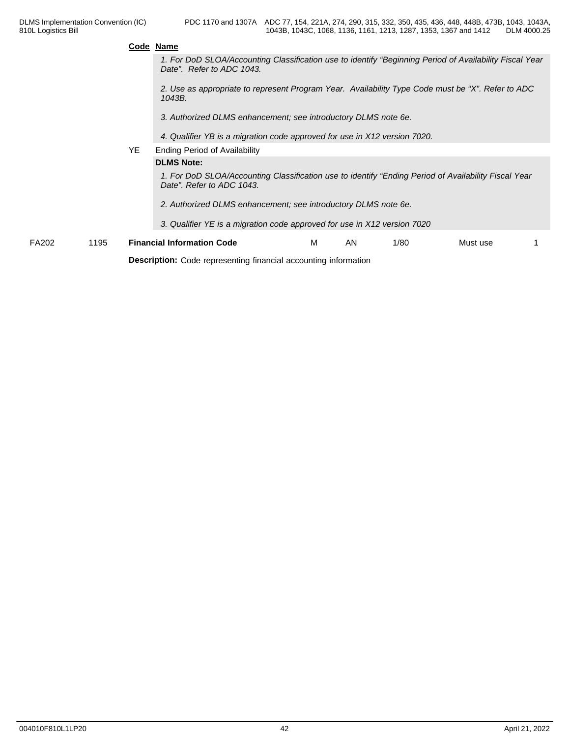|              |      | Code Name |                                                                                                                                      |   |    |      |          |  |  |  |  |
|--------------|------|-----------|--------------------------------------------------------------------------------------------------------------------------------------|---|----|------|----------|--|--|--|--|
|              |      |           | 1. For DoD SLOA/Accounting Classification use to identify "Beginning Period of Availability Fiscal Year<br>Date". Refer to ADC 1043. |   |    |      |          |  |  |  |  |
|              |      |           | 2. Use as appropriate to represent Program Year. Availability Type Code must be "X". Refer to ADC<br>1043B.                          |   |    |      |          |  |  |  |  |
|              |      |           | 3. Authorized DLMS enhancement; see introductory DLMS note 6e.                                                                       |   |    |      |          |  |  |  |  |
|              |      |           | 4. Qualifier YB is a migration code approved for use in X12 version 7020.                                                            |   |    |      |          |  |  |  |  |
|              |      | YE.       | <b>Ending Period of Availability</b>                                                                                                 |   |    |      |          |  |  |  |  |
|              |      |           | <b>DLMS Note:</b>                                                                                                                    |   |    |      |          |  |  |  |  |
|              |      |           | 1. For DoD SLOA/Accounting Classification use to identify "Ending Period of Availability Fiscal Year<br>Date". Refer to ADC 1043.    |   |    |      |          |  |  |  |  |
|              |      |           | 2. Authorized DLMS enhancement; see introductory DLMS note 6e.                                                                       |   |    |      |          |  |  |  |  |
|              |      |           | 3. Qualifier YE is a migration code approved for use in X12 version 7020                                                             |   |    |      |          |  |  |  |  |
| <b>FA202</b> | 1195 |           | <b>Financial Information Code</b>                                                                                                    | м | AN | 1/80 | Must use |  |  |  |  |

**Description:** Code representing financial accounting information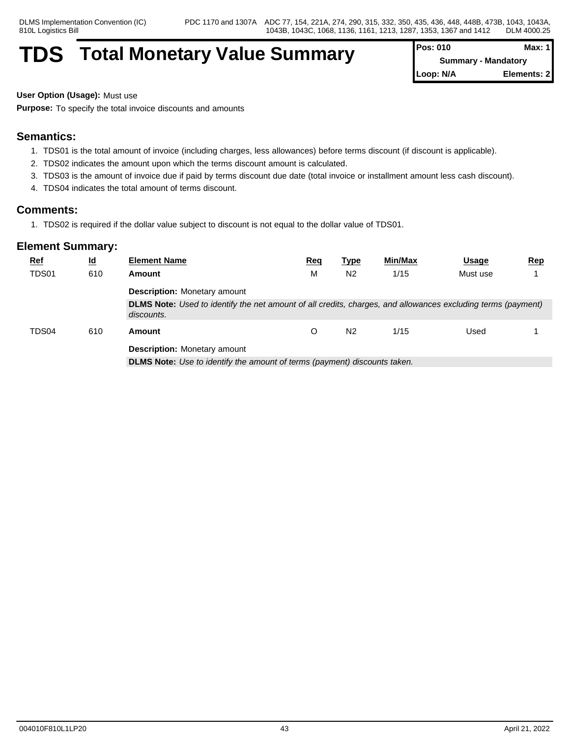## **TDS** Total Monetary Value Summary

| <b>Pos: 010</b> | Max: 1                     |
|-----------------|----------------------------|
|                 | <b>Summary - Mandatory</b> |
| Loop: N/A       | Elements: 2                |

**User Option (Usage):** Must use

**Purpose:** To specify the total invoice discounts and amounts

## **Semantics:**

- 1. TDS01 is the total amount of invoice (including charges, less allowances) before terms discount (if discount is applicable).
- 2. TDS02 indicates the amount upon which the terms discount amount is calculated.
- 3. TDS03 is the amount of invoice due if paid by terms discount due date (total invoice or installment amount less cash discount).
- 4. TDS04 indicates the total amount of terms discount.

## **Comments:**

1. TDS02 is required if the dollar value subject to discount is not equal to the dollar value of TDS01.

| <b>Ref</b>   | $\underline{\mathsf{Id}}$ | <b>Element Name</b>                                                                                                        | Req | <u>Type</u>    | Min/Max | <b>Usage</b> | <u>Rep</u> |  |  |  |
|--------------|---------------------------|----------------------------------------------------------------------------------------------------------------------------|-----|----------------|---------|--------------|------------|--|--|--|
| <b>TDS01</b> | 610                       | Amount                                                                                                                     | M   | N <sub>2</sub> | 1/15    | Must use     |            |  |  |  |
|              |                           | <b>Description:</b> Monetary amount                                                                                        |     |                |         |              |            |  |  |  |
|              |                           | DLMS Note: Used to identify the net amount of all credits, charges, and allowances excluding terms (payment)<br>discounts. |     |                |         |              |            |  |  |  |
| TDS04        | 610                       | Amount                                                                                                                     |     | N <sub>2</sub> | 1/15    | Used         |            |  |  |  |
|              |                           | <b>Description:</b> Monetary amount                                                                                        |     |                |         |              |            |  |  |  |
|              |                           | <b>DLMS Note:</b> Use to identify the amount of terms (payment) discounts taken.                                           |     |                |         |              |            |  |  |  |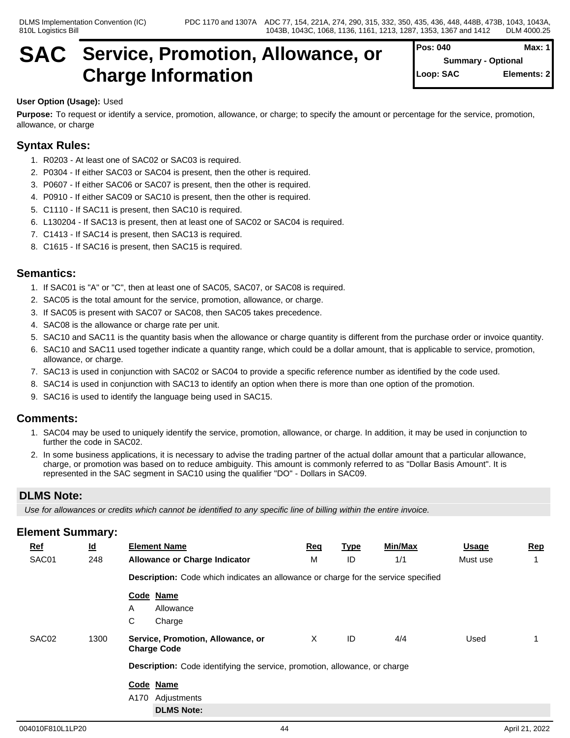## **SAC Service, Promotion, Allowance, or Charge Information**

| Pos: 040  | Max: $1$                  |
|-----------|---------------------------|
|           | <b>Summary - Optional</b> |
| Loop: SAC | Elements: 2               |
|           |                           |

## **User Option (Usage):** Used

**Purpose:** To request or identify a service, promotion, allowance, or charge; to specify the amount or percentage for the service, promotion, allowance, or charge

## **Syntax Rules:**

- 1. R0203 At least one of SAC02 or SAC03 is required.
- 2. P0304 If either SAC03 or SAC04 is present, then the other is required.
- 3. P0607 If either SAC06 or SAC07 is present, then the other is required.
- 4. P0910 If either SAC09 or SAC10 is present, then the other is required.
- 5. C1110 If SAC11 is present, then SAC10 is required.
- 6. L130204 If SAC13 is present, then at least one of SAC02 or SAC04 is required.
- 7. C1413 If SAC14 is present, then SAC13 is required.
- 8. C1615 If SAC16 is present, then SAC15 is required.

## **Semantics:**

- 1. If SAC01 is "A" or "C", then at least one of SAC05, SAC07, or SAC08 is required.
- 2. SAC05 is the total amount for the service, promotion, allowance, or charge.
- 3. If SAC05 is present with SAC07 or SAC08, then SAC05 takes precedence.
- 4. SAC08 is the allowance or charge rate per unit.
- 5. SAC10 and SAC11 is the quantity basis when the allowance or charge quantity is different from the purchase order or invoice quantity.
- 6. SAC10 and SAC11 used together indicate a quantity range, which could be a dollar amount, that is applicable to service, promotion, allowance, or charge.
- 7. SAC13 is used in conjunction with SAC02 or SAC04 to provide a specific reference number as identified by the code used.
- 8. SAC14 is used in conjunction with SAC13 to identify an option when there is more than one option of the promotion.
- 9. SAC16 is used to identify the language being used in SAC15.

## **Comments:**

- 1. SAC04 may be used to uniquely identify the service, promotion, allowance, or charge. In addition, it may be used in conjunction to further the code in SAC02.
- 2. In some business applications, it is necessary to advise the trading partner of the actual dollar amount that a particular allowance, charge, or promotion was based on to reduce ambiguity. This amount is commonly referred to as "Dollar Basis Amount". It is represented in the SAC segment in SAC10 using the qualifier "DO" - Dollars in SAC09.

## **DLMS Note:**

*Use for allowances or credits which cannot be identified to any specific line of billing within the entire invoice.*

| $Ref$ | $\underline{\mathsf{Id}}$ | <b>Element Name</b>                                                                       | Req | <u>Type</u> | Min/Max | <b>Usage</b> | <b>Rep</b> |  |  |  |
|-------|---------------------------|-------------------------------------------------------------------------------------------|-----|-------------|---------|--------------|------------|--|--|--|
| SAC01 | 248                       | <b>Allowance or Charge Indicator</b>                                                      | М   | ID          | 1/1     | Must use     |            |  |  |  |
|       |                           | <b>Description:</b> Code which indicates an allowance or charge for the service specified |     |             |         |              |            |  |  |  |
|       |                           | Code Name                                                                                 |     |             |         |              |            |  |  |  |
|       |                           | Allowance<br>A                                                                            |     |             |         |              |            |  |  |  |
|       |                           | C<br>Charge                                                                               |     |             |         |              |            |  |  |  |
| SAC02 | 1300                      | Service, Promotion, Allowance, or<br><b>Charge Code</b>                                   | Χ   | ID          | 4/4     | Used         |            |  |  |  |
|       |                           | Description: Code identifying the service, promotion, allowance, or charge                |     |             |         |              |            |  |  |  |
|       |                           | Code Name                                                                                 |     |             |         |              |            |  |  |  |
|       |                           | A170<br>Adjustments                                                                       |     |             |         |              |            |  |  |  |
|       |                           | <b>DLMS Note:</b>                                                                         |     |             |         |              |            |  |  |  |
|       |                           |                                                                                           |     |             |         |              |            |  |  |  |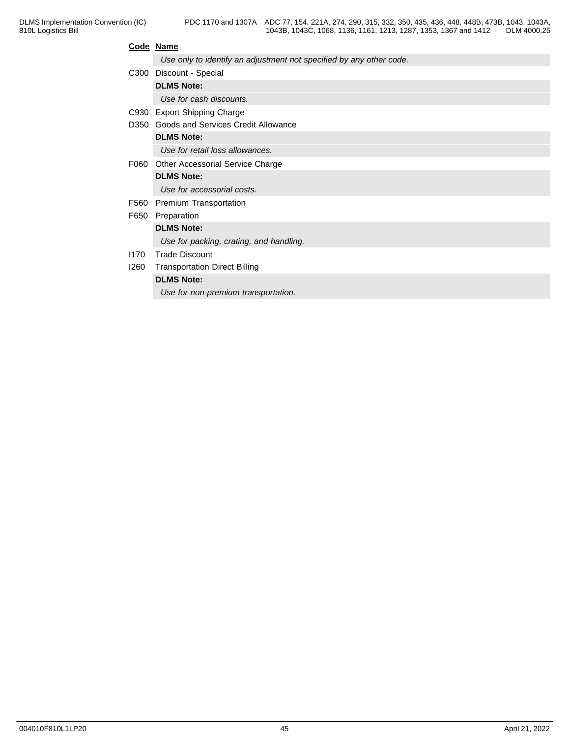### **Code Name**

|      | Use only to identify an adjustment not specified by any other code. |
|------|---------------------------------------------------------------------|
|      | C300 Discount - Special                                             |
|      | <b>DLMS Note:</b>                                                   |
|      | Use for cash discounts.                                             |
|      | C930 Export Shipping Charge                                         |
| D350 | Goods and Services Credit Allowance                                 |
|      | <b>DLMS Note:</b>                                                   |
|      | Use for retail loss allowances.                                     |
| F060 | Other Accessorial Service Charge                                    |
|      | <b>DLMS Note:</b>                                                   |
|      | Use for accessorial costs.                                          |
| F560 | Premium Transportation                                              |
| F650 | Preparation                                                         |
|      | <b>DLMS Note:</b>                                                   |
|      | Use for packing, crating, and handling.                             |
| 1170 | <b>Trade Discount</b>                                               |
| 1260 | <b>Transportation Direct Billing</b>                                |
|      | <b>DLMS Note:</b>                                                   |
|      | Use for non-premium transportation.                                 |
|      |                                                                     |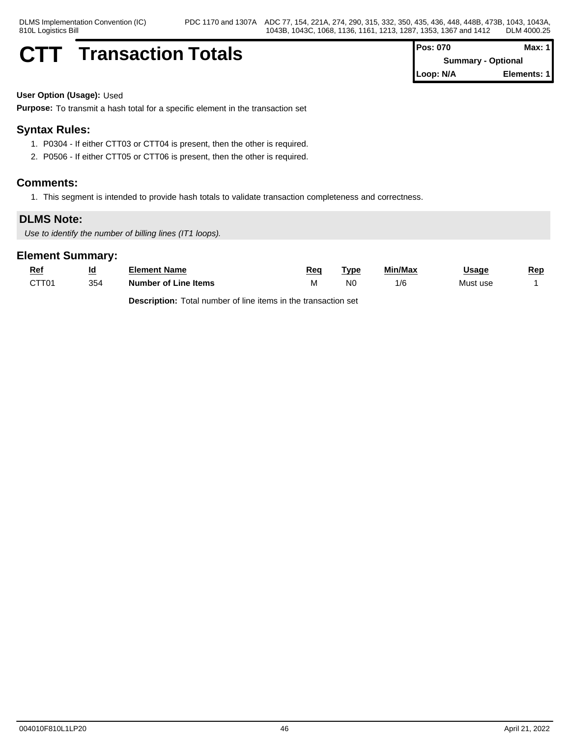## **CTT Transaction Totals**  $\begin{bmatrix} P^c \\ P^d \end{bmatrix}$

| Pos: 070  | Max: $1$                  |  |
|-----------|---------------------------|--|
|           | <b>Summary - Optional</b> |  |
| Loop: N/A | Elements: 1               |  |

**User Option (Usage):** Used

**Purpose:** To transmit a hash total for a specific element in the transaction set

## **Syntax Rules:**

- 1. P0304 If either CTT03 or CTT04 is present, then the other is required.
- 2. P0506 If either CTT05 or CTT06 is present, then the other is required.

### **Comments:**

1. This segment is intended to provide hash totals to validate transaction completeness and correctness.

## **DLMS Note:**

*Use to identify the number of billing lines (IT1 loops).*

### **Element Summary:**

| <u>Rei</u>        | <u>ld</u> | Element Name         | Rea  | Type           | Min/Max | Jsaɑe    | Rep |
|-------------------|-----------|----------------------|------|----------------|---------|----------|-----|
| CTT <sub>01</sub> | 354       | Number of Line Items | ו עו | N <sub>0</sub> | l/C     | Must use |     |

**Description:** Total number of line items in the transaction set